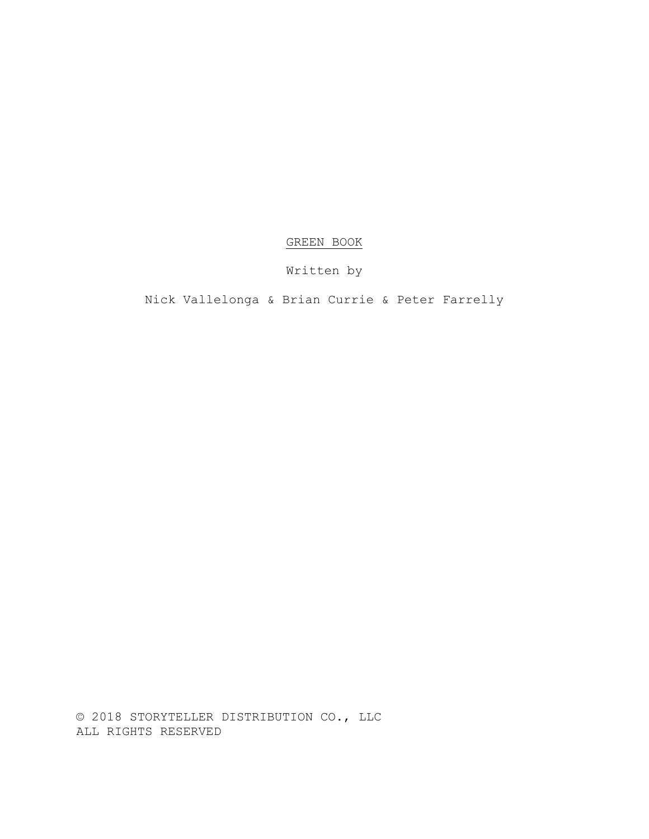## GREEN BOOK

# Written by

# Nick Vallelonga & Brian Currie & Peter Farrelly

© 2018 STORYTELLER DISTRIBUTION CO., LLC ALL RIGHTS RESERVED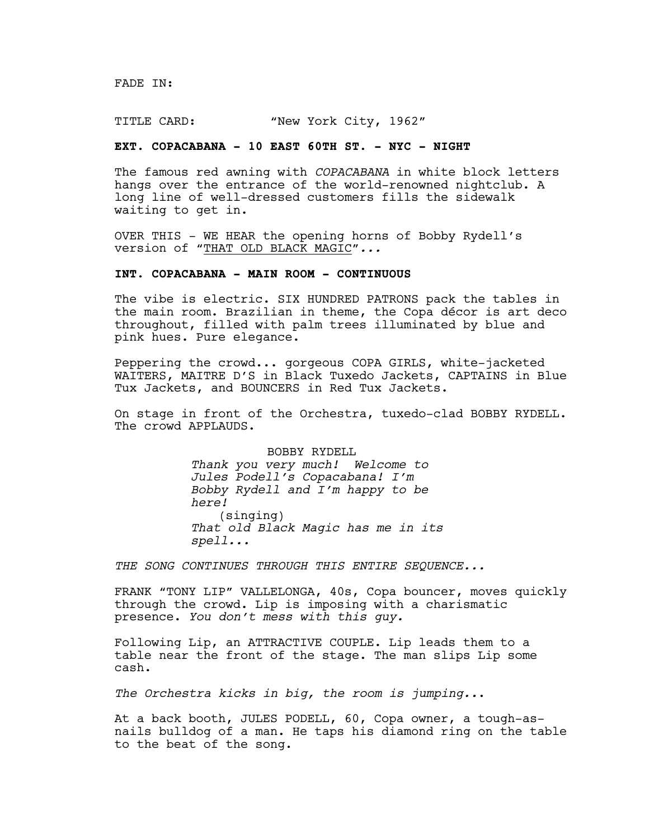FADE IN:

TITLE CARD: "New York City, 1962"

## **EXT. COPACABANA - 10 EAST 60TH ST. - NYC - NIGHT**

The famous red awning with *COPACABANA* in white block letters hangs over the entrance of the world-renowned nightclub. A long line of well-dressed customers fills the sidewalk waiting to get in.

OVER THIS - WE HEAR the opening horns of Bobby Rydell's version of "THAT OLD BLACK MAGIC"*...*

## **INT. COPACABANA - MAIN ROOM - CONTINUOUS**

The vibe is electric. SIX HUNDRED PATRONS pack the tables in the main room. Brazilian in theme, the Copa décor is art deco throughout, filled with palm trees illuminated by blue and pink hues. Pure elegance.

Peppering the crowd... gorgeous COPA GIRLS, white-jacketed WAITERS, MAITRE D'S in Black Tuxedo Jackets, CAPTAINS in Blue Tux Jackets, and BOUNCERS in Red Tux Jackets.

On stage in front of the Orchestra, tuxedo-clad BOBBY RYDELL. The crowd APPLAUDS.

> BOBBY RYDELL *Thank you very much! Welcome to Jules Podell's Copacabana! I'm Bobby Rydell and I'm happy to be here!*  (singing) *That old Black Magic has me in its spell...*

*THE SONG CONTINUES THROUGH THIS ENTIRE SEQUENCE...*

FRANK "TONY LIP" VALLELONGA, 40s, Copa bouncer, moves quickly through the crowd. Lip is imposing with a charismatic presence. *You don't mess with this guy.*

Following Lip, an ATTRACTIVE COUPLE. Lip leads them to a table near the front of the stage. The man slips Lip some cash.

*The Orchestra kicks in big, the room is jumping..*.

At a back booth, JULES PODELL, 60, Copa owner, a tough-asnails bulldog of a man. He taps his diamond ring on the table to the beat of the song.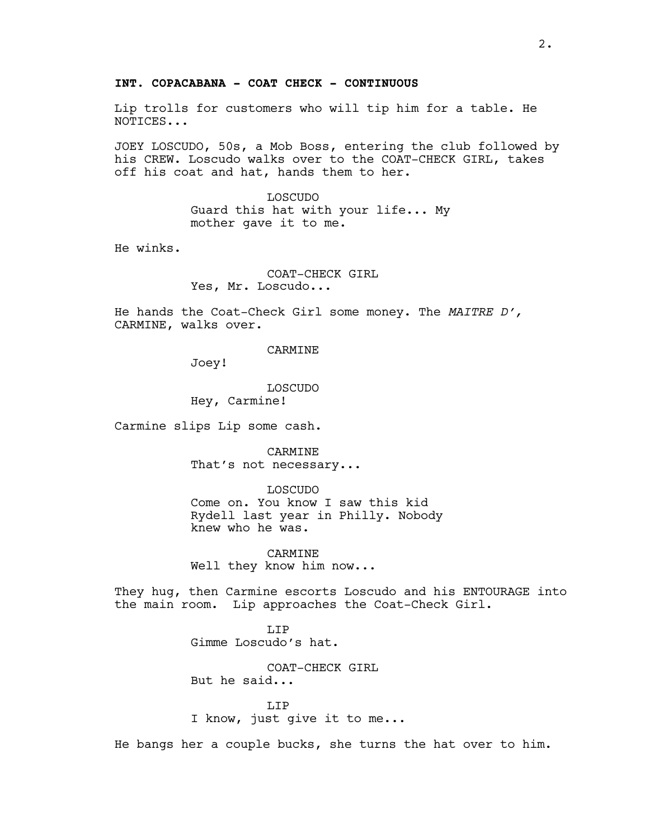## **INT. COPACABANA - COAT CHECK - CONTINUOUS**

Lip trolls for customers who will tip him for a table. He NOTICES...

JOEY LOSCUDO, 50s, a Mob Boss, entering the club followed by his CREW. Loscudo walks over to the COAT-CHECK GIRL, takes off his coat and hat, hands them to her.

> LOSCUDO Guard this hat with your life... My mother gave it to me.

He winks.

COAT-CHECK GIRL Yes, Mr. Loscudo...

He hands the Coat-Check Girl some money. The *MAITRE D',* CARMINE, walks over.

CARMINE

Joey!

LOSCUDO Hey, Carmine!

Carmine slips Lip some cash.

CARMINE That's not necessary...

LOSCUDO

Come on. You know I saw this kid Rydell last year in Philly. Nobody knew who he was.

CARMINE Well they know him now...

They hug, then Carmine escorts Loscudo and his ENTOURAGE into the main room. Lip approaches the Coat-Check Girl.

> LIP Gimme Loscudo's hat.

COAT-CHECK GIRL But he said...

T.TP I know, just give it to me...

He bangs her a couple bucks, she turns the hat over to him.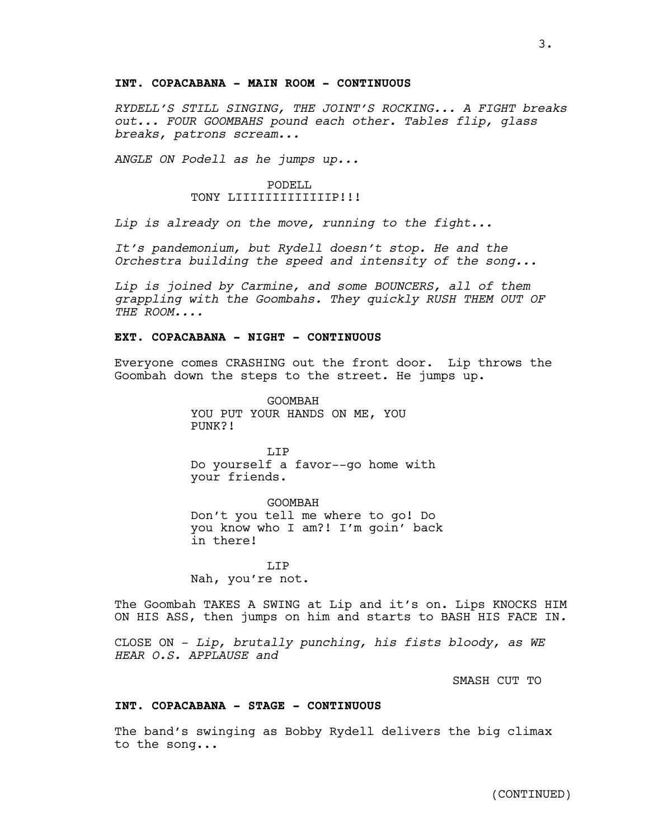## **INT. COPACABANA - MAIN ROOM - CONTINUOUS**

*RYDELL'S STILL SINGING, THE JOINT'S ROCKING... A FIGHT breaks out... FOUR GOOMBAHS pound each other. Tables flip, glass breaks, patrons scream...* 

*ANGLE ON Podell as he jumps up...*

### PODELL TONY LIIIIIIIIIIIIIIIP!!!

*Lip is already on the move, running to the fight...* 

*It's pandemonium, but Rydell doesn't stop. He and the Orchestra building the speed and intensity of the song...*

*Lip is joined by Carmine, and some BOUNCERS, all of them grappling with the Goombahs. They quickly RUSH THEM OUT OF THE ROOM....* 

#### **EXT. COPACABANA - NIGHT - CONTINUOUS**

Everyone comes CRASHING out the front door. Lip throws the Goombah down the steps to the street. He jumps up.

> GOOMBAH YOU PUT YOUR HANDS ON ME, YOU PUNK?!

T.TP Do yourself a favor--go home with your friends.

GOOMBAH Don't you tell me where to go! Do you know who I am?! I'm goin' back in there!

LIP Nah, you're not.

The Goombah TAKES A SWING at Lip and it's on. Lips KNOCKS HIM ON HIS ASS, then jumps on him and starts to BASH HIS FACE IN*.*

CLOSE ON - *Lip, brutally punching, his fists bloody, as WE HEAR O.S. APPLAUSE and* 

SMASH CUT TO

#### **INT. COPACABANA - STAGE - CONTINUOUS**

The band's swinging as Bobby Rydell delivers the big climax to the song...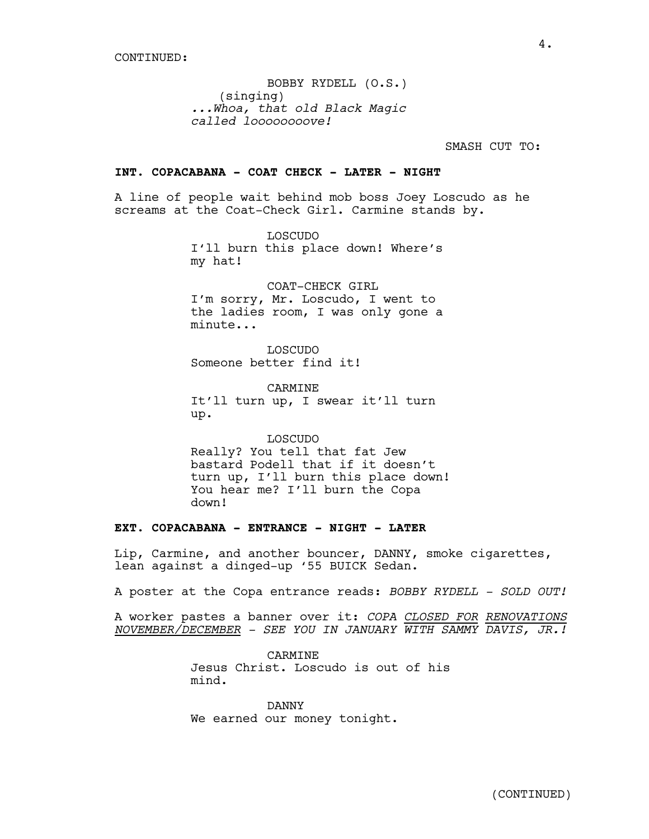BOBBY RYDELL (O.S.) (singing) *...Whoa, that old Black Magic called loooooooove!*

SMASH CUT TO:

## **INT. COPACABANA - COAT CHECK - LATER - NIGHT**

A line of people wait behind mob boss Joey Loscudo as he screams at the Coat-Check Girl. Carmine stands by.

> LOSCUDO I'll burn this place down! Where's my hat!

> COAT-CHECK GIRL I'm sorry, Mr. Loscudo, I went to the ladies room, I was only gone a minute...

LOSCUDO Someone better find it!

CARMINE It'll turn up, I swear it'll turn up.

LOSCUDO Really? You tell that fat Jew bastard Podell that if it doesn't turn up, I'll burn this place down! You hear me? I'll burn the Copa down!

## **EXT. COPACABANA - ENTRANCE - NIGHT - LATER**

Lip, Carmine, and another bouncer, DANNY, smoke cigarettes, lean against a dinged-up '55 BUICK Sedan.

A poster at the Copa entrance reads: *BOBBY RYDELL - SOLD OUT!*

A worker pastes a banner over it: *COPA CLOSED FOR RENOVATIONS NOVEMBER/DECEMBER - SEE YOU IN JANUARY WITH SAMMY DAVIS, JR.!*

> CARMINE Jesus Christ. Loscudo is out of his mind.

DANNY We earned our money tonight.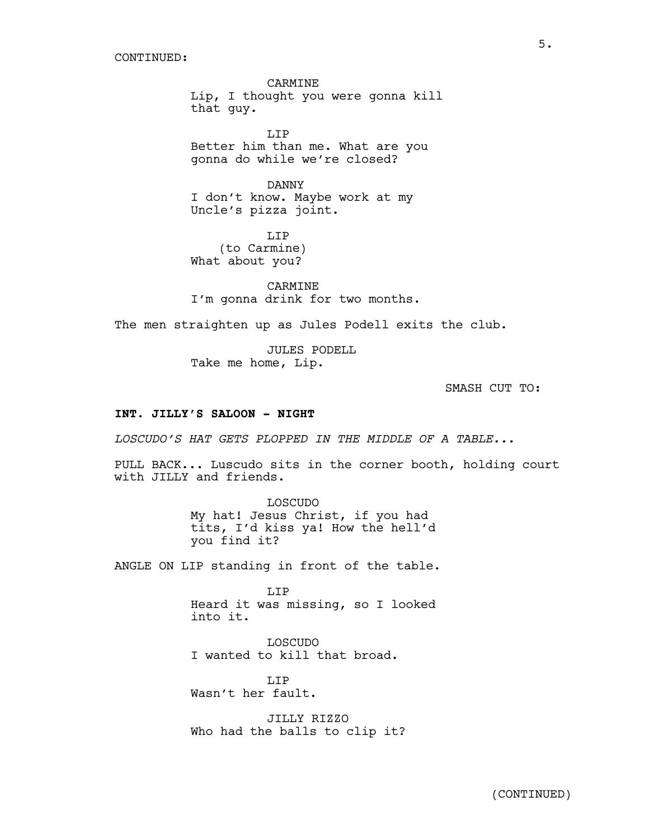CARMINE Lip, I thought you were gonna kill that guy.

LIP Better him than me. What are you gonna do while we're closed?

DANNY I don't know. Maybe work at my Uncle's pizza joint.

T.TP (to Carmine) What about you?

CARMINE I'm gonna drink for two months.

The men straighten up as Jules Podell exits the club.

JULES PODELL Take me home, Lip.

SMASH CUT TO:

## **INT. JILLY'S SALOON - NIGHT**

*LOSCUDO'S HAT GETS PLOPPED IN THE MIDDLE OF A TABLE...*

PULL BACK... Luscudo sits in the corner booth, holding court with JILLY and friends.

> LOSCUDO My hat! Jesus Christ, if you had tits, I'd kiss ya! How the hell'd you find it?

ANGLE ON LIP standing in front of the table.

LIP Heard it was missing, so I looked into it.

LOSCUDO I wanted to kill that broad.

T.TP Wasn't her fault.

JILLY RIZZO Who had the balls to clip it?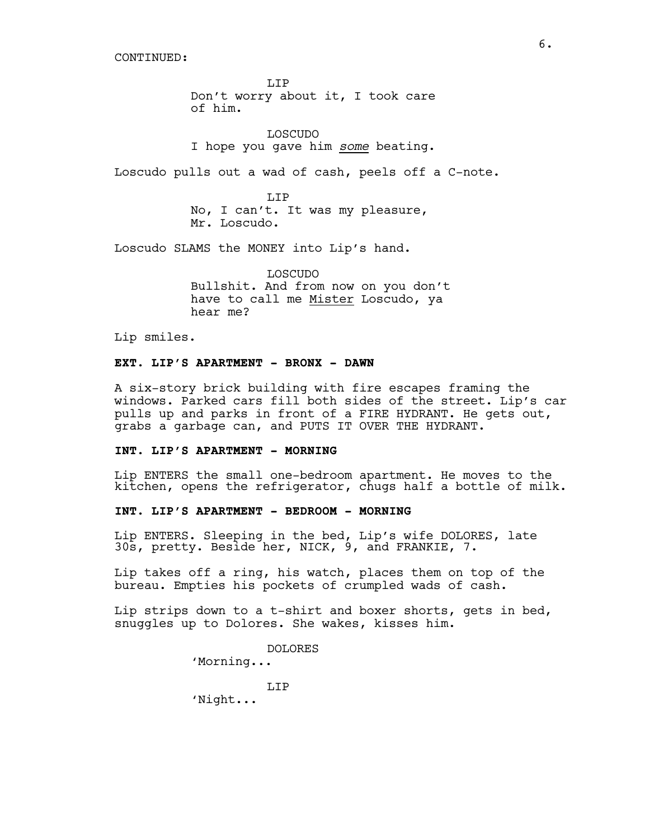CONTINUED:

LIP Don't worry about it, I took care of him.

LOSCUDO I hope you gave him *some* beating.

Loscudo pulls out a wad of cash, peels off a C-note.

LIP No, I can't. It was my pleasure, Mr. Loscudo.

Loscudo SLAMS the MONEY into Lip's hand.

LOSCUDO Bullshit. And from now on you don't have to call me Mister Loscudo, ya hear me?

Lip smiles.

## **EXT. LIP'S APARTMENT - BRONX - DAWN**

A six-story brick building with fire escapes framing the windows. Parked cars fill both sides of the street. Lip's car pulls up and parks in front of a FIRE HYDRANT. He gets out, grabs a garbage can, and PUTS IT OVER THE HYDRANT.

#### **INT. LIP'S APARTMENT - MORNING**

Lip ENTERS the small one-bedroom apartment. He moves to the kitchen, opens the refrigerator, chugs half a bottle of milk.

## **INT. LIP'S APARTMENT - BEDROOM - MORNING**

Lip ENTERS. Sleeping in the bed, Lip's wife DOLORES, late 30s, pretty. Beside her, NICK, 9, and FRANKIE, 7.

Lip takes off a ring, his watch, places them on top of the bureau. Empties his pockets of crumpled wads of cash.

Lip strips down to a t-shirt and boxer shorts, gets in bed, snuggles up to Dolores. She wakes, kisses him.

DOLORES

'Morning...

LIP

'Night...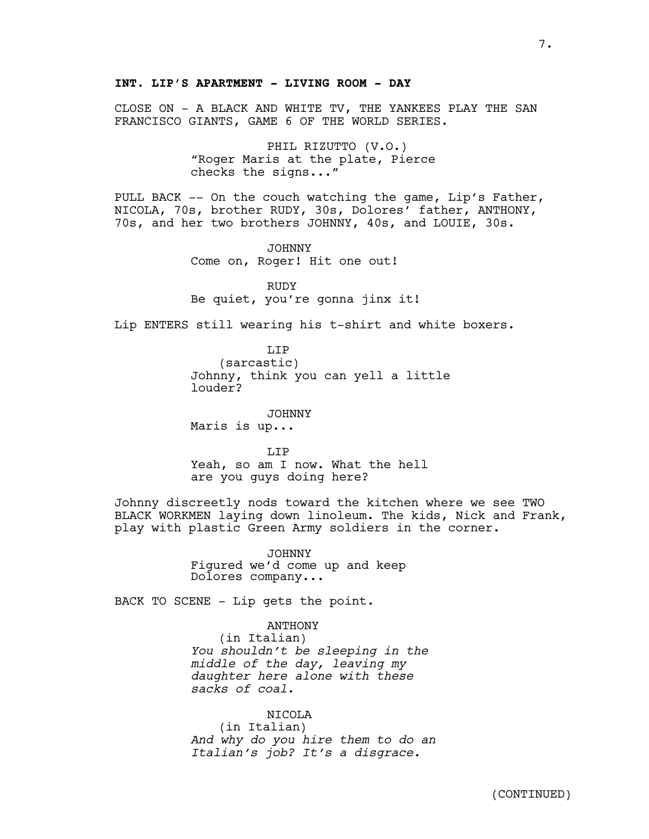CLOSE ON - A BLACK AND WHITE TV, THE YANKEES PLAY THE SAN FRANCISCO GIANTS, GAME 6 OF THE WORLD SERIES.

> PHIL RIZUTTO (V.O.) "Roger Maris at the plate, Pierce checks the signs..."

PULL BACK -- On the couch watching the game, Lip's Father, NICOLA, 70s, brother RUDY, 30s, Dolores' father, ANTHONY, 70s, and her two brothers JOHNNY, 40s, and LOUIE, 30s.

> JOHNNY Come on, Roger! Hit one out!

RUDY Be quiet, you're gonna jinx it!

Lip ENTERS still wearing his t-shirt and white boxers.

LIP (sarcastic) Johnny, think you can yell a little louder?

JOHNNY Maris is up...

T.TP Yeah, so am I now. What the hell are you guys doing here?

Johnny discreetly nods toward the kitchen where we see TWO BLACK WORKMEN laying down linoleum. The kids, Nick and Frank, play with plastic Green Army soldiers in the corner.

> JOHNNY Figured we'd come up and keep Dolores company...

BACK TO SCENE - Lip gets the point*.*

ANTHONY

(in Italian) *You shouldn't be sleeping in the middle of the day, leaving my daughter here alone with these sacks of coal*.

NICOLA

(in Italian) *And why do you hire them to do an Italian's job? It's a disgrace.*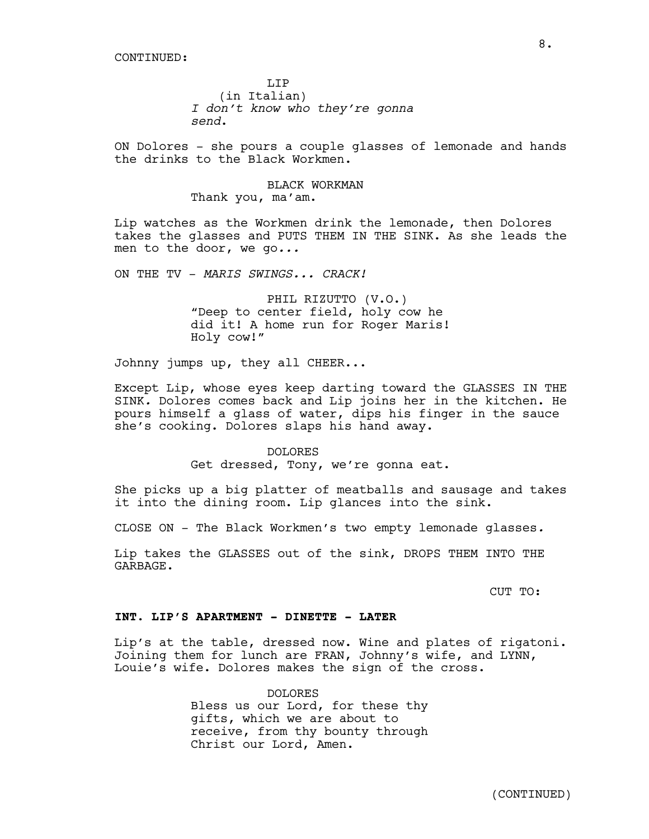LIP (in Italian) *I don't know who they're gonna send*.

ON Dolores - she pours a couple glasses of lemonade and hands the drinks to the Black Workmen.

> BLACK WORKMAN Thank you, ma'am.

Lip watches as the Workmen drink the lemonade, then Dolores takes the glasses and PUTS THEM IN THE SINK. As she leads the men to the door, we go*...*

ON THE TV - *MARIS SWINGS... CRACK!*

PHIL RIZUTTO (V.O.) "Deep to center field, holy cow he did it! A home run for Roger Maris! Holy cow!"

Johnny jumps up, they all CHEER...

Except Lip, whose eyes keep darting toward the GLASSES IN THE SINK*.* Dolores comes back and Lip joins her in the kitchen. He pours himself a glass of water, dips his finger in the sauce she's cooking. Dolores slaps his hand away.

> DOLORES Get dressed, Tony, we're gonna eat.

She picks up a big platter of meatballs and sausage and takes it into the dining room. Lip glances into the sink.

CLOSE ON - The Black Workmen's two empty lemonade glasses*.*

Lip takes the GLASSES out of the sink, DROPS THEM INTO THE GARBAGE.

CUT TO:

#### **INT. LIP'S APARTMENT - DINETTE - LATER**

Lip's at the table, dressed now. Wine and plates of rigatoni. Joining them for lunch are FRAN, Johnny's wife, and LYNN, Louie's wife. Dolores makes the sign of the cross.

> DOLORES Bless us our Lord, for these thy gifts, which we are about to receive, from thy bounty through Christ our Lord, Amen.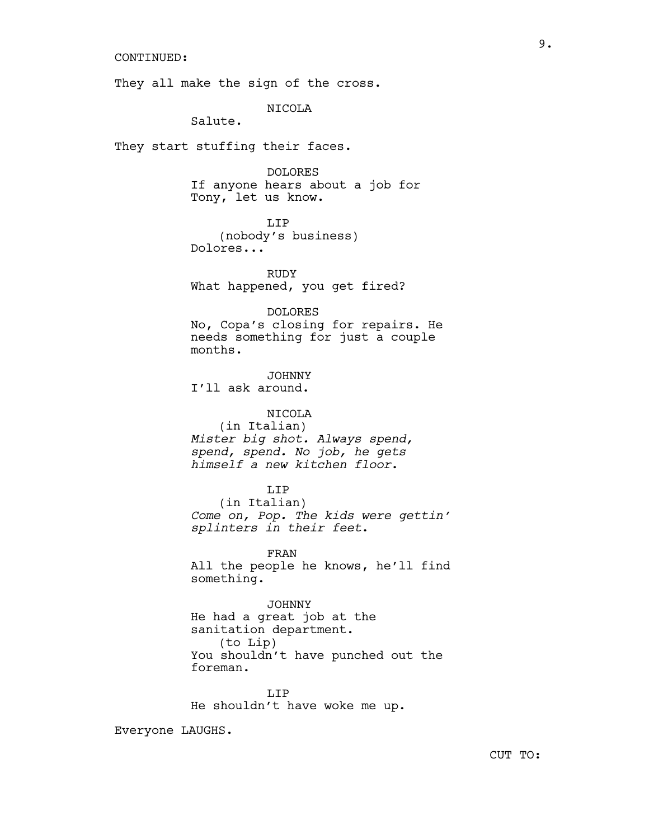#### CONTINUED:

They all make the sign of the cross.

NICOLA

Salute.

They start stuffing their faces.

DOLORES If anyone hears about a job for Tony, let us know.

LIP

(nobody's business) Dolores...

RUDY What happened, you get fired?

#### DOLORES

No, Copa's closing for repairs. He needs something for just a couple months.

JOHNNY

I'll ask around.

## NICOLA

(in Italian) *Mister big shot. Always spend, spend, spend. No job, he gets himself a new kitchen floor*.

#### LIP

(in Italian) *Come on, Pop. The kids were gettin' splinters in their feet*.

FRAN All the people he knows, he'll find something.

#### JOHNNY

He had a great job at the sanitation department. (to Lip) You shouldn't have punched out the foreman.

LIP He shouldn't have woke me up.

Everyone LAUGHS.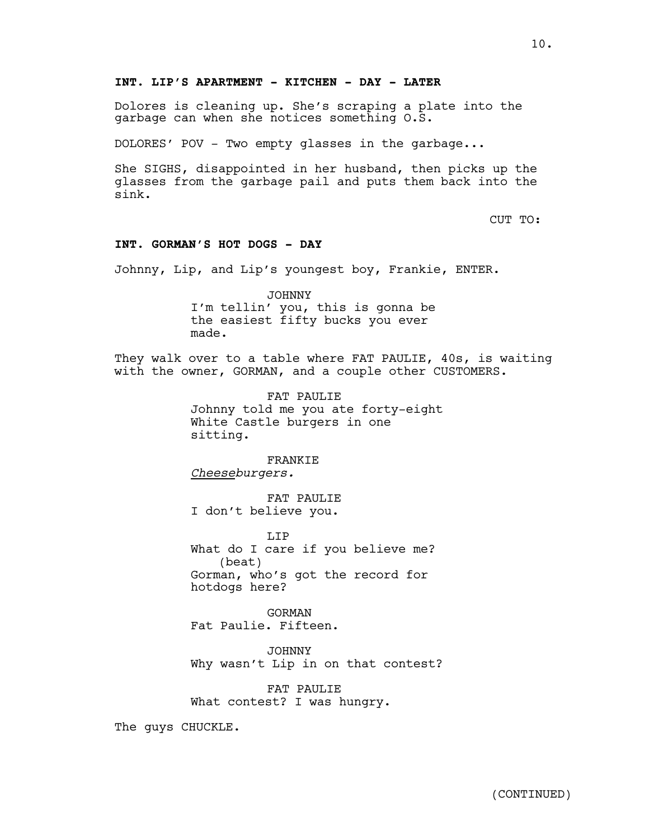## **INT. LIP'S APARTMENT - KITCHEN - DAY - LATER**

Dolores is cleaning up. She's scraping a plate into the garbage can when she notices something O.S.

DOLORES' POV - Two empty glasses in the garbage...

She SIGHS, disappointed in her husband, then picks up the glasses from the garbage pail and puts them back into the sink.

CUT TO:

## **INT. GORMAN'S HOT DOGS - DAY**

Johnny, Lip, and Lip's youngest boy, Frankie, ENTER.

JOHNNY I'm tellin' you, this is gonna be the easiest fifty bucks you ever made.

They walk over to a table where FAT PAULIE, 40s, is waiting with the owner, GORMAN, and a couple other CUSTOMERS.

> FAT PAULIE Johnny told me you ate forty-eight White Castle burgers in one sitting.

FRANKIE *Cheeseburgers.*

FAT PAULIE I don't believe you.

LIP What do I care if you believe me? (beat) Gorman, who's got the record for hotdogs here?

GORMAN Fat Paulie. Fifteen.

JOHNNY Why wasn't Lip in on that contest?

FAT PAULIE What contest? I was hungry.

The guys CHUCKLE.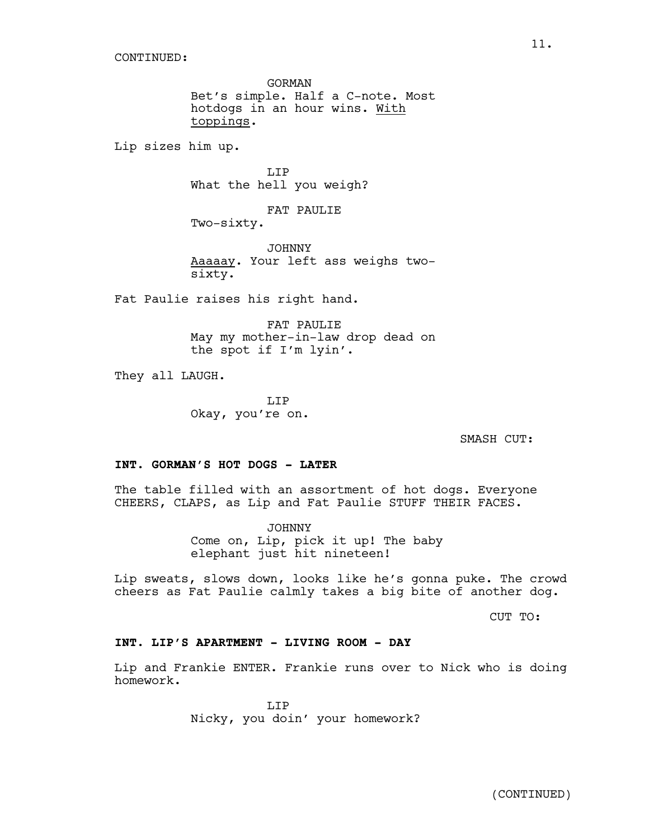GORMAN Bet's simple. Half a C-note. Most hotdogs in an hour wins. With toppings.

Lip sizes him up.

T.TP What the hell you weigh?

FAT PAULIE

Two-sixty.

JOHNNY Aaaaay. Your left ass weighs twosixty.

Fat Paulie raises his right hand.

FAT PAULIE May my mother-in-law drop dead on the spot if I'm lyin'.

They all LAUGH.

LIP Okay, you're on.

SMASH CUT:

#### **INT. GORMAN'S HOT DOGS - LATER**

The table filled with an assortment of hot dogs. Everyone CHEERS, CLAPS, as Lip and Fat Paulie STUFF THEIR FACES.

> JOHNNY Come on, Lip, pick it up! The baby elephant just hit nineteen!

Lip sweats, slows down, looks like he's gonna puke. The crowd cheers as Fat Paulie calmly takes a big bite of another dog.

CUT TO:

## **INT. LIP'S APARTMENT - LIVING ROOM - DAY**

Lip and Frankie ENTER. Frankie runs over to Nick who is doing homework.

> LIP Nicky, you doin' your homework?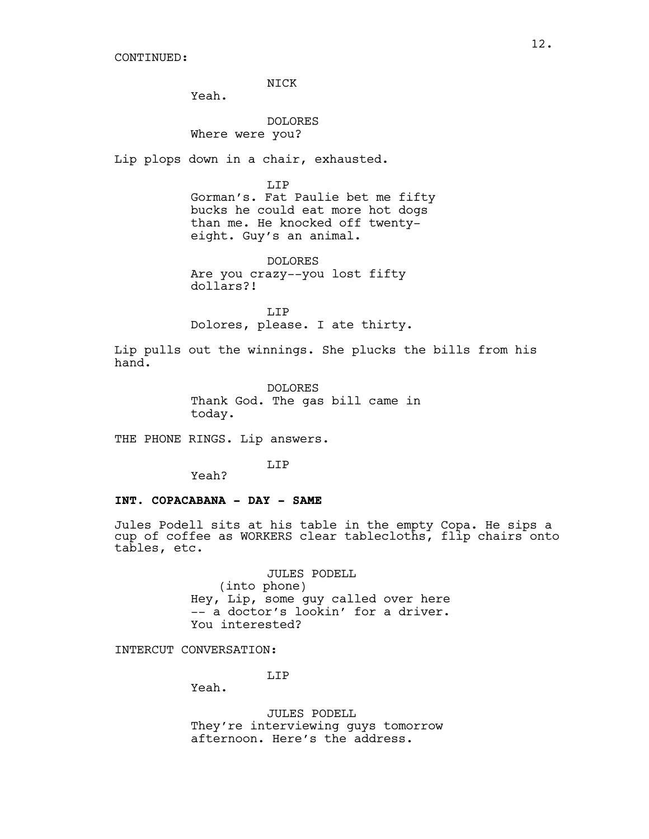NICK

Yeah.

DOLORES Where were you?

Lip plops down in a chair, exhausted.

LIP Gorman's. Fat Paulie bet me fifty bucks he could eat more hot dogs than me. He knocked off twentyeight. Guy's an animal.

DOLORES Are you crazy--you lost fifty dollars?!

T.TP Dolores, please. I ate thirty.

Lip pulls out the winnings. She plucks the bills from his hand.

> DOLORES Thank God. The gas bill came in today.

THE PHONE RINGS. Lip answers.

LIP

Yeah?

#### **INT. COPACABANA - DAY - SAME**

Jules Podell sits at his table in the empty Copa. He sips a cup of coffee as WORKERS clear tablecloths, flip chairs onto tables, etc.

> JULES PODELL (into phone) Hey, Lip, some guy called over here -- a doctor's lookin' for a driver. You interested?

INTERCUT CONVERSATION:

LIP

Yeah.

JULES PODELL They're interviewing guys tomorrow afternoon. Here's the address.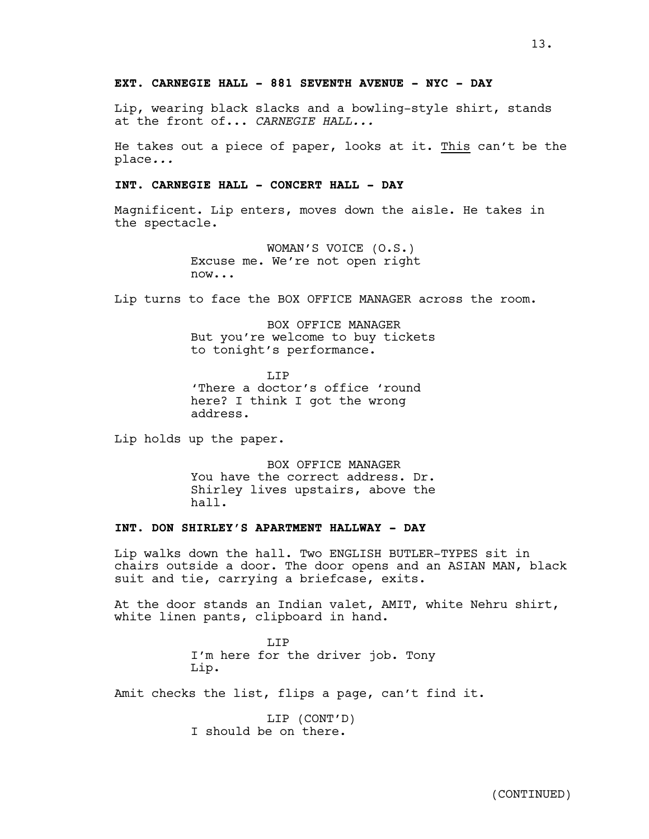## **EXT. CARNEGIE HALL - 881 SEVENTH AVENUE - NYC - DAY**

Lip, wearing black slacks and a bowling-style shirt, stands at the front of... *CARNEGIE HALL...*

He takes out a piece of paper, looks at it. This can't be the place*...*

#### **INT. CARNEGIE HALL - CONCERT HALL - DAY**

Magnificent. Lip enters, moves down the aisle. He takes in the spectacle.

> WOMAN'S VOICE (O.S.) Excuse me. We're not open right now...

Lip turns to face the BOX OFFICE MANAGER across the room.

BOX OFFICE MANAGER But you're welcome to buy tickets to tonight's performance.

T.TP 'There a doctor's office 'round here? I think I got the wrong address.

Lip holds up the paper.

BOX OFFICE MANAGER You have the correct address. Dr. Shirley lives upstairs, above the hall.

## **INT. DON SHIRLEY'S APARTMENT HALLWAY - DAY**

Lip walks down the hall. Two ENGLISH BUTLER-TYPES sit in chairs outside a door. The door opens and an ASIAN MAN, black suit and tie, carrying a briefcase, exits.

At the door stands an Indian valet, AMIT, white Nehru shirt, white linen pants, clipboard in hand.

> **T.TP** I'm here for the driver job. Tony Lip.

Amit checks the list, flips a page, can't find it.

LIP (CONT'D) I should be on there.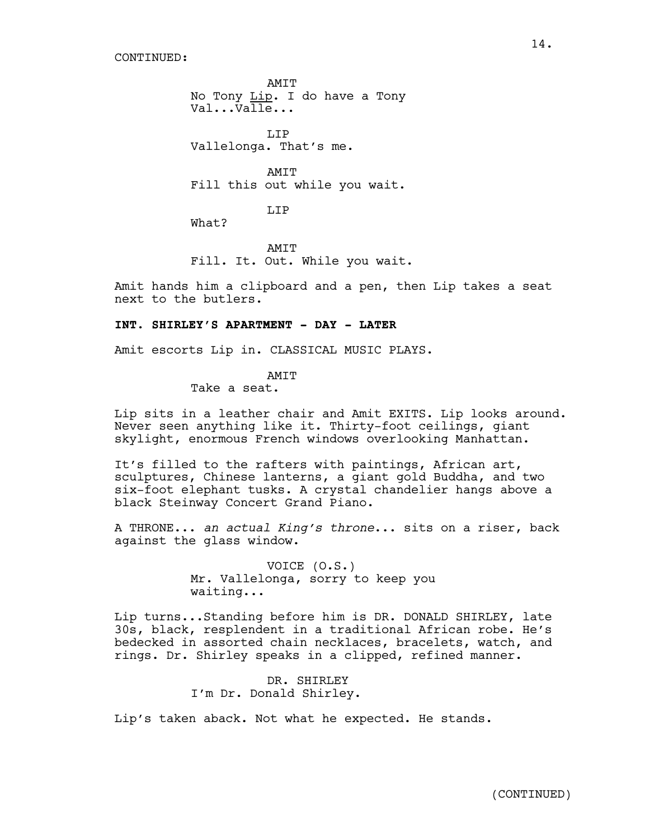CONTINUED:

AMIT No Tony Lip. I do have a Tony Val...Valle...

LIP Vallelonga. That's me.

**AMTT** Fill this out while you wait.

LIP

What?

AMIT Fill. It. Out. While you wait.

Amit hands him a clipboard and a pen, then Lip takes a seat next to the butlers.

#### **INT. SHIRLEY'S APARTMENT - DAY - LATER**

Amit escorts Lip in. CLASSICAL MUSIC PLAYS.

#### **AMTT**

Take a seat.

Lip sits in a leather chair and Amit EXITS. Lip looks around. Never seen anything like it. Thirty-foot ceilings, giant skylight, enormous French windows overlooking Manhattan.

It's filled to the rafters with paintings, African art, sculptures, Chinese lanterns, a giant gold Buddha, and two six-foot elephant tusks. A crystal chandelier hangs above a black Steinway Concert Grand Piano.

A THRONE... *an actual King's throne*... sits on a riser, back against the glass window.

> VOICE (O.S.) Mr. Vallelonga, sorry to keep you waiting...

Lip turns...Standing before him is DR. DONALD SHIRLEY, late 30s, black, resplendent in a traditional African robe. He's bedecked in assorted chain necklaces, bracelets, watch, and rings. Dr. Shirley speaks in a clipped, refined manner.

> DR. SHIRLEY I'm Dr. Donald Shirley.

Lip's taken aback. Not what he expected. He stands.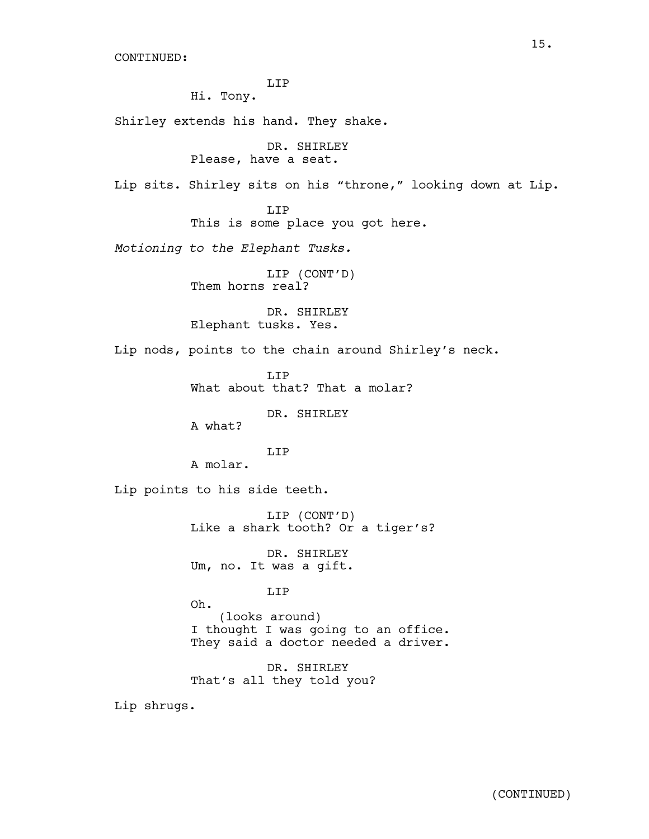CONTINUED:

LIP

Hi. Tony.

Shirley extends his hand. They shake.

DR. SHIRLEY Please, have a seat.

Lip sits. Shirley sits on his "throne," looking down at Lip.

LIP This is some place you got here.

*Motioning to the Elephant Tusks.*

LIP (CONT'D) Them horns real?

DR. SHIRLEY Elephant tusks. Yes.

Lip nods, points to the chain around Shirley's neck.

T.TP What about that? That a molar?

DR. SHIRLEY

A what?

LIP

A molar.

Lip points to his side teeth.

LIP (CONT'D) Like a shark tooth? Or a tiger's?

DR. SHIRLEY Um, no. It was a gift.

LIP

Oh. (looks around) I thought I was going to an office. They said a doctor needed a driver.

DR. SHIRLEY That's all they told you?

Lip shrugs.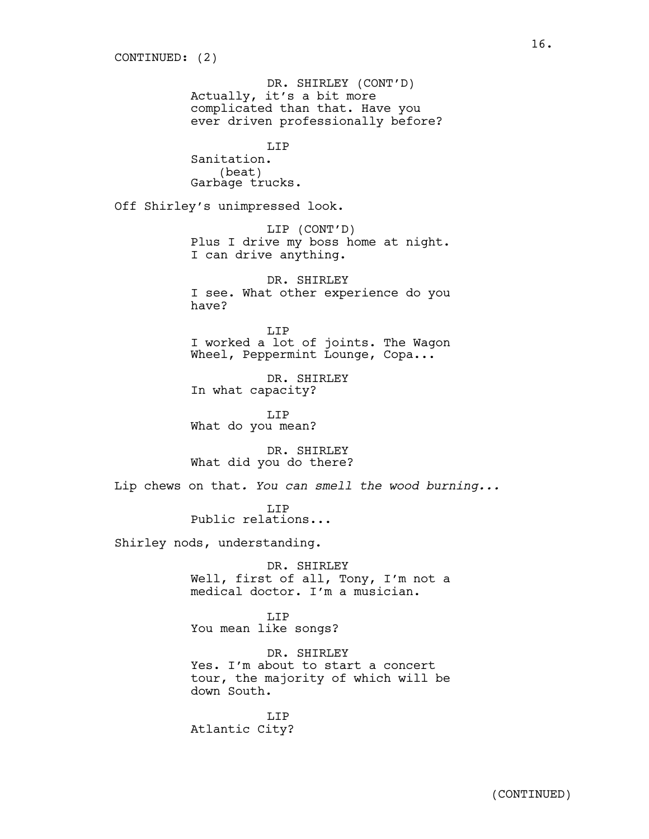DR. SHIRLEY (CONT'D) Actually, it's a bit more complicated than that. Have you ever driven professionally before? LIP Sanitation. (beat) Garbage trucks. Off Shirley's unimpressed look. LIP (CONT'D) Plus I drive my boss home at night. I can drive anything. DR. SHIRLEY I see. What other experience do you have? LIP I worked a lot of joints. The Wagon Wheel, Peppermint Lounge, Copa... DR. SHIRLEY In what capacity? LIP What do you mean? DR. SHIRLEY What did you do there? Lip chews on that*. You can smell the wood burning...* LIP Public relations... Shirley nods, understanding. DR. SHIRLEY Well, first of all, Tony, I'm not a medical doctor. I'm a musician.

> LIP You mean like songs?

DR. SHIRLEY Yes. I'm about to start a concert tour, the majority of which will be down South.

LIP Atlantic City?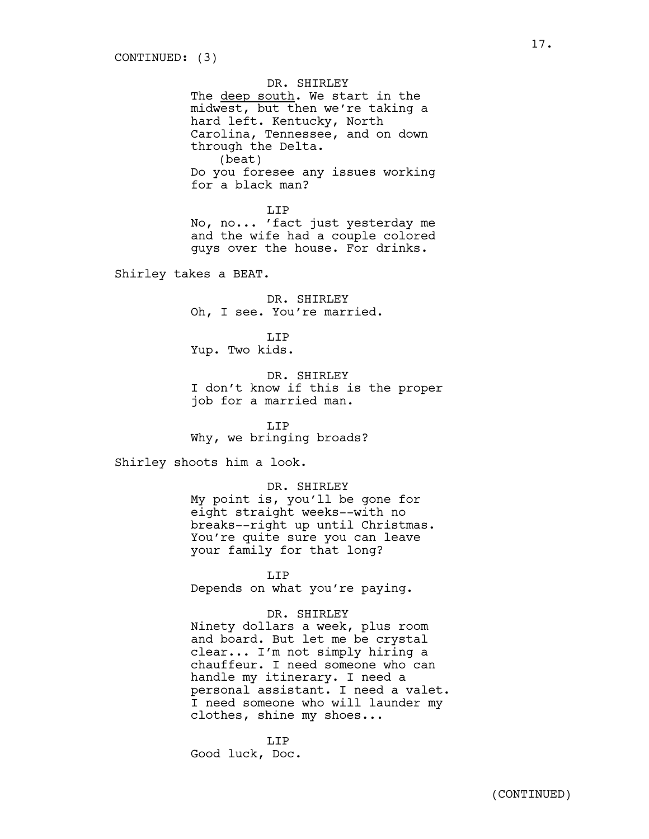DR. SHIRLEY The deep south. We start in the midwest, but then we're taking a hard left. Kentucky, North Carolina, Tennessee, and on down through the Delta. (beat) Do you foresee any issues working for a black man?

LIP No, no... 'fact just yesterday me and the wife had a couple colored guys over the house. For drinks.

Shirley takes a BEAT.

DR. SHIRLEY Oh, I see. You're married.

LIP Yup. Two kids.

DR. SHIRLEY I don't know if this is the proper job for a married man.

LIP Why, we bringing broads?

Shirley shoots him a look.

DR. SHIRLEY My point is, you'll be gone for eight straight weeks--with no breaks--right up until Christmas. You're quite sure you can leave your family for that long?

LIP Depends on what you're paying.

#### DR. SHIRLEY

Ninety dollars a week, plus room and board. But let me be crystal clear... I'm not simply hiring a chauffeur. I need someone who can handle my itinerary. I need a personal assistant. I need a valet. I need someone who will launder my clothes, shine my shoes...

LIP Good luck, Doc.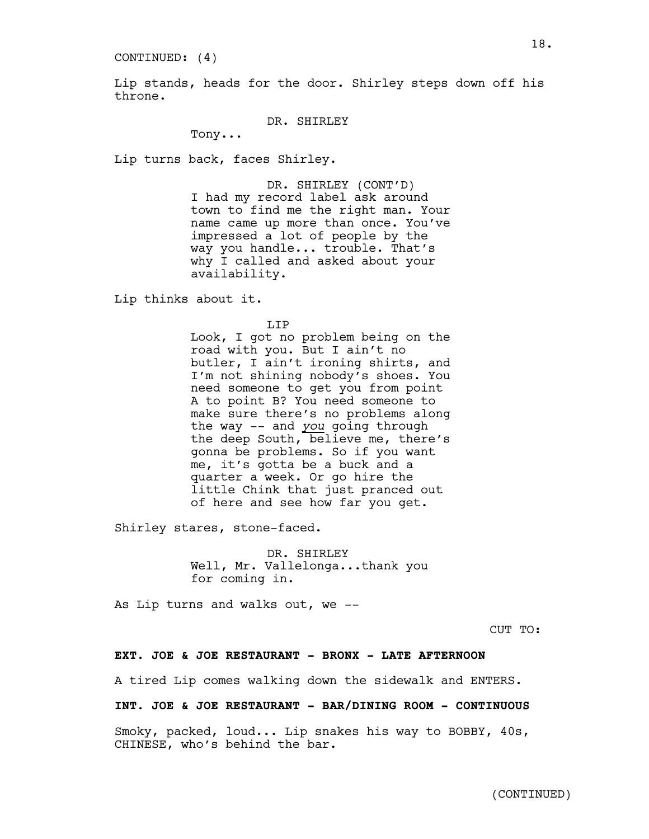CONTINUED: (4)

Lip stands, heads for the door. Shirley steps down off his throne.

DR. SHIRLEY

Tony...

Lip turns back, faces Shirley.

DR. SHIRLEY (CONT'D) I had my record label ask around town to find me the right man. Your name came up more than once. You've impressed a lot of people by the way you handle... trouble. That's why I called and asked about your availability.

Lip thinks about it.

LIP

Look, I got no problem being on the road with you. But I ain't no butler, I ain't ironing shirts, and I'm not shining nobody's shoes. You need someone to get you from point A to point B? You need someone to make sure there's no problems along the way -- and *you* going through the deep South, believe me, there's gonna be problems. So if you want me, it's gotta be a buck and a quarter a week. Or go hire the little Chink that just pranced out of here and see how far you get.

Shirley stares, stone-faced.

DR. SHIRLEY Well, Mr. Vallelonga...thank you for coming in.

As Lip turns and walks out, we --

CUT TO:

#### **EXT. JOE & JOE RESTAURANT - BRONX - LATE AFTERNOON**

A tired Lip comes walking down the sidewalk and ENTERS.

## **INT. JOE & JOE RESTAURANT - BAR/DINING ROOM - CONTINUOUS**

Smoky, packed, loud... Lip snakes his way to BOBBY, 40s, CHINESE, who's behind the bar.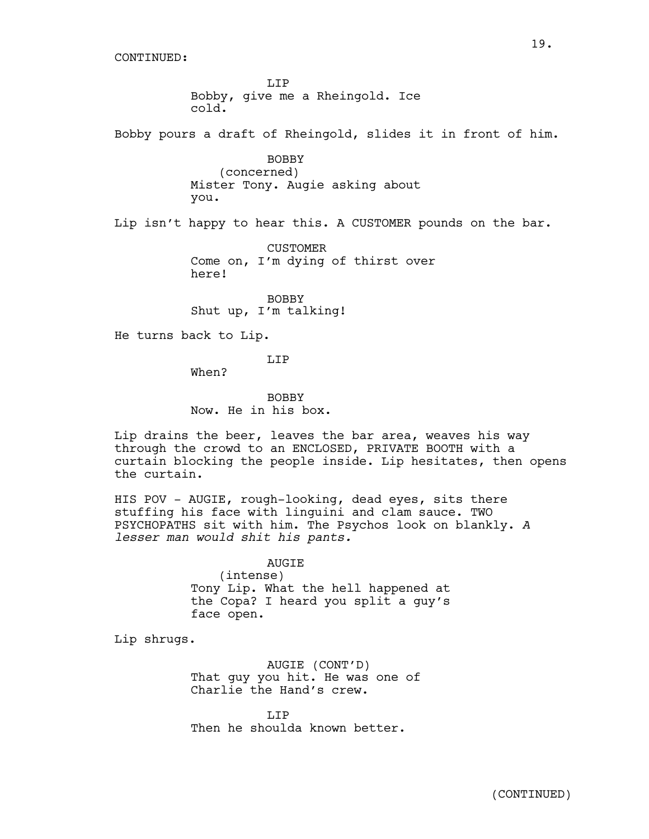CONTINUED:

LIP Bobby, give me a Rheingold. Ice cold.

Bobby pours a draft of Rheingold, slides it in front of him.

BOBBY (concerned) Mister Tony. Augie asking about you.

Lip isn't happy to hear this. A CUSTOMER pounds on the bar.

CUSTOMER Come on, I'm dying of thirst over here!

BOBBY Shut up, I'm talking!

He turns back to Lip.

T.TP

When?

BOBBY Now. He in his box.

Lip drains the beer, leaves the bar area, weaves his way through the crowd to an ENCLOSED, PRIVATE BOOTH with a curtain blocking the people inside. Lip hesitates, then opens the curtain.

HIS POV - AUGIE, rough-looking, dead eyes, sits there stuffing his face with linguini and clam sauce. TWO PSYCHOPATHS sit with him. The Psychos look on blankly. *A lesser man would shit his pants.* 

#### AUGIE

(intense) Tony Lip. What the hell happened at the Copa? I heard you split a guy's face open.

Lip shrugs.

AUGIE (CONT'D) That guy you hit. He was one of Charlie the Hand's crew.

T.TP Then he shoulda known better.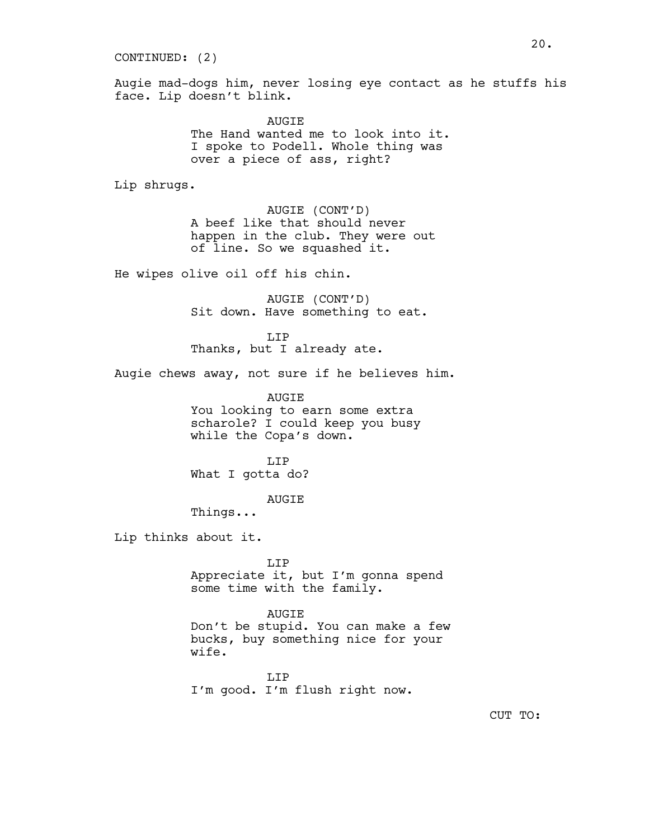#### CONTINUED: (2)

Augie mad-dogs him, never losing eye contact as he stuffs his face. Lip doesn't blink.

> **AUGTE** The Hand wanted me to look into it. I spoke to Podell. Whole thing was over a piece of ass, right?

Lip shrugs.

AUGIE (CONT'D) A beef like that should never happen in the club. They were out of line. So we squashed it.

He wipes olive oil off his chin.

AUGIE (CONT'D) Sit down. Have something to eat.

LIP Thanks, but I already ate.

Augie chews away, not sure if he believes him.

AUGIE You looking to earn some extra scharole? I could keep you busy while the Copa's down.

LIP What I gotta do?

AUGIE

Things...

Lip thinks about it.

LIP Appreciate it, but I'm gonna spend some time with the family.

AUGIE Don't be stupid. You can make a few bucks, buy something nice for your wife.

LIP I'm good. I'm flush right now.

CUT TO: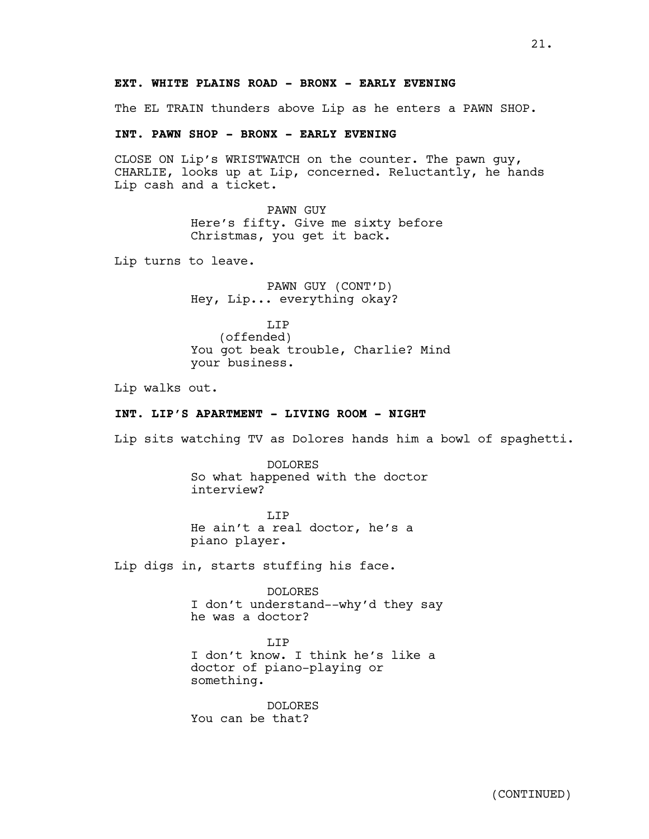## **EXT. WHITE PLAINS ROAD - BRONX - EARLY EVENING**

The EL TRAIN thunders above Lip as he enters a PAWN SHOP.

## **INT. PAWN SHOP - BRONX - EARLY EVENING**

CLOSE ON Lip's WRISTWATCH on the counter. The pawn guy, CHARLIE, looks up at Lip, concerned. Reluctantly, he hands Lip cash and a ticket.

> PAWN GUY Here's fifty. Give me sixty before Christmas, you get it back.

Lip turns to leave.

PAWN GUY (CONT'D) Hey, Lip... everything okay?

LIP (offended) You got beak trouble, Charlie? Mind your business.

Lip walks out.

## **INT. LIP'S APARTMENT - LIVING ROOM - NIGHT**

Lip sits watching TV as Dolores hands him a bowl of spaghetti.

DOLORES So what happened with the doctor interview?

T.TP He ain't a real doctor, he's a piano player.

Lip digs in, starts stuffing his face.

DOLORES I don't understand--why'd they say he was a doctor?

T.T<sub>P</sub> I don't know. I think he's like a doctor of piano-playing or something.

DOLORES You can be that?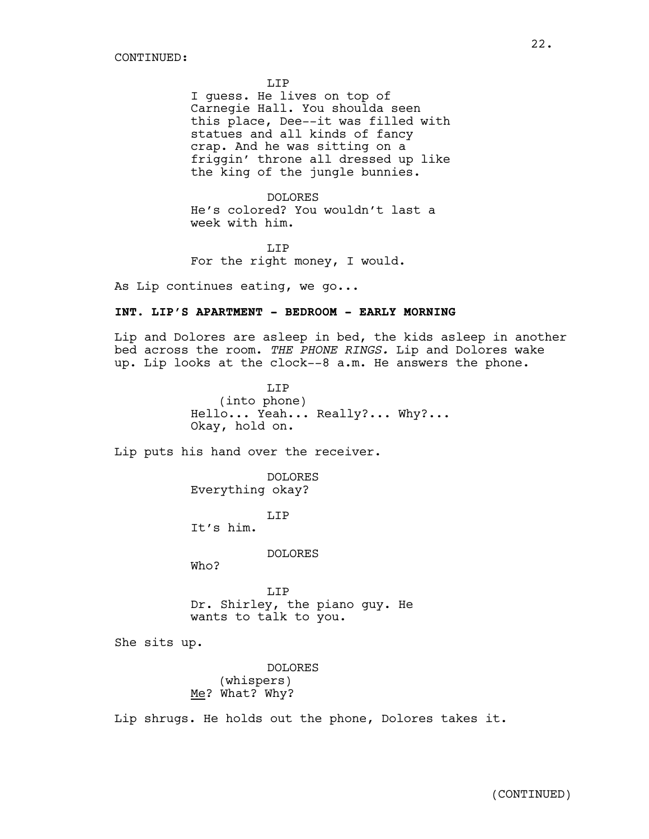LIP

I guess. He lives on top of Carnegie Hall. You shoulda seen this place, Dee--it was filled with statues and all kinds of fancy crap. And he was sitting on a friggin' throne all dressed up like the king of the jungle bunnies.

DOLORES He's colored? You wouldn't last a week with him.

T.TP For the right money, I would.

As Lip continues eating, we go...

## **INT. LIP'S APARTMENT - BEDROOM - EARLY MORNING**

Lip and Dolores are asleep in bed, the kids asleep in another bed across the room. *THE PHONE RINGS.* Lip and Dolores wake up. Lip looks at the clock--8 a.m. He answers the phone.

> LIP (into phone) Hello... Yeah... Really?... Why?... Okay, hold on.

Lip puts his hand over the receiver.

DOLORES Everything okay?

T.TP It's him.

DOLORES

Who?

LIP Dr. Shirley, the piano guy. He wants to talk to you.

She sits up.

DOLORES (whispers) Me? What? Why?

Lip shrugs. He holds out the phone, Dolores takes it.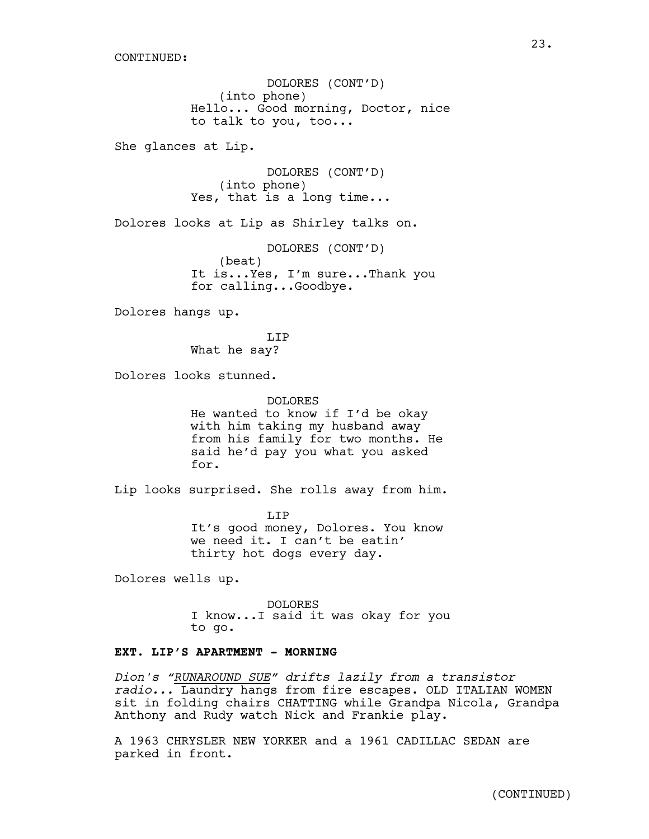DOLORES (CONT'D) (into phone) Hello... Good morning, Doctor, nice to talk to you, too...

She glances at Lip.

DOLORES (CONT'D) (into phone) Yes, that is a long time...

Dolores looks at Lip as Shirley talks on.

DOLORES (CONT'D) (beat) It is...Yes, I'm sure...Thank you for calling...Goodbye.

Dolores hangs up.

T.TP What he say?

Dolores looks stunned.

DOLORES He wanted to know if I'd be okay with him taking my husband away from his family for two months. He said he'd pay you what you asked for.

Lip looks surprised. She rolls away from him.

LIP It's good money, Dolores. You know we need it. I can't be eatin' thirty hot dogs every day.

Dolores wells up.

DOLORES I know...I said it was okay for you to go.

## **EXT. LIP'S APARTMENT - MORNING**

*Dion's "RUNAROUND SUE" drifts lazily from a transistor radio...* Laundry hangs from fire escapes. OLD ITALIAN WOMEN sit in folding chairs CHATTING while Grandpa Nicola, Grandpa Anthony and Rudy watch Nick and Frankie play.

A 1963 CHRYSLER NEW YORKER and a 1961 CADILLAC SEDAN are parked in front.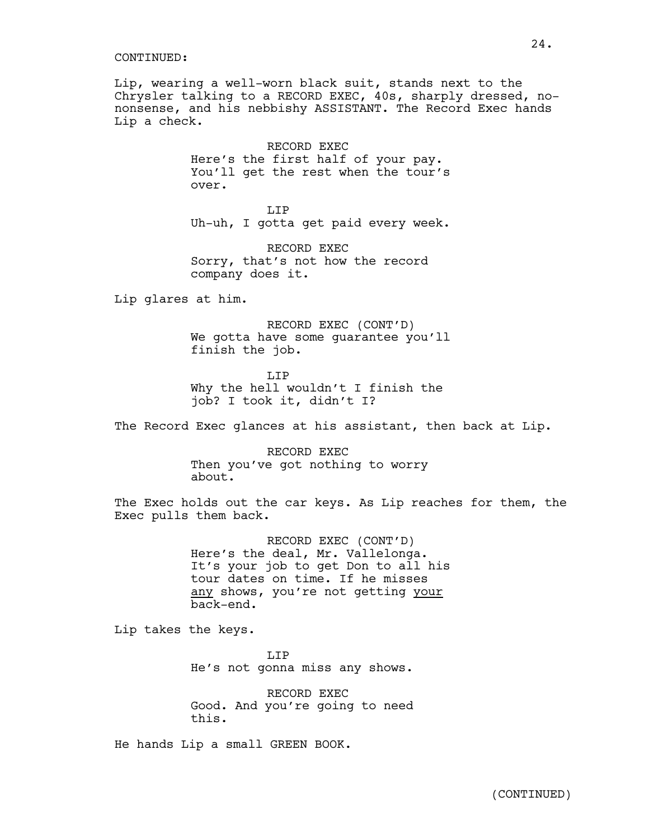#### CONTINUED:

Lip, wearing a well-worn black suit, stands next to the Chrysler talking to a RECORD EXEC, 40s, sharply dressed, nononsense, and his nebbishy ASSISTANT. The Record Exec hands Lip a check.

> RECORD EXEC Here's the first half of your pay. You'll get the rest when the tour's over.

> LIP Uh-uh, I gotta get paid every week.

RECORD EXEC Sorry, that's not how the record company does it.

Lip glares at him.

RECORD EXEC (CONT'D) We gotta have some guarantee you'll finish the job.

T.TP Why the hell wouldn't I finish the job? I took it, didn't I?

The Record Exec glances at his assistant, then back at Lip.

RECORD EXEC Then you've got nothing to worry about.

The Exec holds out the car keys. As Lip reaches for them, the Exec pulls them back.

> RECORD EXEC (CONT'D)<br>Here's the deal, Mr. Vallelonga. It's your job to get Don to all his tour dates on time. If he misses any shows, you're not getting your back-end.

Lip takes the keys.

T.TP He's not gonna miss any shows.

RECORD EXEC Good. And you're going to need this.

He hands Lip a small GREEN BOOK.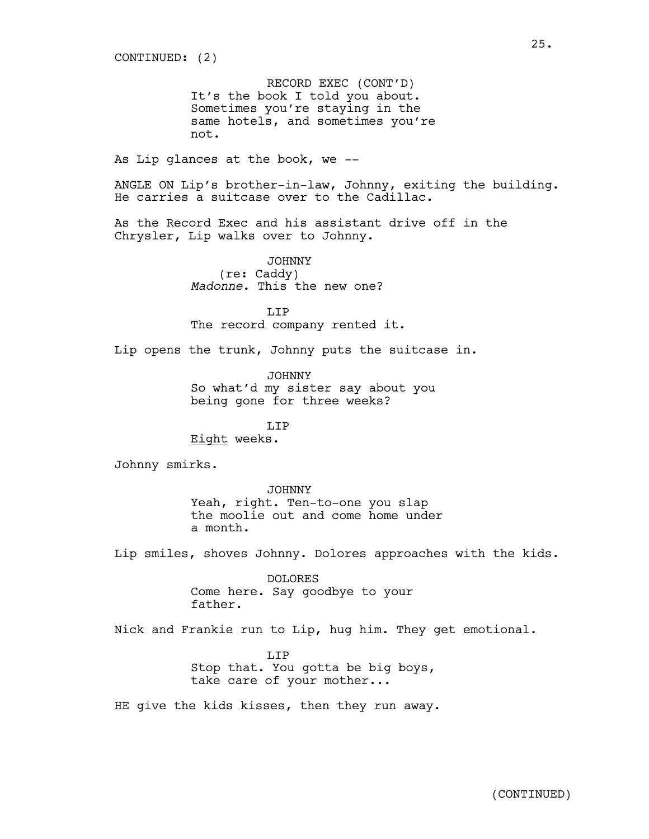RECORD EXEC (CONT'D) It's the book I told you about. Sometimes you're staying in the same hotels, and sometimes you're not.

As Lip glances at the book, we --

ANGLE ON Lip's brother-in-law, Johnny, exiting the building. He carries a suitcase over to the Cadillac.

As the Record Exec and his assistant drive off in the Chrysler, Lip walks over to Johnny.

> JOHNNY (re: Caddy) *Madonne*. This the new one?

T.TP The record company rented it.

Lip opens the trunk, Johnny puts the suitcase in.

JOHNNY So what'd my sister say about you being gone for three weeks?

T.TP Eight weeks.

Johnny smirks.

JOHNNY Yeah, right. Ten-to-one you slap the moolie out and come home under a month.

Lip smiles, shoves Johnny. Dolores approaches with the kids.

DOLORES Come here. Say goodbye to your father.

Nick and Frankie run to Lip, hug him. They get emotional.

T.TP Stop that. You gotta be big boys, take care of your mother...

HE give the kids kisses, then they run away.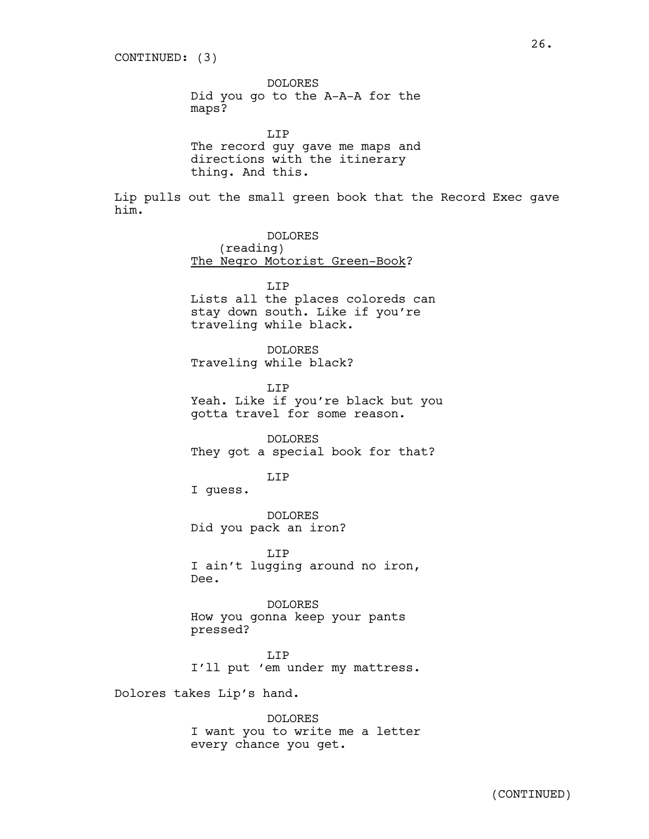DOLORES Did you go to the A-A-A for the maps?

LIP The record guy gave me maps and directions with the itinerary thing. And this.

Lip pulls out the small green book that the Record Exec gave him.

> DOLORES (reading) The Negro Motorist Green-Book?

> > LIP

Lists all the places coloreds can stay down south. Like if you're traveling while black.

DOLORES Traveling while black?

LIP Yeah. Like if you're black but you gotta travel for some reason.

DOLORES They got a special book for that?

LIP

I guess.

DOLORES Did you pack an iron?

LIP I ain't lugging around no iron, Dee.

DOLORES How you gonna keep your pants pressed?

LIP I'll put 'em under my mattress.

Dolores takes Lip's hand.

DOLORES I want you to write me a letter every chance you get.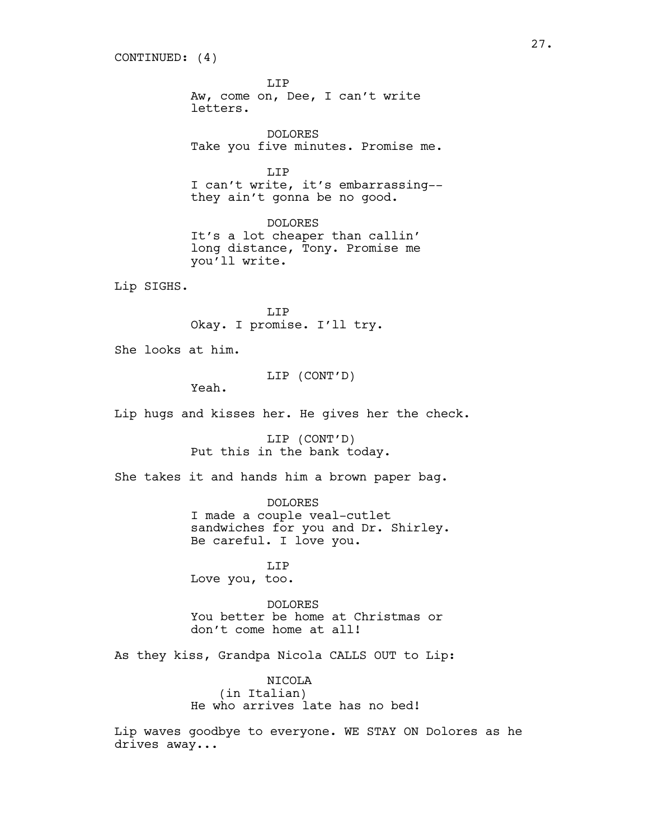LIP Aw, come on, Dee, I can't write letters.

DOLORES Take you five minutes. Promise me.

T.TP I can't write, it's embarrassing- they ain't gonna be no good.

DOLORES It's a lot cheaper than callin' long distance, Tony. Promise me you'll write.

Lip SIGHS.

T.TP Okay. I promise. I'll try.

She looks at him.

LIP (CONT'D)

Yeah.

Lip hugs and kisses her. He gives her the check.

LIP (CONT'D) Put this in the bank today.

She takes it and hands him a brown paper bag.

DOLORES I made a couple veal-cutlet sandwiches for you and Dr. Shirley. Be careful. I love you.

LIP Love you, too.

DOLORES You better be home at Christmas or don't come home at all!

As they kiss, Grandpa Nicola CALLS OUT to Lip:

NICOLA (in Italian) He who arrives late has no bed!

Lip waves goodbye to everyone. WE STAY ON Dolores as he drives away...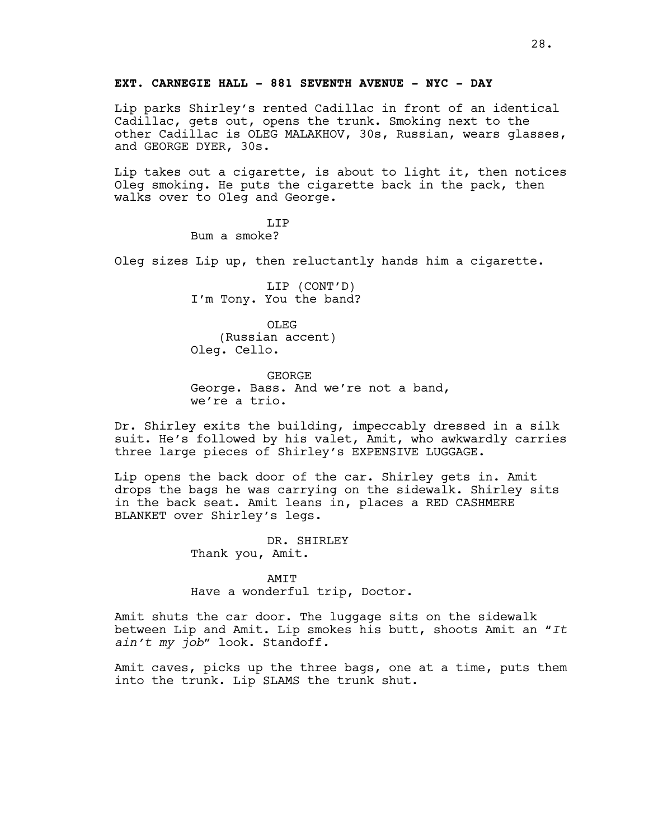## **EXT. CARNEGIE HALL - 881 SEVENTH AVENUE - NYC - DAY**

Lip parks Shirley's rented Cadillac in front of an identical Cadillac, gets out, opens the trunk. Smoking next to the other Cadillac is OLEG MALAKHOV, 30s, Russian, wears glasses, and GEORGE DYER, 30s.

Lip takes out a cigarette, is about to light it, then notices Oleg smoking. He puts the cigarette back in the pack, then walks over to Oleg and George.

> LIP Bum a smoke?

Oleg sizes Lip up, then reluctantly hands him a cigarette.

LIP (CONT'D) I'm Tony. You the band?

OLEG (Russian accent) Oleg. Cello.

GEORGE George. Bass. And we're not a band, we're a trio.

Dr. Shirley exits the building, impeccably dressed in a silk suit. He's followed by his valet, Amit, who awkwardly carries three large pieces of Shirley's EXPENSIVE LUGGAGE.

Lip opens the back door of the car. Shirley gets in. Amit drops the bags he was carrying on the sidewalk. Shirley sits in the back seat. Amit leans in, places a RED CASHMERE BLANKET over Shirley's legs.

> DR. SHIRLEY Thank you, Amit.

AMIT Have a wonderful trip, Doctor.

Amit shuts the car door. The luggage sits on the sidewalk between Lip and Amit. Lip smokes his butt, shoots Amit an "*It ain't my job*" look. Standoff*.*

Amit caves, picks up the three bags, one at a time, puts them into the trunk. Lip SLAMS the trunk shut.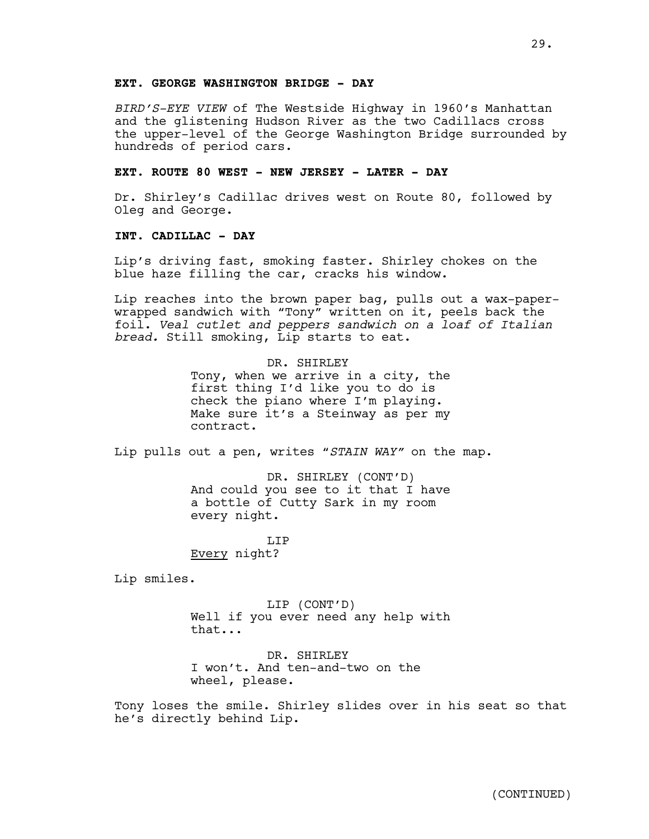*BIRD'S-EYE VIEW* of The Westside Highway in 1960's Manhattan and the glistening Hudson River as the two Cadillacs cross the upper-level of the George Washington Bridge surrounded by hundreds of period cars.

### **EXT. ROUTE 80 WEST - NEW JERSEY - LATER - DAY**

Dr. Shirley's Cadillac drives west on Route 80, followed by Oleg and George.

#### **INT. CADILLAC - DAY**

Lip's driving fast, smoking faster. Shirley chokes on the blue haze filling the car, cracks his window.

Lip reaches into the brown paper bag, pulls out a wax-paperwrapped sandwich with "Tony" written on it, peels back the foil. *Veal cutlet and peppers sandwich on a loaf of Italian bread.* Still smoking, Lip starts to eat.

> DR. SHIRLEY Tony, when we arrive in a city, the first thing I'd like you to do is check the piano where I'm playing. Make sure it's a Steinway as per my contract.

Lip pulls out a pen, writes "*STAIN WAY"* on the map.

DR. SHIRLEY (CONT'D) And could you see to it that I have a bottle of Cutty Sark in my room every night.

T.TP Every night?

Lip smiles.

LIP (CONT'D) Well if you ever need any help with that...

DR. SHIRLEY I won't. And ten-and-two on the wheel, please.

Tony loses the smile. Shirley slides over in his seat so that he's directly behind Lip.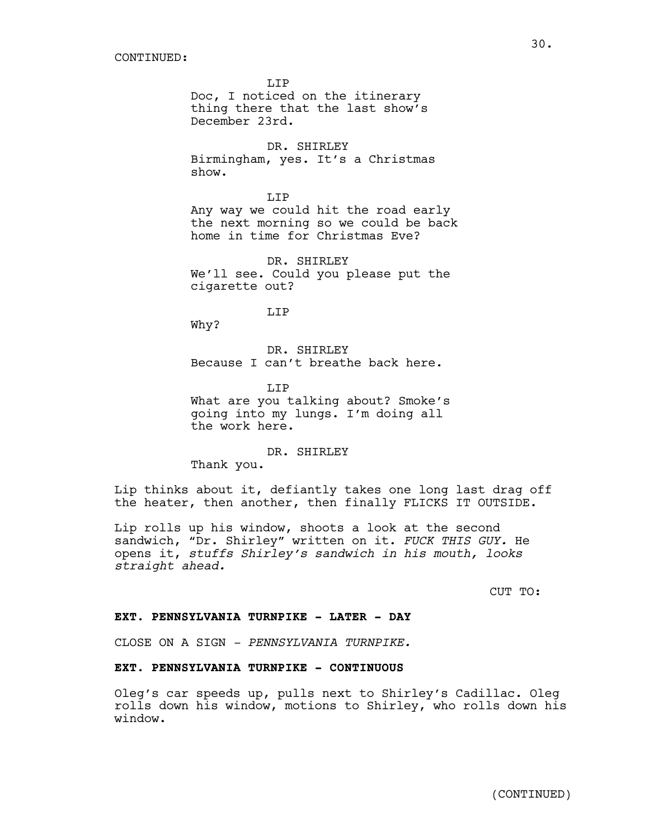LIP Doc, I noticed on the itinerary thing there that the last show's December 23rd.

DR. SHIRLEY Birmingham, yes. It's a Christmas show.

LIP Any way we could hit the road early the next morning so we could be back home in time for Christmas Eve?

DR. SHIRLEY We'll see. Could you please put the cigarette out?

LIP

Why?

DR. SHIRLEY Because I can't breathe back here.

LIP What are you talking about? Smoke's going into my lungs. I'm doing all the work here.

DR. SHIRLEY

Thank you.

Lip thinks about it, defiantly takes one long last drag off the heater, then another, then finally FLICKS IT OUTSIDE.

Lip rolls up his window, shoots a look at the second sandwich, "Dr. Shirley" written on it. *FUCK THIS GUY.* He opens it, *stuffs Shirley's sandwich in his mouth, looks straight ahead.* 

CUT TO:

#### **EXT. PENNSYLVANIA TURNPIKE - LATER - DAY**

CLOSE ON A SIGN *- PENNSYLVANIA TURNPIKE.*

## **EXT. PENNSYLVANIA TURNPIKE - CONTINUOUS**

Oleg's car speeds up, pulls next to Shirley's Cadillac. Oleg rolls down his window, motions to Shirley, who rolls down his window.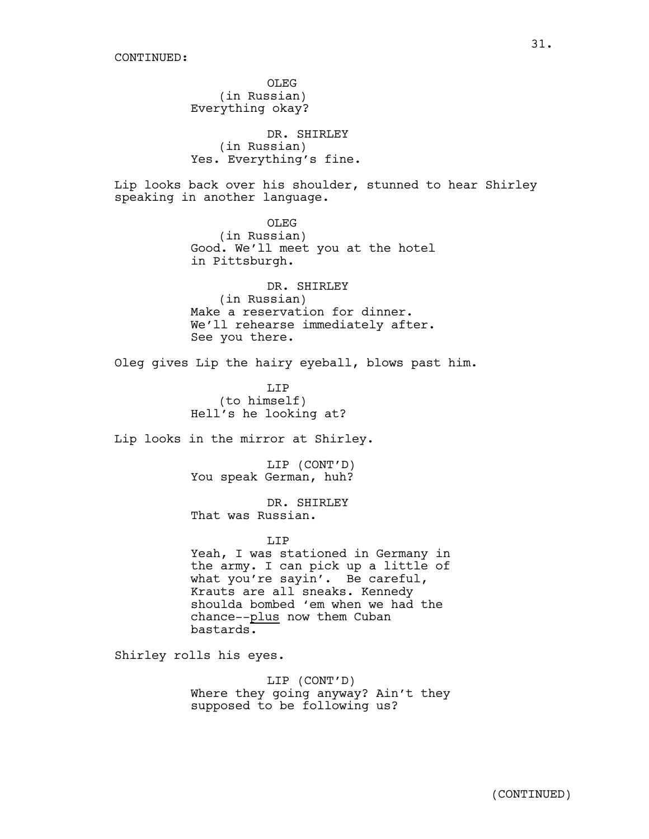OLEG (in Russian) Everything okay? DR. SHIRLEY (in Russian) Yes. Everything's fine. Lip looks back over his shoulder, stunned to hear Shirley speaking in another language. OLEG (in Russian) Good. We'll meet you at the hotel in Pittsburgh. DR. SHIRLEY (in Russian) Make a reservation for dinner. We'll rehearse immediately after. See you there. Oleg gives Lip the hairy eyeball, blows past him. LIP (to himself) Hell's he looking at? Lip looks in the mirror at Shirley. LIP (CONT'D) You speak German, huh? DR. SHIRLEY That was Russian. LIP Yeah, I was stationed in Germany in the army. I can pick up a little of what you're sayin'. Be careful, Krauts are all sneaks. Kennedy shoulda bombed 'em when we had the chance--plus now them Cuban bastards. Shirley rolls his eyes. LIP (CONT'D) Where they going anyway? Ain't they supposed to be following us?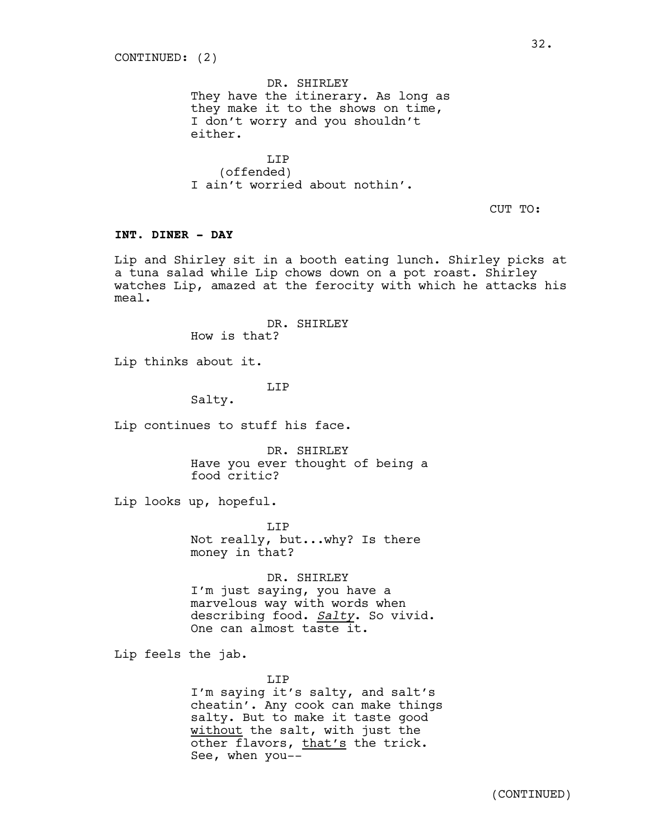DR. SHIRLEY They have the itinerary. As long as they make it to the shows on time, I don't worry and you shouldn't either.

LIP (offended) I ain't worried about nothin'.

CUT TO:

## **INT. DINER - DAY**

Lip and Shirley sit in a booth eating lunch. Shirley picks at a tuna salad while Lip chows down on a pot roast. Shirley watches Lip, amazed at the ferocity with which he attacks his meal.

DR. SHIRLEY

How is that?

Lip thinks about it.

**T.TP** 

Salty.

Lip continues to stuff his face.

DR. SHIRLEY Have you ever thought of being a food critic?

Lip looks up, hopeful.

LIP Not really, but...why? Is there money in that?

DR. SHIRLEY I'm just saying, you have a marvelous way with words when describing food. *Salty*. So vivid. One can almost taste it.

Lip feels the jab.

LIP

I'm saying it's salty, and salt's cheatin'. Any cook can make things salty. But to make it taste good without the salt, with just the other flavors, that's the trick. See, when you--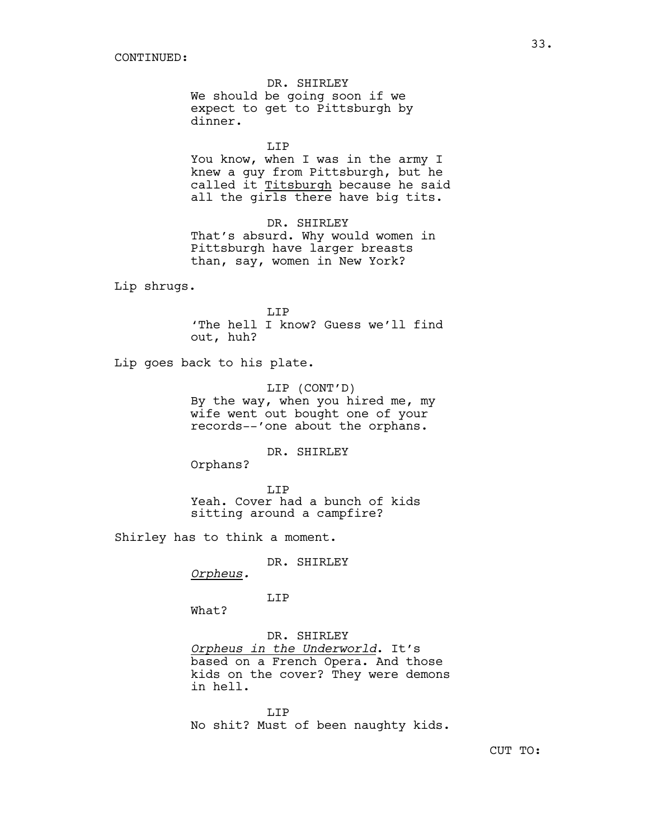DR. SHIRLEY We should be going soon if we expect to get to Pittsburgh by dinner.

LIP

You know, when I was in the army I knew a guy from Pittsburgh, but he called it Titsburgh because he said all the girls there have big tits.

DR. SHIRLEY That's absurd. Why would women in Pittsburgh have larger breasts than, say, women in New York?

Lip shrugs.

T.TP 'The hell I know? Guess we'll find out, huh?

Lip goes back to his plate.

LIP (CONT'D) By the way, when you hired me, my wife went out bought one of your records--'one about the orphans.

DR. SHIRLEY

Orphans?

LIP Yeah. Cover had a bunch of kids sitting around a campfire?

Shirley has to think a moment.

DR. SHIRLEY

*Orpheus.*

LIP

What?

DR. SHIRLEY *Orpheus in the Underworld*. It's based on a French Opera. And those kids on the cover? They were demons in hell.

LIP No shit? Must of been naughty kids.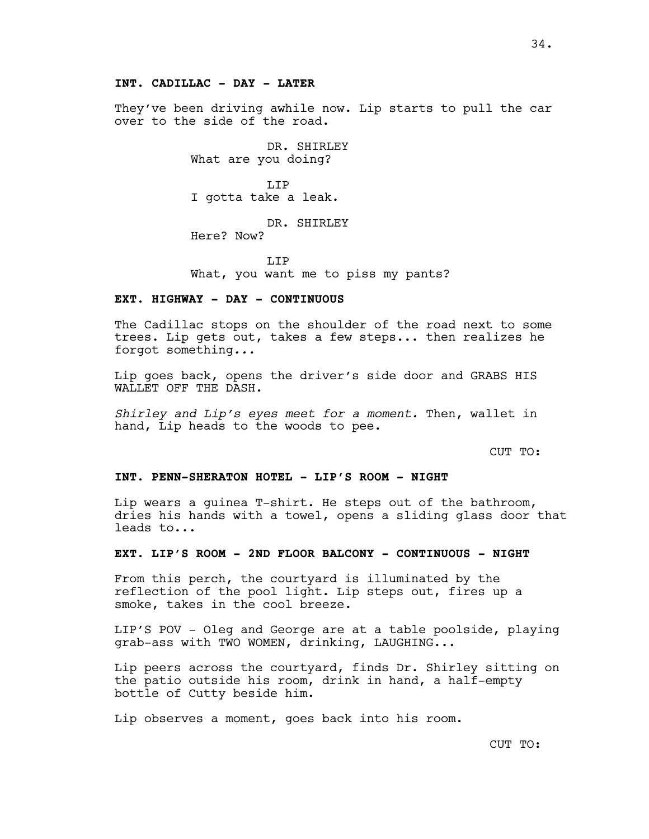They've been driving awhile now. Lip starts to pull the car over to the side of the road.

> DR. SHIRLEY What are you doing?

LIP I gotta take a leak.

DR. SHIRLEY Here? Now?

T.TP What, you want me to piss my pants?

#### **EXT. HIGHWAY - DAY - CONTINUOUS**

The Cadillac stops on the shoulder of the road next to some trees. Lip gets out, takes a few steps... then realizes he forgot something*...*

Lip goes back, opens the driver's side door and GRABS HIS WALLET OFF THE DASH.

*Shirley and Lip's eyes meet for a moment.* Then, wallet in hand, Lip heads to the woods to pee.

CUT TO:

#### **INT. PENN-SHERATON HOTEL - LIP'S ROOM - NIGHT**

Lip wears a guinea T-shirt. He steps out of the bathroom, dries his hands with a towel, opens a sliding glass door that leads to...

## **EXT. LIP'S ROOM - 2ND FLOOR BALCONY - CONTINUOUS - NIGHT**

From this perch, the courtyard is illuminated by the reflection of the pool light. Lip steps out, fires up a smoke, takes in the cool breeze.

LIP'S POV - Oleg and George are at a table poolside, playing grab-ass with TWO WOMEN, drinking, LAUGHING...

Lip peers across the courtyard, finds Dr. Shirley sitting on the patio outside his room, drink in hand, a half-empty bottle of Cutty beside him.

Lip observes a moment, goes back into his room.

CUT TO: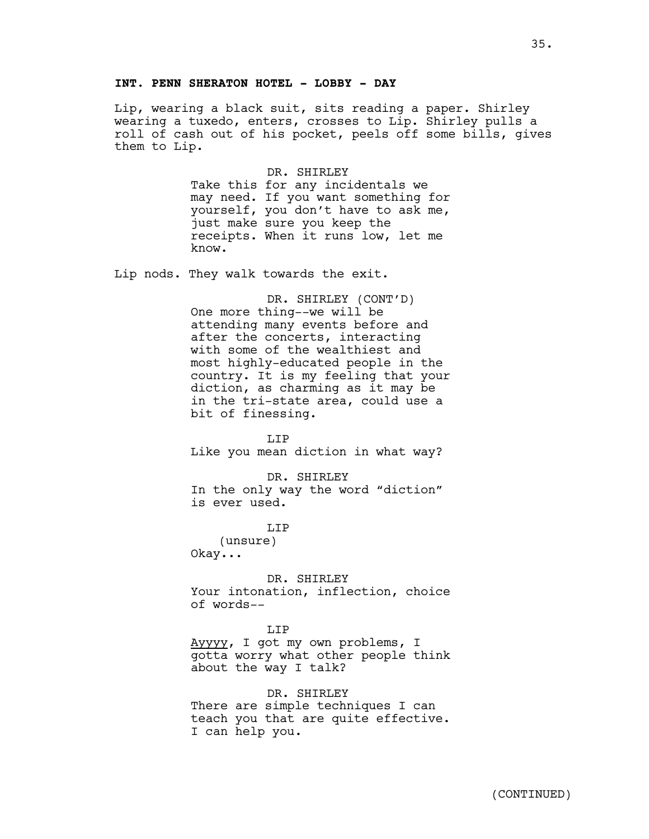## **INT. PENN SHERATON HOTEL - LOBBY - DAY**

Lip, wearing a black suit, sits reading a paper. Shirley wearing a tuxedo, enters, crosses to Lip. Shirley pulls a roll of cash out of his pocket, peels off some bills, gives them to Lip.

> DR. SHIRLEY Take this for any incidentals we may need. If you want something for yourself, you don't have to ask me, just make sure you keep the receipts. When it runs low, let me know.

Lip nods. They walk towards the exit.

DR. SHIRLEY (CONT'D) One more thing--we will be attending many events before and after the concerts, interacting with some of the wealthiest and most highly-educated people in the country. It is my feeling that your diction, as charming as it may be in the tri-state area, could use a bit of finessing.

LIP Like you mean diction in what way?

DR. SHIRLEY In the only way the word "diction" is ever used.

LIP

(unsure) Okay...

DR. SHIRLEY Your intonation, inflection, choice of words--

#### LIP

Ayyyy, I got my own problems, I gotta worry what other people think about the way I talk?

DR. SHIRLEY There are simple techniques I can teach you that are quite effective. I can help you.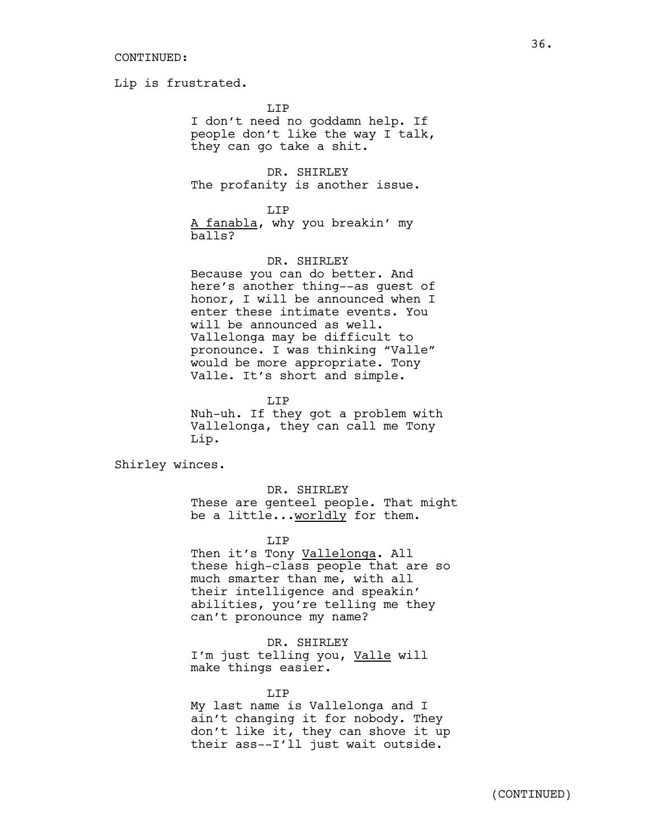Lip is frustrated.

LIP

I don't need no goddamn help. If people don't like the way I talk, they can go take a shit.

DR. SHIRLEY The profanity is another issue.

LIP

A fanabla, why you breakin' my balls?

# DR. SHIRLEY

Because you can do better. And here's another thing--as guest of honor, I will be announced when I enter these intimate events. You will be announced as well. Vallelonga may be difficult to pronounce. I was thinking "Valle" would be more appropriate. Tony Valle. It's short and simple.

LIP

Nuh-uh. If they got a problem with Vallelonga, they can call me Tony Lip.

Shirley winces.

DR. SHIRLEY

These are genteel people. That might be a little...worldly for them.

LIP

Then it's Tony Vallelonga. All these high-class people that are so much smarter than me, with all their intelligence and speakin' abilities, you're telling me they can't pronounce my name?

DR. SHIRLEY I'm just telling you, Valle will make things easier.

LIP

My last name is Vallelonga and I ain't changing it for nobody. They don't like it, they can shove it up their ass--I'll just wait outside.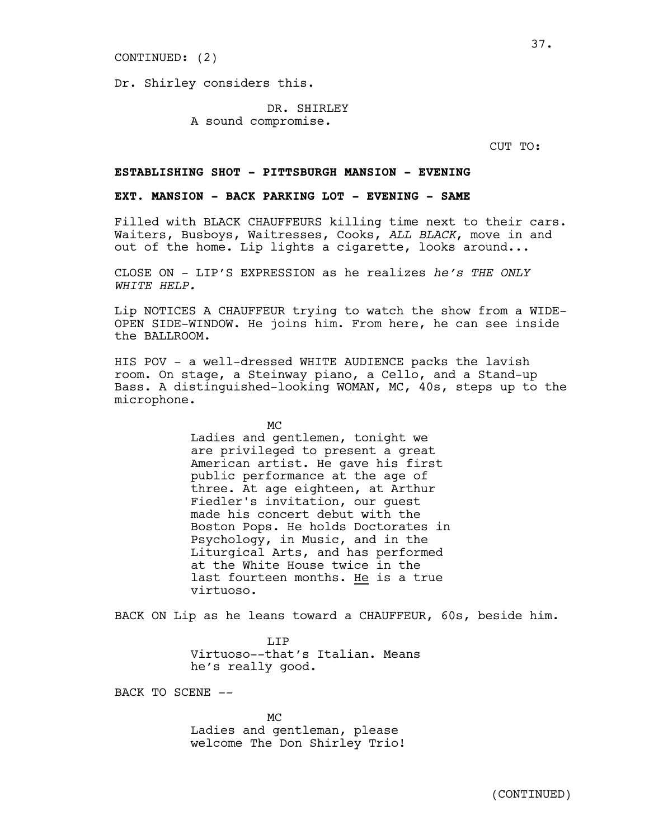#### CONTINUED: (2)

Dr. Shirley considers this.

DR. SHIRLEY A sound compromise.

CUT TO:

### **ESTABLISHING SHOT - PITTSBURGH MANSION - EVENING**

### **EXT. MANSION - BACK PARKING LOT - EVENING - SAME**

Filled with BLACK CHAUFFEURS killing time next to their cars. Waiters, Busboys, Waitresses, Cooks, *ALL BLACK*, move in and out of the home. Lip lights a cigarette, looks around...

CLOSE ON - LIP'S EXPRESSION as he realizes *he's THE ONLY WHITE HELP.*

Lip NOTICES A CHAUFFEUR trying to watch the show from a WIDE-OPEN SIDE-WINDOW. He joins him. From here, he can see inside the BALLROOM.

HIS POV - a well-dressed WHITE AUDIENCE packs the lavish room. On stage, a Steinway piano, a Cello, and a Stand-up Bass. A distinguished-looking WOMAN, MC, 40s, steps up to the microphone.

> MC Ladies and gentlemen, tonight we are privileged to present a great American artist. He gave his first public performance at the age of three. At age eighteen, at Arthur Fiedler's invitation, our guest made his concert debut with the Boston Pops. He holds Doctorates in Psychology, in Music, and in the Liturgical Arts, and has performed at the White House twice in the last fourteen months. He is a true virtuoso.

BACK ON Lip as he leans toward a CHAUFFEUR, 60s, beside him.

**T.TP** Virtuoso--that's Italian. Means he's really good.

BACK TO SCENE --

MC Ladies and gentleman, please welcome The Don Shirley Trio!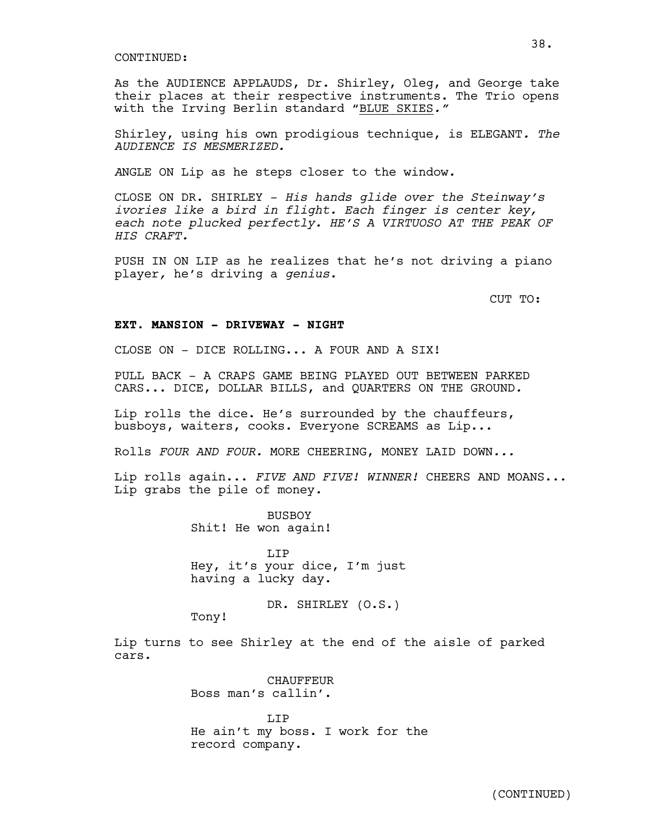As the AUDIENCE APPLAUDS, Dr. Shirley, Oleg, and George take their places at their respective instruments. The Trio opens with the Irving Berlin standard "BLUE SKIES*."*

Shirley, using his own prodigious technique, is ELEGANT*. The AUDIENCE IS MESMERIZED.* 

*A*NGLE ON Lip as he steps closer to the window*.* 

CLOSE ON DR. SHIRLEY - *His hands glide over the Steinway's ivories like a bird in flight. Each finger is center key, each note plucked perfectly. HE'S A VIRTUOSO AT THE PEAK OF HIS CRAFT.*

PUSH IN ON LIP as he realizes that he's not driving a piano player*,* he's driving a *genius.* 

CUT TO:

#### **EXT. MANSION - DRIVEWAY - NIGHT**

CLOSE ON - DICE ROLLING... A FOUR AND A SIX!

PULL BACK - A CRAPS GAME BEING PLAYED OUT BETWEEN PARKED CARS... DICE, DOLLAR BILLS, and QUARTERS ON THE GROUND*.*

Lip rolls the dice. He's surrounded by the chauffeurs, busboys, waiters, cooks. Everyone SCREAMS as Lip...

Rolls *FOUR AND FOUR.* MORE CHEERING, MONEY LAID DOWN*...*

Lip rolls again... *FIVE AND FIVE! WINNER!* CHEERS AND MOANS... Lip grabs the pile of money*.*

> **BUSBOY** Shit! He won again!

LIP Hey, it's your dice, I'm just having a lucky day.

DR. SHIRLEY (O.S.)

Tony!

Lip turns to see Shirley at the end of the aisle of parked cars.

> **CHAUFFEUR** Boss man's callin'.

LIP He ain't my boss. I work for the record company.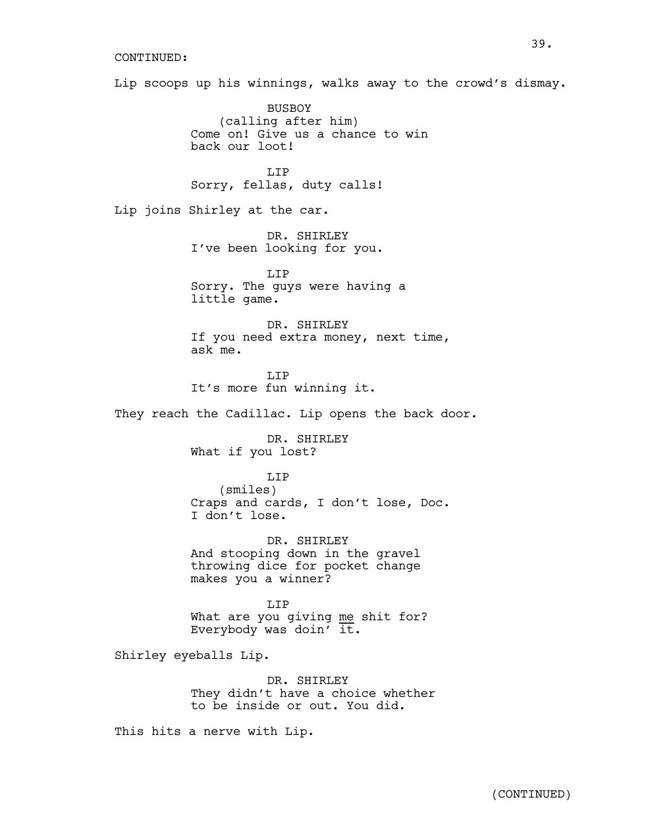Lip scoops up his winnings, walks away to the crowd's dismay.

BUSBOY (calling after him) Come on! Give us a chance to win back our loot!

T.TP Sorry, fellas, duty calls!

Lip joins Shirley at the car.

DR. SHIRLEY I've been looking for you.

LIP Sorry. The guys were having a little game.

DR. SHIRLEY If you need extra money, next time, ask me.

T.TP It's more fun winning it.

They reach the Cadillac. Lip opens the back door.

DR. SHIRLEY What if you lost?

## LIP

(smiles) Craps and cards, I don't lose, Doc. I don't lose.

DR. SHIRLEY And stooping down in the gravel throwing dice for pocket change makes you a winner?

LIP What are you giving me shit for? Everybody was doin'  $it.$ 

Shirley eyeballs Lip.

DR. SHIRLEY They didn't have a choice whether to be inside or out. You did.

This hits a nerve with Lip.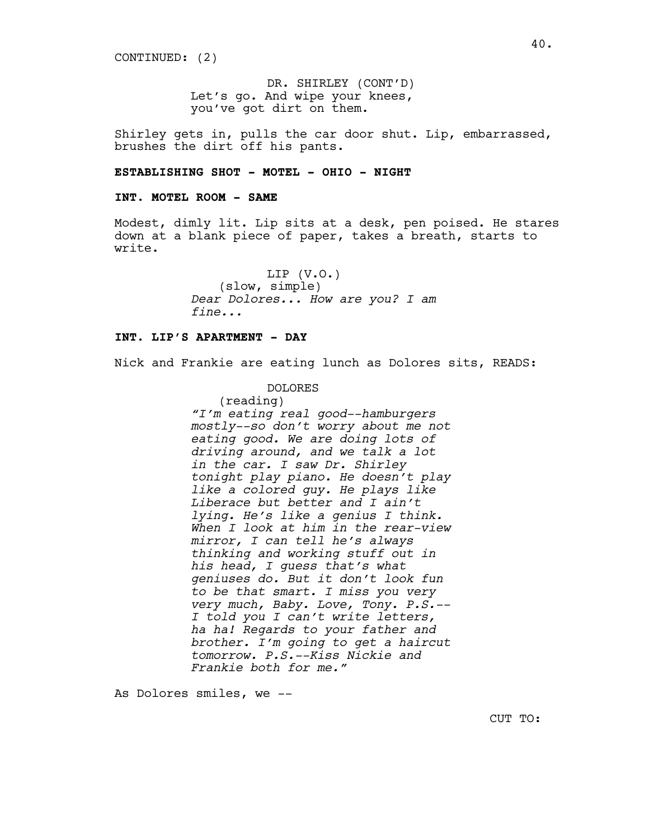CONTINUED: (2)

DR. SHIRLEY (CONT'D) Let's go. And wipe your knees, you've got dirt on them.

Shirley gets in, pulls the car door shut. Lip, embarrassed, brushes the dirt off his pants.

### **ESTABLISHING SHOT - MOTEL - OHIO - NIGHT**

# **INT. MOTEL ROOM - SAME**

Modest, dimly lit. Lip sits at a desk, pen poised. He stares down at a blank piece of paper, takes a breath, starts to write.

> LIP (V.O.) (slow, simple) *Dear Dolores... How are you? I am fine...*

# **INT. LIP'S APARTMENT - DAY**

Nick and Frankie are eating lunch as Dolores sits, READS:

# DOLORES

(reading) *"I'm eating real good--hamburgers mostly--so don't worry about me not eating good. We are doing lots of driving around, and we talk a lot in the car. I saw Dr. Shirley tonight play piano. He doesn't play like a colored guy. He plays like Liberace but better and I ain't lying. He's like a genius I think. When I look at him in the rear-view mirror, I can tell he's always thinking and working stuff out in his head, I guess that's what geniuses do. But it don't look fun to be that smart. I miss you very very much, Baby. Love, Tony. P.S.-- I told you I can't write letters, ha ha! Regards to your father and brother. I'm going to get a haircut tomorrow. P.S.--Kiss Nickie and Frankie both for me."* 

As Dolores smiles, we --

CUT TO: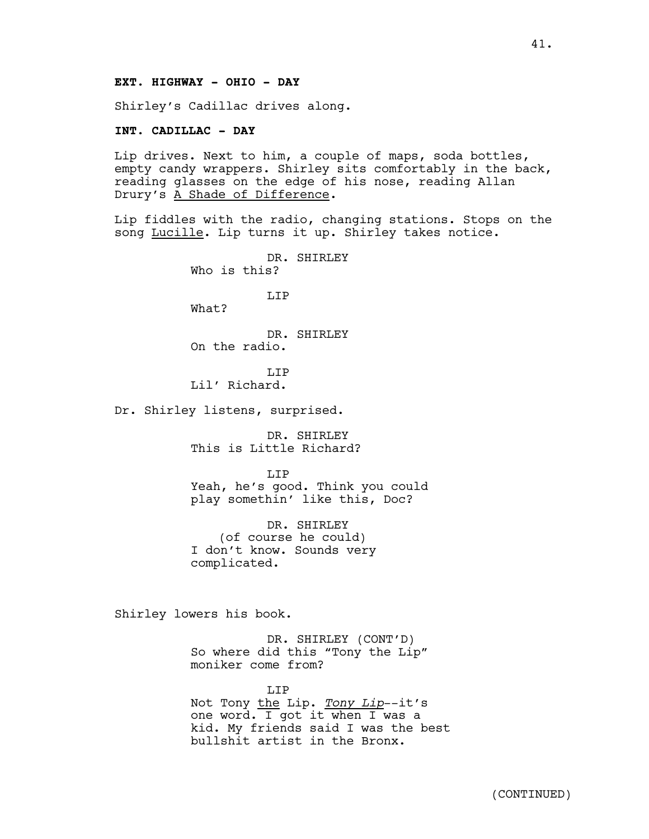# **EXT. HIGHWAY - OHIO - DAY**

Shirley's Cadillac drives along.

### **INT. CADILLAC - DAY**

Lip drives. Next to him, a couple of maps, soda bottles, empty candy wrappers. Shirley sits comfortably in the back, reading glasses on the edge of his nose, reading Allan Drury's A Shade of Difference.

Lip fiddles with the radio, changing stations. Stops on the song Lucille. Lip turns it up. Shirley takes notice.

> DR. SHIRLEY Who is this?

> > LIP

What?

DR. SHIRLEY On the radio.

T.TP Lil' Richard.

Dr. Shirley listens, surprised.

DR. SHIRLEY This is Little Richard?

LIP Yeah, he's good. Think you could play somethin' like this, Doc?

DR. SHIRLEY (of course he could) I don't know. Sounds very complicated.

Shirley lowers his book.

DR. SHIRLEY (CONT'D) So where did this "Tony the Lip" moniker come from?

LIP Not Tony the Lip. *Tony Lip*--it's one word. I got it when I was a kid. My friends said I was the best bullshit artist in the Bronx.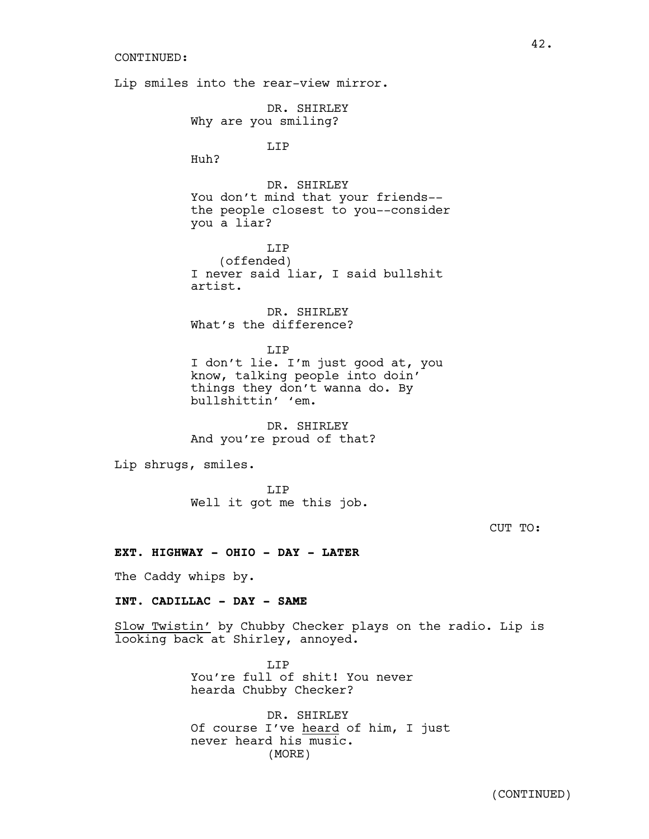Lip smiles into the rear-view mirror. DR. SHIRLEY Why are you smiling? LIP Huh? DR. SHIRLEY You don't mind that your friends- the people closest to you--consider you a liar? LIP (offended) I never said liar, I said bullshit artist. DR. SHIRLEY What's the difference? LIP I don't lie. I'm just good at, you know, talking people into doin' things they don't wanna do. By bullshittin' 'em. DR. SHIRLEY And you're proud of that? Lip shrugs, smiles. LIP Well it got me this job. **EXT. HIGHWAY - OHIO - DAY - LATER** The Caddy whips by. **INT. CADILLAC - DAY - SAME**

Slow Twistin' by Chubby Checker plays on the radio. Lip is looking back at Shirley, annoyed.

> T.T<sub>P</sub> You're full of shit! You never hearda Chubby Checker?

DR. SHIRLEY Of course I've heard of him, I just never heard his music. (MORE)

42.

CUT TO: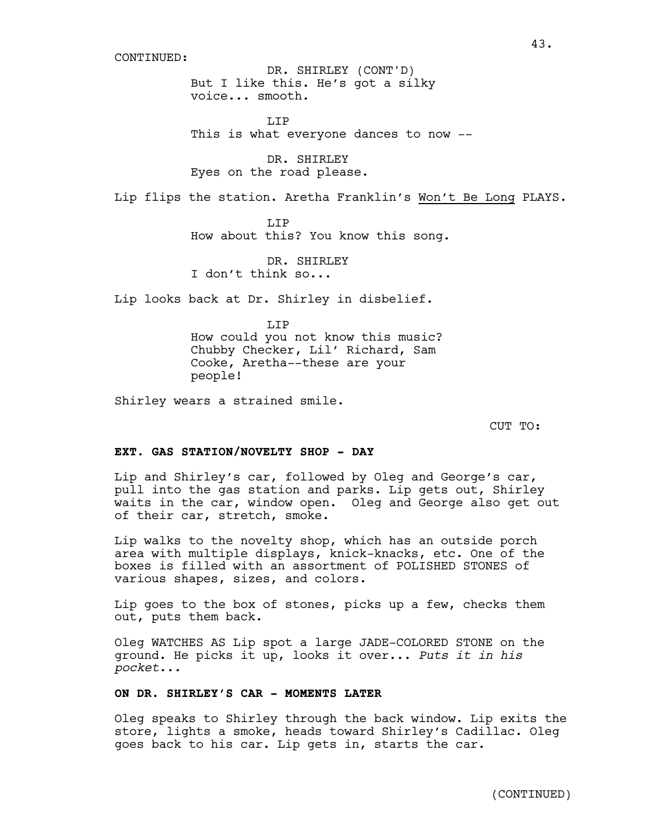But I like this. He's got a silky voice... smooth. DR. SHIRLEY (CONT'D)

T.TP This is what everyone dances to now --

DR. SHIRLEY Eyes on the road please.

Lip flips the station. Aretha Franklin's Won't Be Long PLAYS.

T.TP How about this? You know this song.

DR. SHIRLEY I don't think so...

Lip looks back at Dr. Shirley in disbelief.

LIP How could you not know this music? Chubby Checker, Lil' Richard, Sam Cooke, Aretha--these are your people!

Shirley wears a strained smile.

CUT TO:

## **EXT. GAS STATION/NOVELTY SHOP - DAY**

Lip and Shirley's car, followed by Oleg and George's car, pull into the gas station and parks. Lip gets out, Shirley waits in the car, window open. Oleg and George also get out of their car, stretch, smoke.

Lip walks to the novelty shop, which has an outside porch area with multiple displays, knick-knacks, etc. One of the boxes is filled with an assortment of POLISHED STONES of various shapes, sizes, and colors.

Lip goes to the box of stones, picks up a few, checks them out, puts them back.

Oleg WATCHES AS Lip spot a large JADE-COLORED STONE on the ground. He picks it up, looks it over... *Puts it in his pocket...*

# **ON DR. SHIRLEY'S CAR - MOMENTS LATER**

Oleg speaks to Shirley through the back window. Lip exits the store, lights a smoke, heads toward Shirley's Cadillac. Oleg goes back to his car. Lip gets in, starts the car.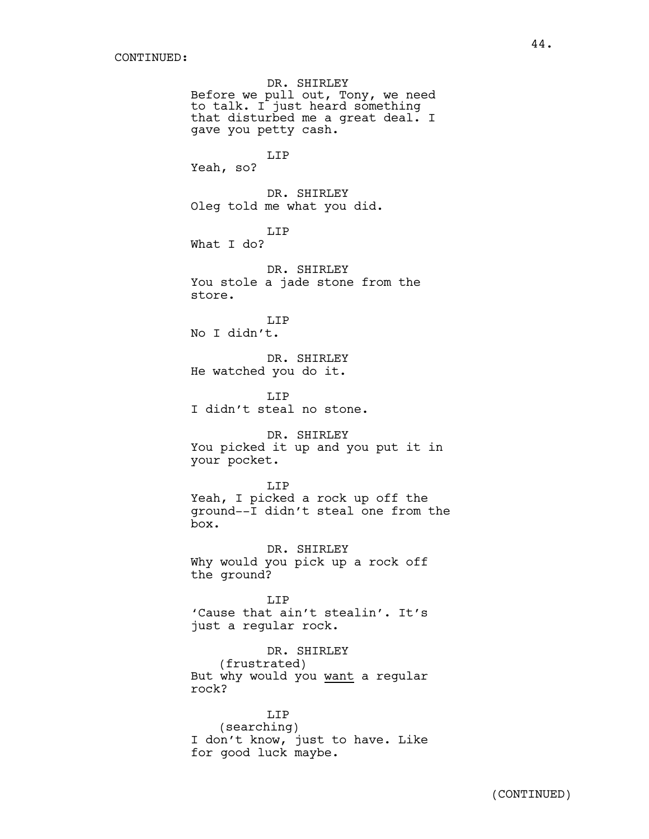DR. SHIRLEY Before we pull out, Tony, we need to talk. I just heard something that disturbed me a great deal. I gave you petty cash. LIP Yeah, so? DR. SHIRLEY Oleg told me what you did. LIP What I do? DR. SHIRLEY You stole a jade stone from the store. LIP No I didn't. DR. SHIRLEY He watched you do it. LIP I didn't steal no stone. DR. SHIRLEY You picked it up and you put it in your pocket. LIP Yeah, I picked a rock up off the ground--I didn't steal one from the box. DR. SHIRLEY Why would you pick up a rock off the ground? LIP 'Cause that ain't stealin'. It's just a regular rock. DR. SHIRLEY (frustrated) But why would you want a regular rock? LIP

(searching) I don't know, just to have. Like for good luck maybe.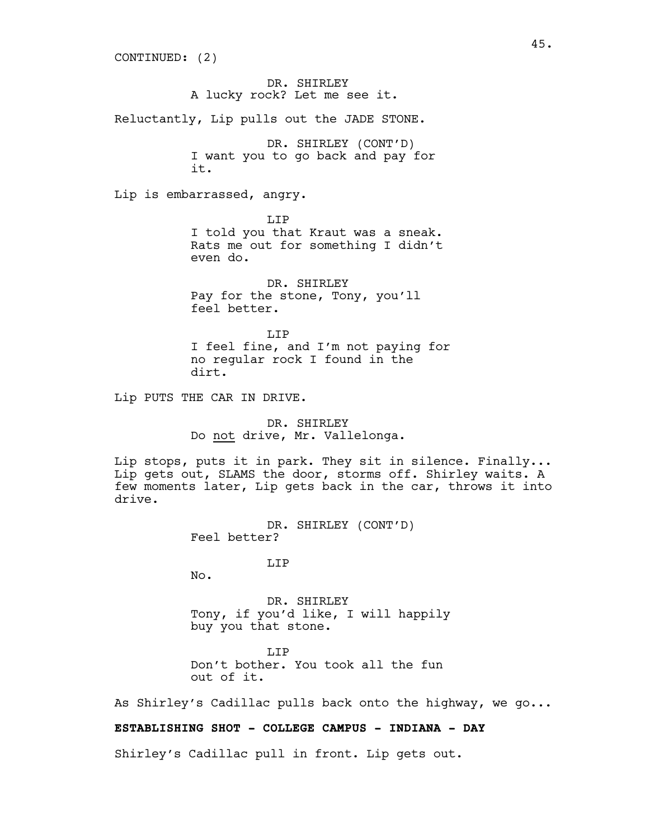DR. SHIRLEY A lucky rock? Let me see it. Reluctantly, Lip pulls out the JADE STONE. DR. SHIRLEY (CONT'D) I want you to go back and pay for it. Lip is embarrassed, angry. LIP I told you that Kraut was a sneak. Rats me out for something I didn't even do. DR. SHIRLEY Pay for the stone, Tony, you'll feel better. T.T<sub>P</sub> I feel fine, and I'm not paying for no regular rock I found in the dirt. Lip PUTS THE CAR IN DRIVE.

> DR. SHIRLEY Do not drive, Mr. Vallelonga.

Lip stops, puts it in park. They sit in silence. Finally... Lip gets out, SLAMS the door, storms off. Shirley waits. A few moments later, Lip gets back in the car, throws it into drive.

> DR. SHIRLEY (CONT'D) Feel better?

> > T.TP

No.

DR. SHIRLEY Tony, if you'd like, I will happily buy you that stone.

LIP Don't bother. You took all the fun out of it.

As Shirley's Cadillac pulls back onto the highway, we go...

# **ESTABLISHING SHOT - COLLEGE CAMPUS - INDIANA - DAY**

Shirley's Cadillac pull in front. Lip gets out.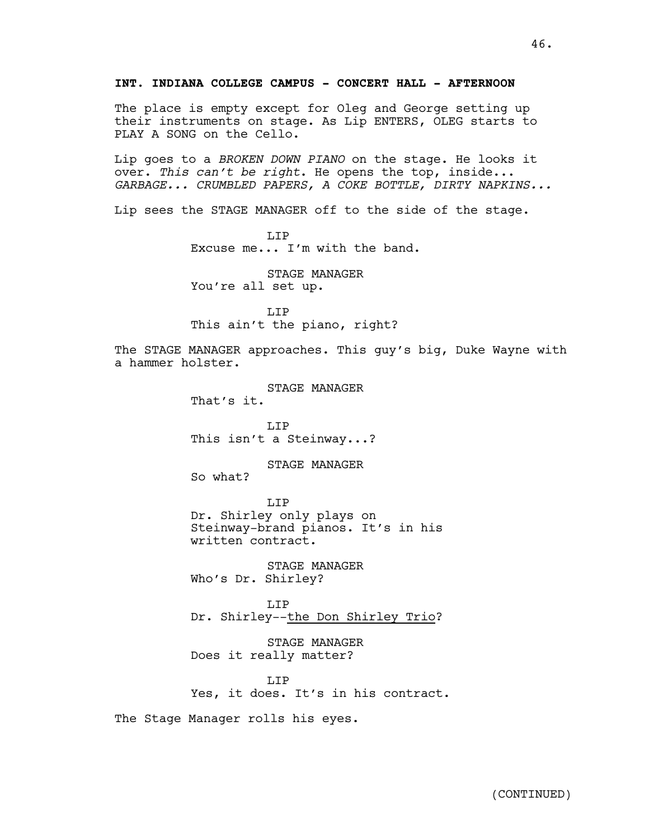The place is empty except for Oleg and George setting up their instruments on stage. As Lip ENTERS, OLEG starts to PLAY A SONG on the Cello.

Lip goes to a *BROKEN DOWN PIANO* on the stage. He looks it over. *This can't be right*. He opens the top, inside... *GARBAGE... CRUMBLED PAPERS, A COKE BOTTLE, DIRTY NAPKINS...*

Lip sees the STAGE MANAGER off to the side of the stage.

T.TP Excuse me... I'm with the band.

STAGE MANAGER You're all set up.

T.TP This ain't the piano, right?

The STAGE MANAGER approaches. This guy's big, Duke Wayne with a hammer holster.

> STAGE MANAGER That's it.

LIP This isn't a Steinway...?

STAGE MANAGER So what?

LIP Dr. Shirley only plays on Steinway-brand pianos. It's in his written contract.

STAGE MANAGER Who's Dr. Shirley?

T.TP Dr. Shirley--the Don Shirley Trio?

STAGE MANAGER Does it really matter?

T.TP Yes, it does. It's in his contract.

The Stage Manager rolls his eyes.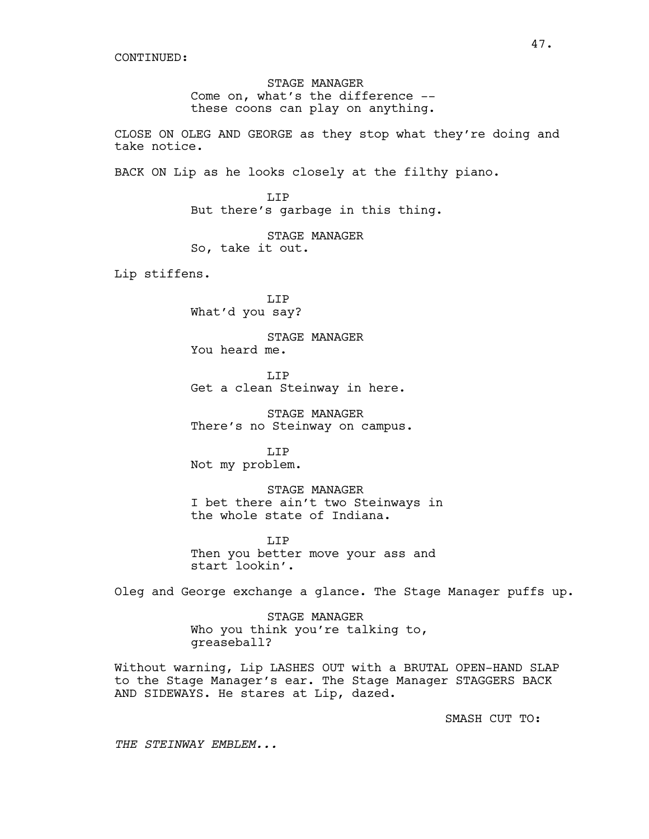STAGE MANAGER Come on, what's the difference - these coons can play on anything.

CLOSE ON OLEG AND GEORGE as they stop what they're doing and take notice.

BACK ON Lip as he looks closely at the filthy piano.

LIP But there's garbage in this thing.

STAGE MANAGER So, take it out.

Lip stiffens.

LIP What'd you say?

STAGE MANAGER You heard me.

T.TP Get a clean Steinway in here.

STAGE MANAGER There's no Steinway on campus.

T.TP Not my problem.

STAGE MANAGER I bet there ain't two Steinways in the whole state of Indiana.

LIP Then you better move your ass and start lookin'.

Oleg and George exchange a glance. The Stage Manager puffs up.

STAGE MANAGER Who you think you're talking to, greaseball?

Without warning, Lip LASHES OUT with a BRUTAL OPEN-HAND SLAP to the Stage Manager's ear. The Stage Manager STAGGERS BACK AND SIDEWAYS. He stares at Lip, dazed.

SMASH CUT TO:

*THE STEINWAY EMBLEM...*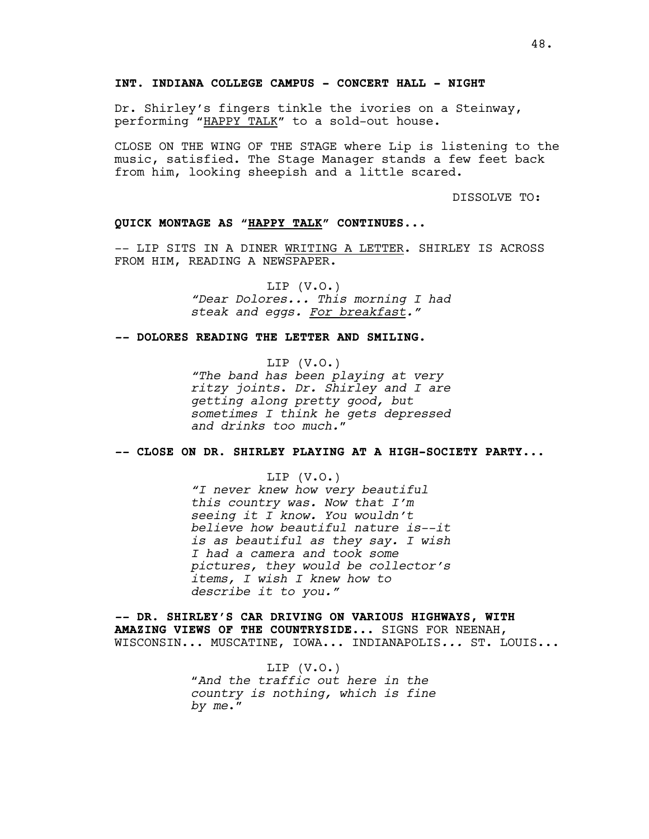Dr. Shirley's fingers tinkle the ivories on a Steinway, performing "HAPPY TALK" to a sold-out house.

CLOSE ON THE WING OF THE STAGE where Lip is listening to the music, satisfied. The Stage Manager stands a few feet back from him, looking sheepish and a little scared.

DISSOLVE TO:

# **QUICK MONTAGE AS "HAPPY TALK" CONTINUES.***..*

-- LIP SITS IN A DINER WRITING A LETTER. SHIRLEY IS ACROSS FROM HIM, READING A NEWSPAPER.

> LIP (V.O.) *"Dear Dolores... This morning I had steak and eggs. For breakfast."*

### *--* **DOLORES READING THE LETTER AND SMILING***.*

LIP (V.O.) *"The band has been playing at very ritzy joints*. *Dr. Shirley and I are getting along pretty good, but sometimes I think he gets depressed and drinks too much.*"

*--* **CLOSE ON DR. SHIRLEY PLAYING AT A HIGH-SOCIETY PARTY***...*

LIP (V.O.) *"I never knew how very beautiful this country was. Now that I'm seeing it I know. You wouldn't believe how beautiful nature is--it is as beautiful as they say. I wish I had a camera and took some pictures, they would be collector's items, I wish I knew how to describe it to you."*

*--* **DR. SHIRLEY'S CAR DRIVING ON VARIOUS HIGHWAYS, WITH AMAZING VIEWS OF THE COUNTRYSIDE***...* SIGNS FOR NEENAH, WISCONSIN... MUSCATINE, IOWA... INDIANAPOLIS*...* ST. LOUIS...

> LIP  $(V.0.)$ "*And the traffic out here in the country is nothing, which is fine by me*."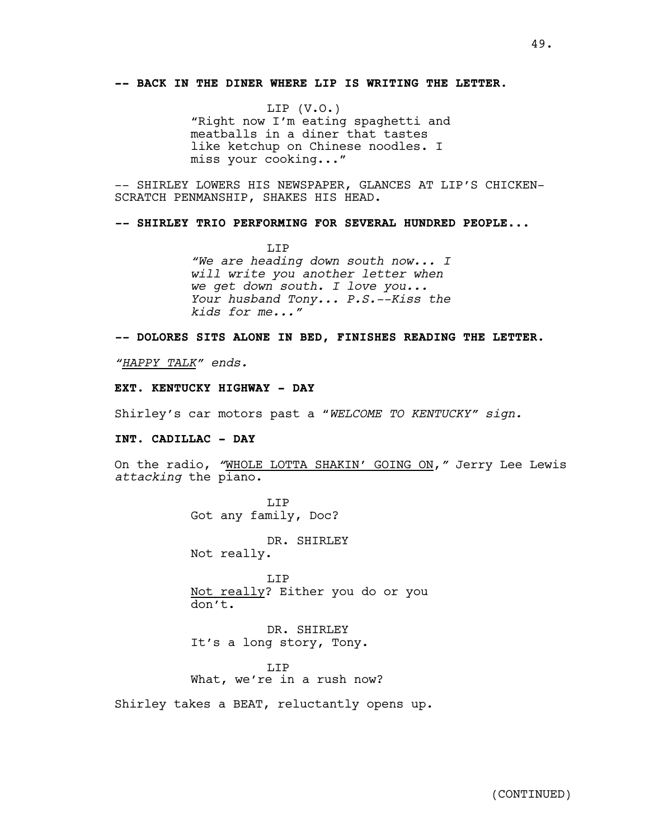# **-- BACK IN THE DINER WHERE LIP IS WRITING THE LETTER.**

LIP (V.O.) "Right now I'm eating spaghetti and meatballs in a diner that tastes like ketchup on Chinese noodles. I miss your cooking..."

-- SHIRLEY LOWERS HIS NEWSPAPER, GLANCES AT LIP'S CHICKEN-SCRATCH PENMANSHIP, SHAKES HIS HEAD.

*--* **SHIRLEY TRIO PERFORMING FOR SEVERAL HUNDRED PEOPLE***...*

LIP *"We are heading down south now... I will write you another letter when we get down south. I love you... Your husband Tony... P.S.--Kiss the kids for me..."*

*--* **DOLORES SITS ALONE IN BED, FINISHES READING THE LETTER***.*

*"HAPPY TALK" ends.*

# **EXT. KENTUCKY HIGHWAY - DAY**

Shirley's car motors past a "*WELCOME TO KENTUCKY" sign.*

#### **INT. CADILLAC - DAY**

On the radio, *"*WHOLE LOTTA SHAKIN' GOING ON,*"* Jerry Lee Lewis *attacking* the piano.

> LIP Got any family, Doc?

> > DR. SHIRLEY

Not really.

LIP Not really? Either you do or you don't.

DR. SHIRLEY It's a long story, Tony.

LIP What, we're in a rush now?

Shirley takes a BEAT, reluctantly opens up.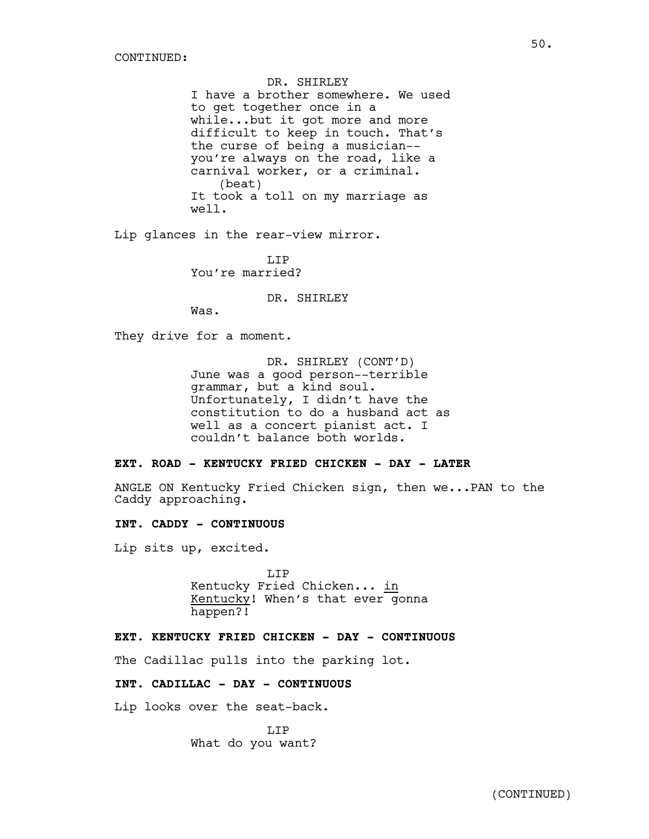DR. SHIRLEY I have a brother somewhere. We used to get together once in a while...but it got more and more difficult to keep in touch. That's the curse of being a musician- you're always on the road, like a carnival worker, or a criminal. (beat) It took a toll on my marriage as well.

Lip glances in the rear-view mirror.

LIP You're married?

DR. SHIRLEY

Was.

They drive for a moment.

DR. SHIRLEY (CONT'D) June was a good person--terrible grammar, but a kind soul. Unfortunately, I didn't have the constitution to do a husband act as well as a concert pianist act. I couldn't balance both worlds.

# **EXT. ROAD - KENTUCKY FRIED CHICKEN - DAY - LATER**

ANGLE ON Kentucky Fried Chicken sign, then we...PAN to the Caddy approaching.

# **INT. CADDY - CONTINUOUS**

Lip sits up, excited.

LIP Kentucky Fried Chicken... in Kentucky! When's that ever gonna happen?!

## **EXT. KENTUCKY FRIED CHICKEN - DAY - CONTINUOUS**

The Cadillac pulls into the parking lot.

# **INT. CADILLAC - DAY - CONTINUOUS**

Lip looks over the seat-back.

LIP What do you want?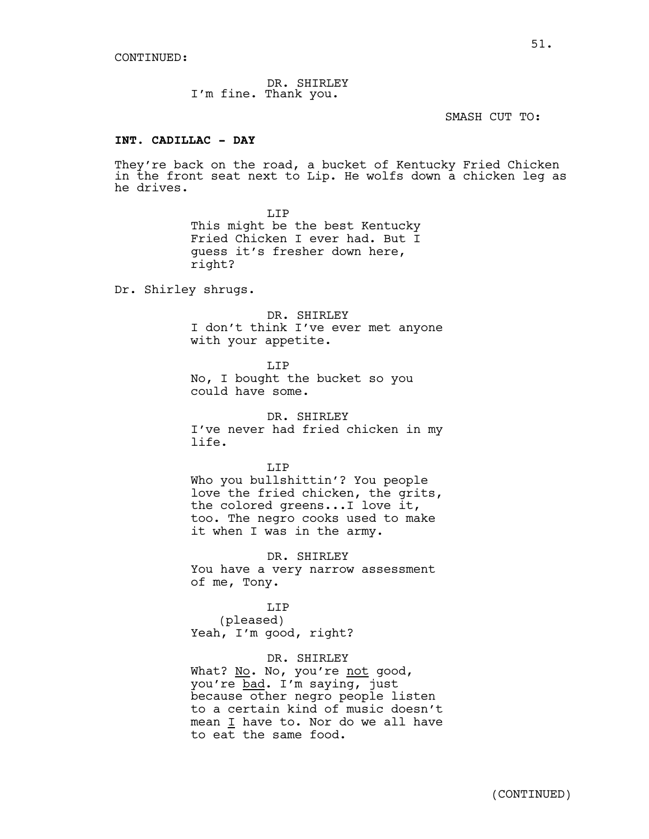DR. SHIRLEY I'm fine. Thank you.

SMASH CUT TO:

# **INT. CADILLAC - DAY**

They're back on the road, a bucket of Kentucky Fried Chicken in the front seat next to Lip. He wolfs down a chicken leg as he drives.

> T.TP This might be the best Kentucky Fried Chicken I ever had. But I guess it's fresher down here, right?

Dr. Shirley shrugs.

DR. SHIRLEY I don't think I've ever met anyone with your appetite.

LIP

No, I bought the bucket so you could have some.

DR. SHIRLEY I've never had fried chicken in my life.

LIP

Who you bullshittin'? You people love the fried chicken, the grits, the colored greens...I love it, too. The negro cooks used to make it when I was in the army.

DR. SHIRLEY You have a very narrow assessment of me, Tony.

LIP (pleased) Yeah, I'm good, right?

DR. SHIRLEY What? No. No, you're not good, you're bad. I'm saying, just because other negro people listen to a certain kind of music doesn't mean I have to. Nor do we all have to eat the same food.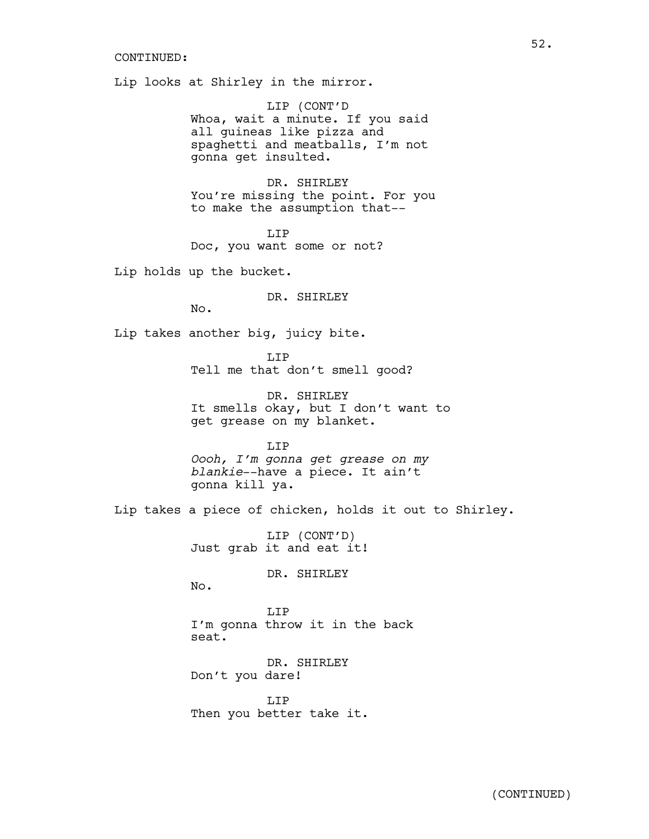Lip looks at Shirley in the mirror.

LIP (CONT'D Whoa, wait a minute. If you said all guineas like pizza and spaghetti and meatballs, I'm not gonna get insulted.

DR. SHIRLEY You're missing the point. For you to make the assumption that--

LIP Doc, you want some or not?

Lip holds up the bucket.

DR. SHIRLEY

No.

Lip takes another big, juicy bite.

LIP Tell me that don't smell good?

DR. SHIRLEY It smells okay, but I don't want to get grease on my blanket.

LIP *Oooh, I'm gonna get grease on my blankie*--have a piece. It ain't gonna kill ya.

Lip takes a piece of chicken, holds it out to Shirley.

LIP (CONT'D) Just grab it and eat it!

DR. SHIRLEY

No.

LIP I'm gonna throw it in the back seat.

DR. SHIRLEY Don't you dare!

LIP Then you better take it.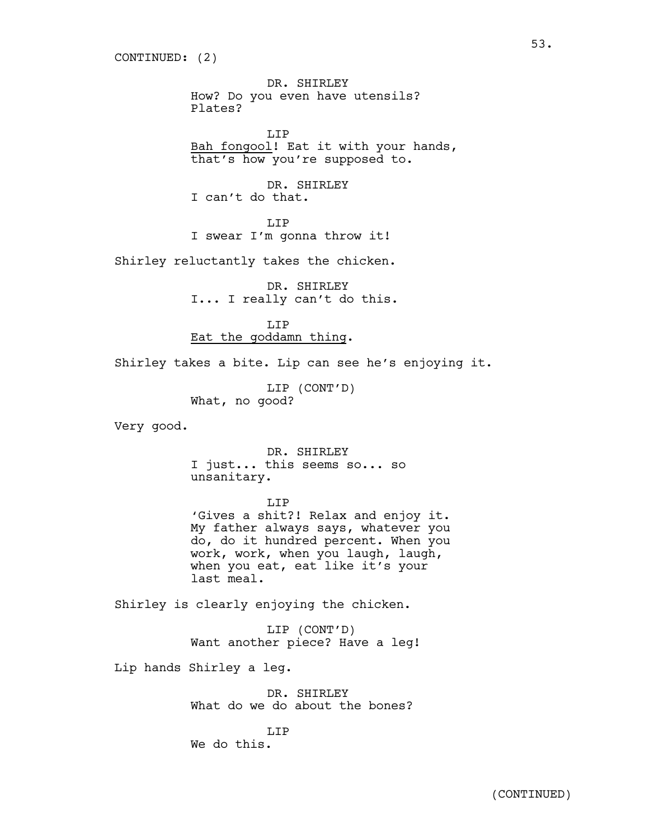DR. SHIRLEY How? Do you even have utensils? Plates?

LIP Bah fongool! Eat it with your hands, that's how you're supposed to.

DR. SHIRLEY I can't do that.

LIP I swear I'm gonna throw it!

Shirley reluctantly takes the chicken.

DR. SHIRLEY I... I really can't do this.

LIP Eat the goddamn thing.

Shirley takes a bite. Lip can see he's enjoying it.

LIP (CONT'D) What, no good?

Very good.

DR. SHIRLEY I just... this seems so... so unsanitary.

LIP

'Gives a shit?! Relax and enjoy it. My father always says, whatever you do, do it hundred percent. When you work, work, when you laugh, laugh, when you eat, eat like it's your last meal.

Shirley is clearly enjoying the chicken.

LIP (CONT'D) Want another piece? Have a leg!

Lip hands Shirley a leg.

DR. SHIRLEY What do we do about the bones?

T.TP We do this.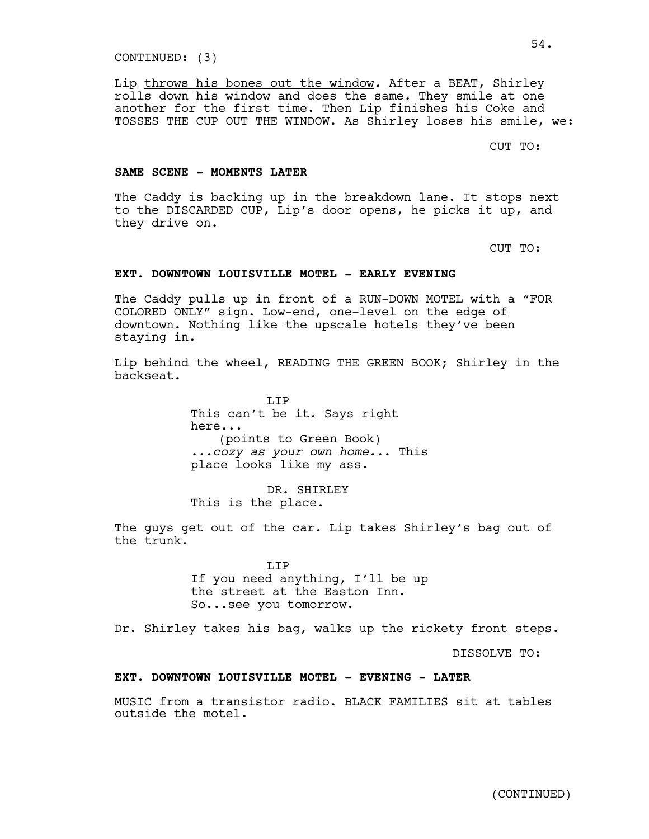CONTINUED: (3)

Lip throws his bones out the window*.* After a BEAT, Shirley rolls down his window and does the same*.* They smile at one another for the first time. Then Lip finishes his Coke and TOSSES THE CUP OUT THE WINDOW. As Shirley loses his smile, we:

CUT TO:

#### **SAME SCENE - MOMENTS LATER**

The Caddy is backing up in the breakdown lane. It stops next to the DISCARDED CUP, Lip's door opens, he picks it up, and they drive on.

CUT TO:

# **EXT. DOWNTOWN LOUISVILLE MOTEL - EARLY EVENING**

The Caddy pulls up in front of a RUN-DOWN MOTEL with a "FOR COLORED ONLY" sign. Low-end, one-level on the edge of downtown. Nothing like the upscale hotels they've been staying in.

Lip behind the wheel, READING THE GREEN BOOK; Shirley in the backseat.

> T.T<sub>P</sub> This can't be it. Says right here... (points to Green Book) ...*cozy as your own home..*. This place looks like my ass.

DR. SHIRLEY This is the place.

The guys get out of the car. Lip takes Shirley's bag out of the trunk.

> LIP If you need anything, I'll be up the street at the Easton Inn. So...see you tomorrow.

Dr. Shirley takes his bag, walks up the rickety front steps.

DISSOLVE TO:

### **EXT. DOWNTOWN LOUISVILLE MOTEL - EVENING - LATER**

MUSIC from a transistor radio. BLACK FAMILIES sit at tables outside the motel.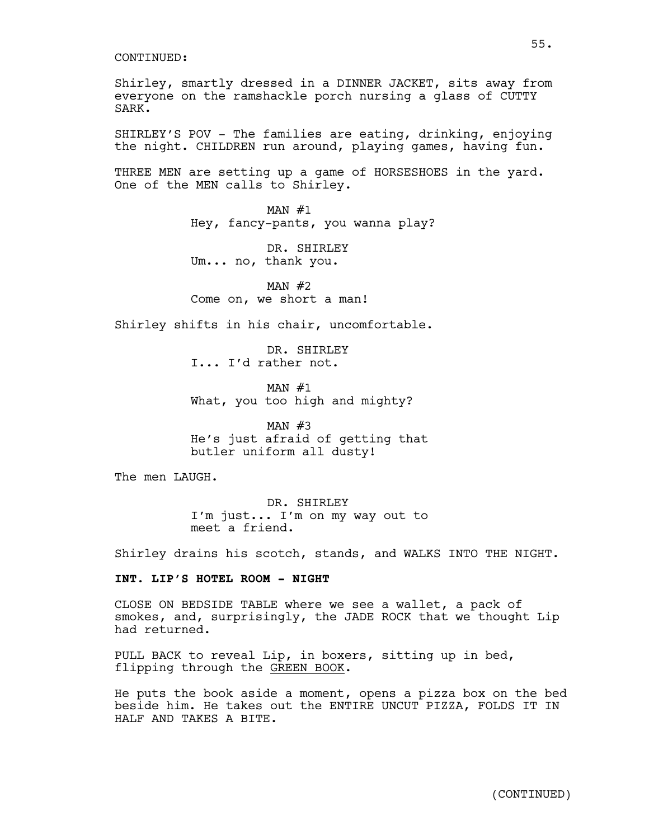Shirley, smartly dressed in a DINNER JACKET, sits away from everyone on the ramshackle porch nursing a glass of CUTTY SARK.

SHIRLEY'S POV - The families are eating, drinking, enjoying the night. CHILDREN run around, playing games, having fun.

THREE MEN are setting up a game of HORSESHOES in the yard. One of the MEN calls to Shirley.

> $MAN$  #1 Hey, fancy-pants, you wanna play?

DR. SHIRLEY Um... no, thank you.

MAN  $#2$ Come on, we short a man!

Shirley shifts in his chair, uncomfortable.

DR. SHIRLEY I... I'd rather not.

 $MAN$  #1 What, you too high and mighty?

MAN  $#3$ He's just afraid of getting that butler uniform all dusty!

The men LAUGH.

DR. SHIRLEY I'm just... I'm on my way out to meet a friend.

Shirley drains his scotch, stands, and WALKS INTO THE NIGHT.

### **INT. LIP'S HOTEL ROOM - NIGHT**

CLOSE ON BEDSIDE TABLE where we see a wallet, a pack of smokes, and, surprisingly, the JADE ROCK that we thought Lip had returned.

PULL BACK to reveal Lip, in boxers, sitting up in bed, flipping through the GREEN BOOK.

He puts the book aside a moment, opens a pizza box on the bed beside him. He takes out the ENTIRE UNCUT PIZZA, FOLDS IT IN HALF AND TAKES A BITE.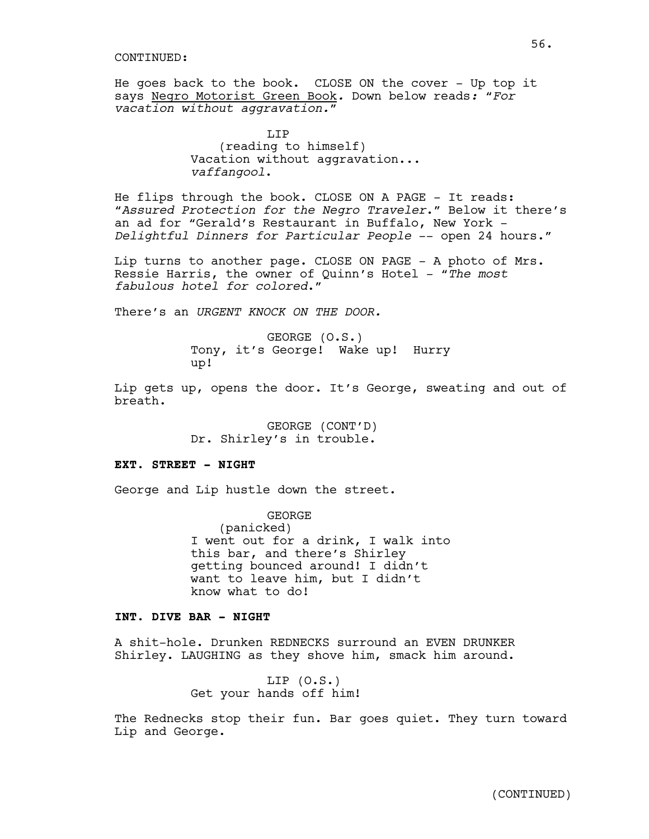He goes back to the book. CLOSE ON the cover - Up top it says Negro Motorist Green Book*.* Down below reads*:* "*For vacation without aggravation.*"

> LIP (reading to himself) Vacation without aggravation... *vaffangool*.

He flips through the book. CLOSE ON A PAGE - It reads: "*Assured Protection for the Negro Traveler*." Below it there's an ad for "Gerald's Restaurant in Buffalo, New York - *Delightful Dinners for Particular People* -- open 24 hours."

Lip turns to another page. CLOSE ON PAGE - A photo of Mrs. Ressie Harris, the owner of Quinn's Hotel - "*The most fabulous hotel for colored*."

There's an *URGENT KNOCK ON THE DOOR.* 

GEORGE (O.S.) Tony, it's George! Wake up! Hurry up!

Lip gets up, opens the door. It's George, sweating and out of breath.

> GEORGE (CONT'D) Dr. Shirley's in trouble.

#### **EXT. STREET - NIGHT**

George and Lip hustle down the street.

GEORGE (panicked) I went out for a drink, I walk into this bar, and there's Shirley getting bounced around! I didn't want to leave him, but I didn't know what to do!

### **INT. DIVE BAR - NIGHT**

A shit-hole. Drunken REDNECKS surround an EVEN DRUNKER Shirley. LAUGHING as they shove him, smack him around.

> LIP (O.S.) Get your hands off him!

The Rednecks stop their fun. Bar goes quiet. They turn toward Lip and George.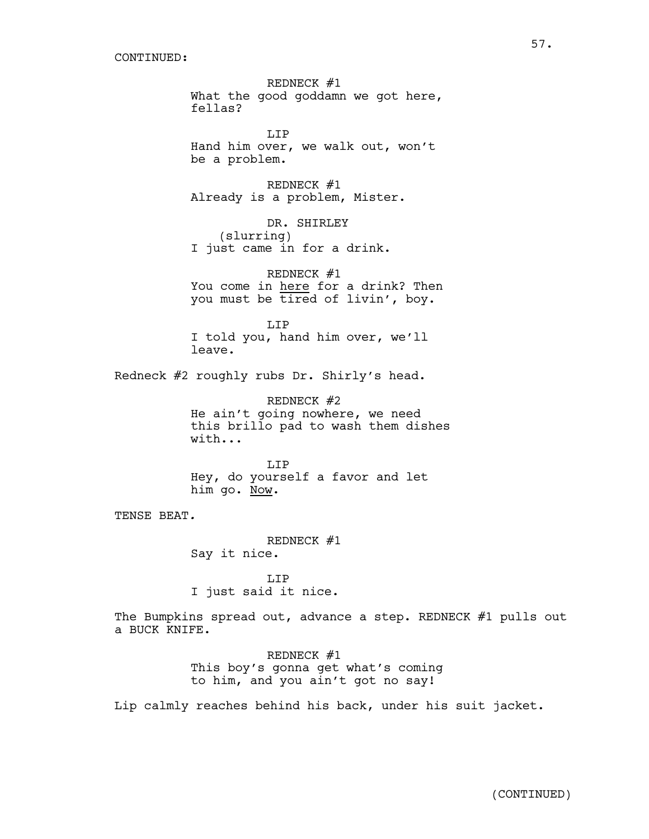REDNECK #1 What the good goddamn we got here, fellas?

LIP Hand him over, we walk out, won't be a problem.

REDNECK #1 Already is a problem, Mister.

DR. SHIRLEY (slurring) I just came in for a drink.

REDNECK #1 You come in here for a drink? Then you must be tired of livin', boy.

LIP I told you, hand him over, we'll leave.

Redneck #2 roughly rubs Dr. Shirly's head.

REDNECK #2 He ain't going nowhere, we need this brillo pad to wash them dishes with...

LIP Hey, do yourself a favor and let him go. Now.

TENSE BEAT*.*

REDNECK #1 Say it nice.

LIP I just said it nice.

The Bumpkins spread out, advance a step. REDNECK #1 pulls out a BUCK KNIFE.

> REDNECK #1 This boy's gonna get what's coming to him, and you ain't got no say!

Lip calmly reaches behind his back, under his suit jacket.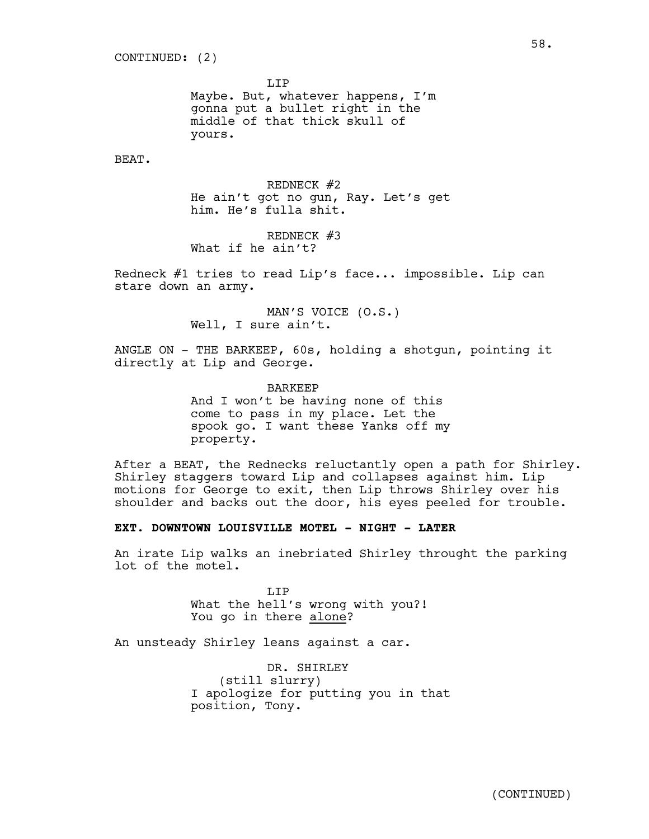LIP

Maybe. But, whatever happens, I'm gonna put a bullet right in the middle of that thick skull of yours.

BEAT.

REDNECK #2 He ain't got no gun, Ray. Let's get him. He's fulla shit.

REDNECK #3 What if he ain't?

Redneck #1 tries to read Lip's face... impossible. Lip can stare down an army.

> MAN'S VOICE (O.S.) Well, I sure ain't.

ANGLE ON - THE BARKEEP, 60s, holding a shotgun, pointing it directly at Lip and George.

> BARKEEP And I won't be having none of this come to pass in my place. Let the spook go. I want these Yanks off my property.

After a BEAT, the Rednecks reluctantly open a path for Shirley. Shirley staggers toward Lip and collapses against him. Lip motions for George to exit, then Lip throws Shirley over his shoulder and backs out the door, his eyes peeled for trouble.

### **EXT. DOWNTOWN LOUISVILLE MOTEL - NIGHT - LATER**

An irate Lip walks an inebriated Shirley throught the parking lot of the motel.

> LIP What the hell's wrong with you?! You go in there alone?

An unsteady Shirley leans against a car.

DR. SHIRLEY (still slurry) I apologize for putting you in that position, Tony.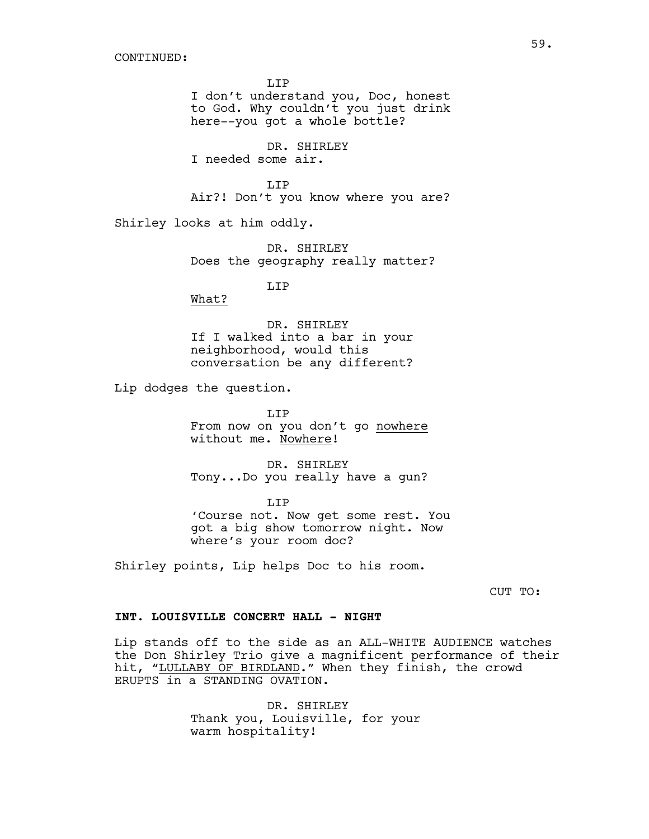LIP I don't understand you, Doc, honest to God. Why couldn't you just drink here--you got a whole bottle?

DR. SHIRLEY I needed some air.

LIP Air?! Don't you know where you are?

Shirley looks at him oddly.

DR. SHIRLEY Does the geography really matter?

LIP

What?

DR. SHIRLEY If I walked into a bar in your neighborhood, would this conversation be any different?

Lip dodges the question.

LIP From now on you don't go nowhere without me. Nowhere!

DR. SHIRLEY Tony...Do you really have a gun?

LIP 'Course not. Now get some rest. You got a big show tomorrow night. Now where's your room doc?

Shirley points, Lip helps Doc to his room.

CUT TO:

### **INT. LOUISVILLE CONCERT HALL - NIGHT**

Lip stands off to the side as an ALL-WHITE AUDIENCE watches the Don Shirley Trio give a magnificent performance of their hit, "LULLABY OF BIRDLAND." When they finish, the crowd ERUPTS in a STANDING OVATION.

> DR. SHIRLEY Thank you, Louisville, for your warm hospitality!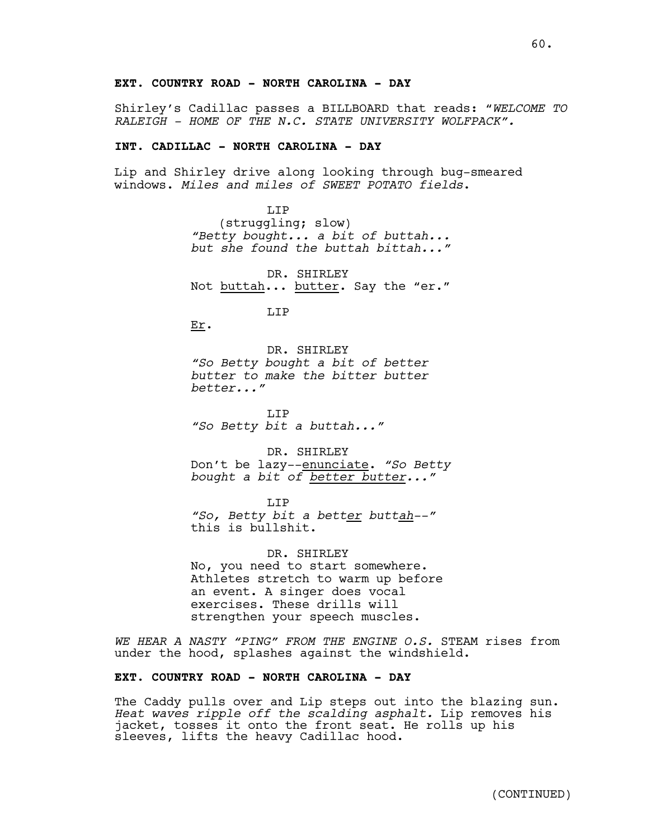# **EXT. COUNTRY ROAD - NORTH CAROLINA - DAY**

Shirley's Cadillac passes a BILLBOARD that reads: "*WELCOME TO RALEIGH - HOME OF THE N.C. STATE UNIVERSITY WOLFPACK".*

# **INT. CADILLAC - NORTH CAROLINA - DAY**

Lip and Shirley drive along looking through bug-smeared windows. *Miles and miles of SWEET POTATO fields*.

> T.TP (struggling; slow) *"Betty bought... a bit of buttah... but she found the buttah bittah..."*

DR. SHIRLEY Not buttah... butter. Say the "er."

T.TP

Er.

DR. SHIRLEY *"So Betty bought a bit of better butter to make the bitter butter better..."*

LIP *"So Betty bit a buttah..."*

DR. SHIRLEY Don't be lazy--enunciate. *"So Betty bought a bit of better butter..."*

LIP *"So, Betty bit a better buttah--"*  this is bullshit.

DR. SHIRLEY No, you need to start somewhere. Athletes stretch to warm up before an event. A singer does vocal exercises. These drills will strengthen your speech muscles.

*WE HEAR A NASTY "PING" FROM THE ENGINE O.S.* STEAM rises from under the hood, splashes against the windshield.

## **EXT. COUNTRY ROAD - NORTH CAROLINA - DAY**

The Caddy pulls over and Lip steps out into the blazing sun. *Heat waves ripple off the scalding asphalt.* Lip removes his jacket, tosses it onto the front seat. He rolls up his sleeves, lifts the heavy Cadillac hood.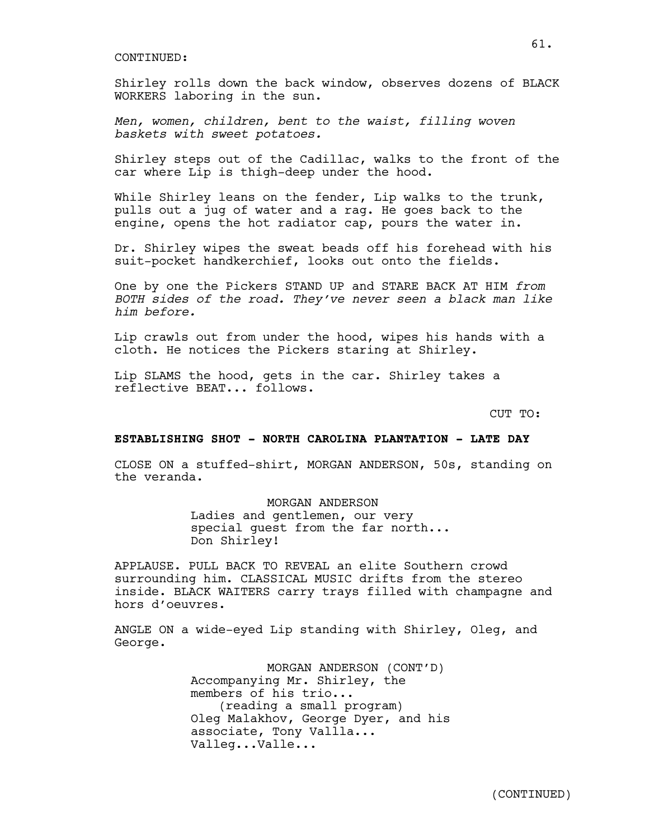Shirley rolls down the back window, observes dozens of BLACK WORKERS laboring in the sun.

*Men, women, children, bent to the waist, filling woven baskets with sweet potatoes.*

Shirley steps out of the Cadillac, walks to the front of the car where Lip is thigh-deep under the hood.

While Shirley leans on the fender, Lip walks to the trunk, pulls out a jug of water and a rag. He goes back to the engine, opens the hot radiator cap, pours the water in.

Dr. Shirley wipes the sweat beads off his forehead with his suit-pocket handkerchief, looks out onto the fields.

One by one the Pickers STAND UP and STARE BACK AT HIM *from BOTH sides of the road. They've never seen a black man like him before.*

Lip crawls out from under the hood, wipes his hands with a cloth. He notices the Pickers staring at Shirley.

Lip SLAMS the hood, gets in the car. Shirley takes a reflective BEAT... follows.

CUT TO:

#### **ESTABLISHING SHOT - NORTH CAROLINA PLANTATION - LATE DAY**

CLOSE ON a stuffed-shirt, MORGAN ANDERSON, 50s, standing on the veranda.

MORGAN ANDERSON

Ladies and gentlemen, our very special guest from the far north... Don Shirley!

APPLAUSE. PULL BACK TO REVEAL an elite Southern crowd surrounding him. CLASSICAL MUSIC drifts from the stereo inside. BLACK WAITERS carry trays filled with champagne and hors d'oeuvres.

ANGLE ON a wide-eyed Lip standing with Shirley, Oleg, and George.

> MORGAN ANDERSON (CONT'D) Accompanying Mr. Shirley, the members of his trio... (reading a small program) Oleg Malakhov, George Dyer, and his associate, Tony Vallla... Valleg...Valle...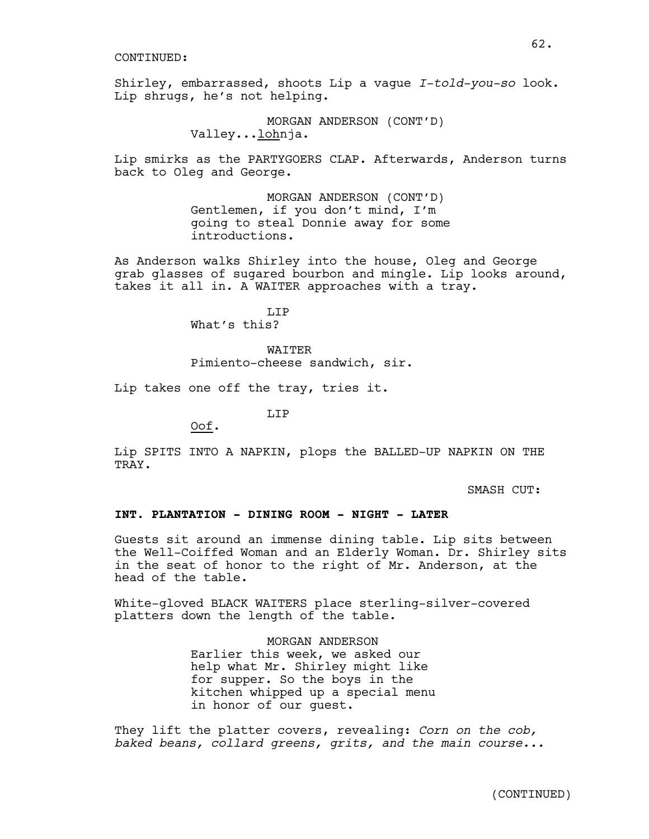Shirley, embarrassed, shoots Lip a vague *I-told-you-so* look. Lip shrugs, he's not helping.

> MORGAN ANDERSON (CONT'D) Valley...lohnja.

Lip smirks as the PARTYGOERS CLAP. Afterwards, Anderson turns back to Oleg and George.

> MORGAN ANDERSON (CONT'D) Gentlemen, if you don't mind, I'm going to steal Donnie away for some introductions.

As Anderson walks Shirley into the house, Oleg and George grab glasses of sugared bourbon and mingle. Lip looks around, takes it all in. A WAITER approaches with a tray.

> T.TP What's this?

WAITER Pimiento-cheese sandwich, sir.

Lip takes one off the tray, tries it.

LIP

Oof.

Lip SPITS INTO A NAPKIN, plops the BALLED-UP NAPKIN ON THE TRAY.

SMASH CUT:

### **INT. PLANTATION - DINING ROOM - NIGHT - LATER**

Guests sit around an immense dining table. Lip sits between the Well-Coiffed Woman and an Elderly Woman. Dr. Shirley sits in the seat of honor to the right of Mr. Anderson, at the head of the table.

White-gloved BLACK WAITERS place sterling-silver-covered platters down the length of the table.

> MORGAN ANDERSON Earlier this week, we asked our help what Mr. Shirley might like for supper. So the boys in the kitchen whipped up a special menu in honor of our guest.

They lift the platter covers, revealing: *Corn on the cob, baked beans, collard greens, grits, and the main course...*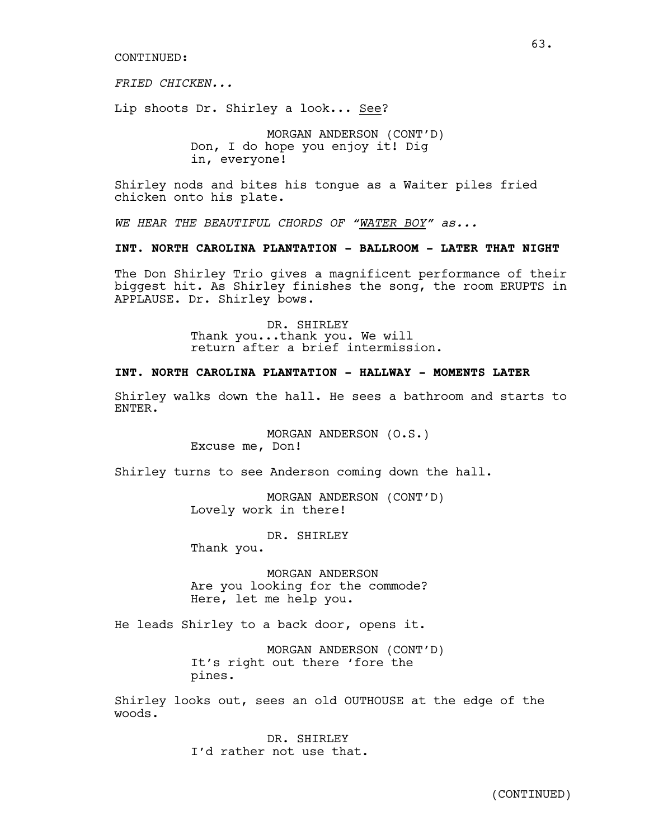*FRIED CHICKEN...*

Lip shoots Dr. Shirley a look... See?

MORGAN ANDERSON (CONT'D) Don, I do hope you enjoy it! Dig in, everyone!

Shirley nods and bites his tongue as a Waiter piles fried chicken onto his plate.

*WE HEAR THE BEAUTIFUL CHORDS OF "WATER BOY" as...*

# **INT. NORTH CAROLINA PLANTATION - BALLROOM - LATER THAT NIGHT**

The Don Shirley Trio gives a magnificent performance of their biggest hit. As Shirley finishes the song, the room ERUPTS in APPLAUSE. Dr. Shirley bows.

> DR. SHIRLEY Thank you...thank you. We will return after a brief intermission.

#### **INT. NORTH CAROLINA PLANTATION - HALLWAY - MOMENTS LATER**

Shirley walks down the hall. He sees a bathroom and starts to ENTER.

> MORGAN ANDERSON (O.S.) Excuse me, Don!

Shirley turns to see Anderson coming down the hall.

MORGAN ANDERSON (CONT'D) Lovely work in there!

DR. SHIRLEY

Thank you.

MORGAN ANDERSON Are you looking for the commode? Here, let me help you.

He leads Shirley to a back door, opens it.

MORGAN ANDERSON (CONT'D) It's right out there 'fore the pines.

Shirley looks out, sees an old OUTHOUSE at the edge of the woods.

> DR. SHIRLEY I'd rather not use that.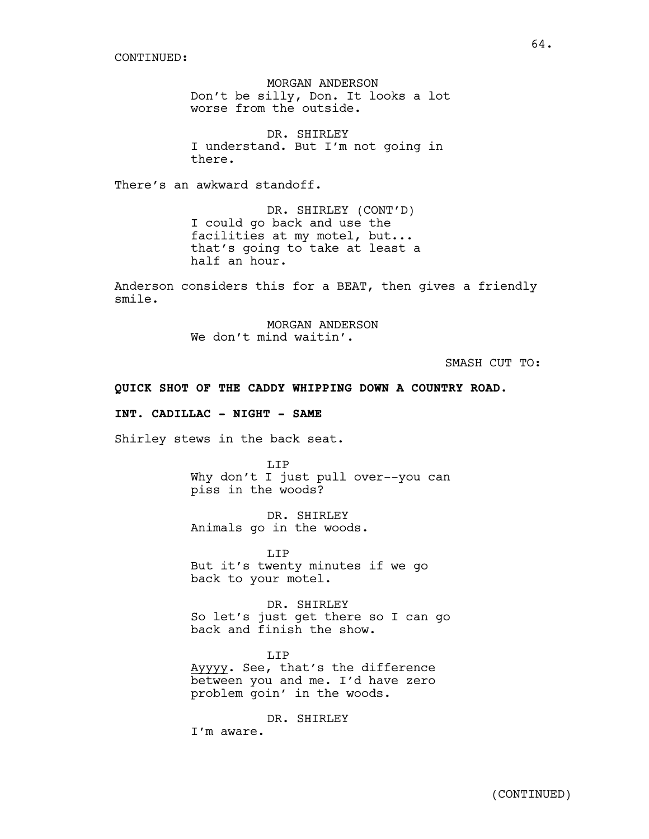MORGAN ANDERSON Don't be silly, Don. It looks a lot worse from the outside.

DR. SHIRLEY I understand. But I'm not going in there.

There's an awkward standoff.

DR. SHIRLEY (CONT'D) I could go back and use the facilities at my motel, but... that's going to take at least a half an hour.

Anderson considers this for a BEAT, then gives a friendly smile.

> MORGAN ANDERSON We don't mind waitin'.

> > SMASH CUT TO:

### **QUICK SHOT OF THE CADDY WHIPPING DOWN A COUNTRY ROAD.**

# **INT. CADILLAC - NIGHT - SAME**

Shirley stews in the back seat.

LIP Why don't I just pull over--you can piss in the woods?

DR. SHIRLEY Animals go in the woods.

LIP But it's twenty minutes if we go back to your motel.

DR. SHIRLEY So let's just get there so I can go back and finish the show.

T.TP Ayyyy. See, that's the difference between you and me. I'd have zero problem goin' in the woods.

DR. SHIRLEY

I'm aware.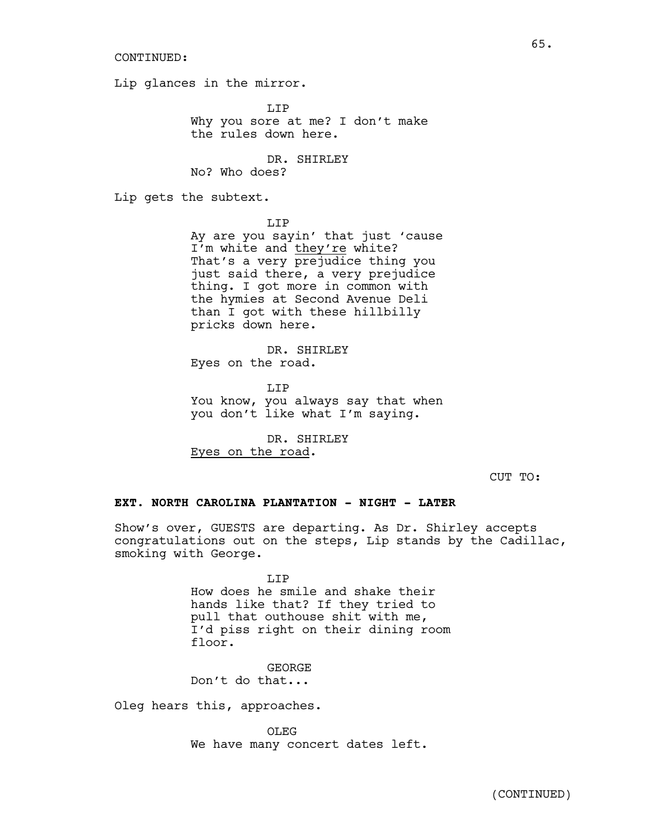Lip glances in the mirror.

LIP Why you sore at me? I don't make the rules down here.

DR. SHIRLEY No? Who does?

Lip gets the subtext.

LIP

Ay are you sayin' that just 'cause I'm white and they're white? That's a very prejudice thing you just said there, a very prejudice thing. I got more in common with the hymies at Second Avenue Deli than I got with these hillbilly pricks down here.

DR. SHIRLEY Eyes on the road.

LIP You know, you always say that when you don't like what I'm saying.

DR. SHIRLEY Eyes on the road.

CUT TO:

# **EXT. NORTH CAROLINA PLANTATION - NIGHT - LATER**

Show's over, GUESTS are departing. As Dr. Shirley accepts congratulations out on the steps, Lip stands by the Cadillac, smoking with George.

> LIP How does he smile and shake their hands like that? If they tried to pull that outhouse shit with me, I'd piss right on their dining room floor.

GEORGE Don't do that...

Oleg hears this, approaches.

OLEG We have many concert dates left.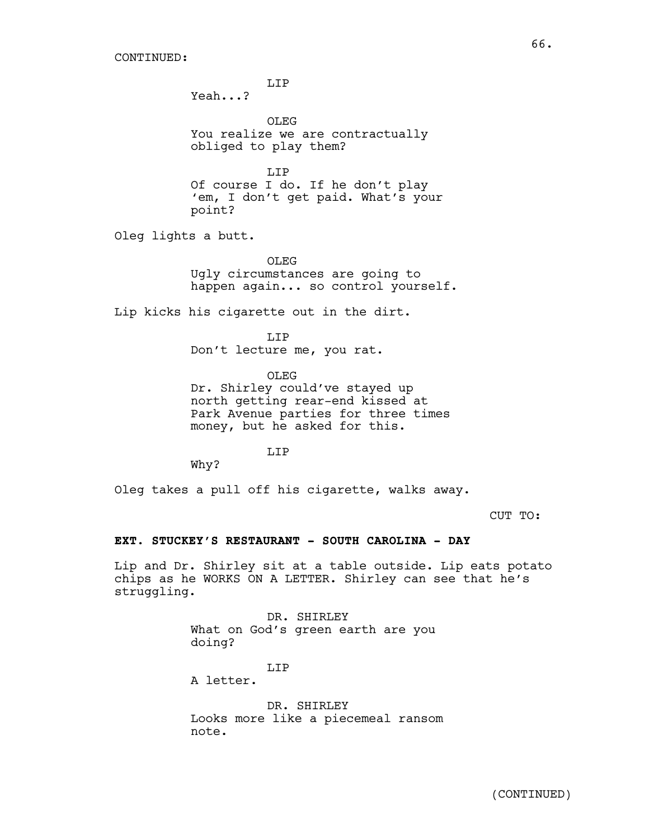LIP

Yeah...?

OLEG You realize we are contractually obliged to play them?

T.TP Of course I do. If he don't play 'em, I don't get paid. What's your point?

Oleg lights a butt.

OLEG<sub>s</sub>

Ugly circumstances are going to happen again... so control yourself.

Lip kicks his cigarette out in the dirt.

LIP

Don't lecture me, you rat.

OLEG

Dr. Shirley could've stayed up north getting rear-end kissed at Park Avenue parties for three times money, but he asked for this.

T.TP

Why?

Oleg takes a pull off his cigarette, walks away.

CUT TO:

#### **EXT. STUCKEY'S RESTAURANT - SOUTH CAROLINA - DAY**

Lip and Dr. Shirley sit at a table outside. Lip eats potato chips as he WORKS ON A LETTER. Shirley can see that he's struggling.

> DR. SHIRLEY What on God's green earth are you doing?

# LIP

A letter.

DR. SHIRLEY Looks more like a piecemeal ransom note.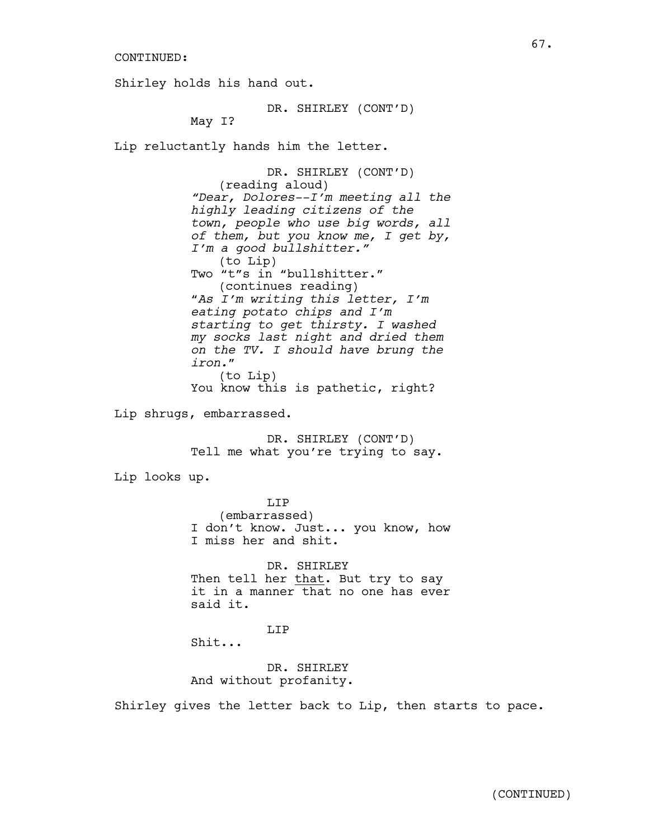Shirley holds his hand out.

DR. SHIRLEY (CONT'D)

May I?

Lip reluctantly hands him the letter.

DR. SHIRLEY (CONT'D) (reading aloud) *"Dear, Dolores--I'm meeting all the highly leading citizens of the town, people who use big words, all of them, but you know me, I get by, I'm a good bullshitter."*  (to Lip) Two "t"s in "bullshitter." (continues reading) "*As I'm writing this letter, I'm eating potato chips and I'm starting to get thirsty. I washed my socks last night and dried them on the TV. I should have brung the iron.*" (to Lip) You know this is pathetic, right?

Lip shrugs, embarrassed.

DR. SHIRLEY (CONT'D) Tell me what you're trying to say.

Lip looks up.

LIP (embarrassed) I don't know. Just... you know, how I miss her and shit.

DR. SHIRLEY Then tell her that. But try to say it in a manner that no one has ever said it.

LIP

Shit...

DR. SHIRLEY And without profanity.

Shirley gives the letter back to Lip, then starts to pace.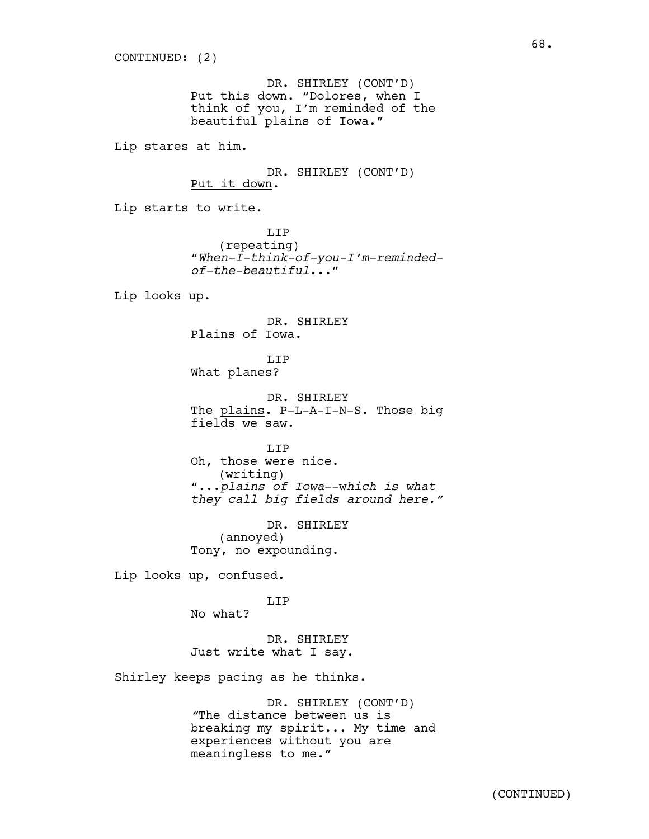DR. SHIRLEY (CONT'D) Put this down. "Dolores, when I think of you, I'm reminded of the beautiful plains of Iowa."

Lip stares at him.

DR. SHIRLEY (CONT'D) Put it down.

Lip starts to write.

LIP (repeating) "*When-I-think-of-you-I'm-remindedof-the-beautiful*..."

Lip looks up.

DR. SHIRLEY Plains of Iowa.

LIP What planes?

DR. SHIRLEY The plains. P-L-A-I-N-S. Those big fields we saw.

LIP Oh, those were nice. (writing) "...*plains of Iowa*--w*hich is what they call big fields around here."*

DR. SHIRLEY (annoyed) Tony, no expounding.

Lip looks up, confused.

LIP

No what?

DR. SHIRLEY Just write what I say.

Shirley keeps pacing as he thinks.

DR. SHIRLEY (CONT'D) *"*The distance between us is breaking my spirit... My time and experiences without you are meaningless to me."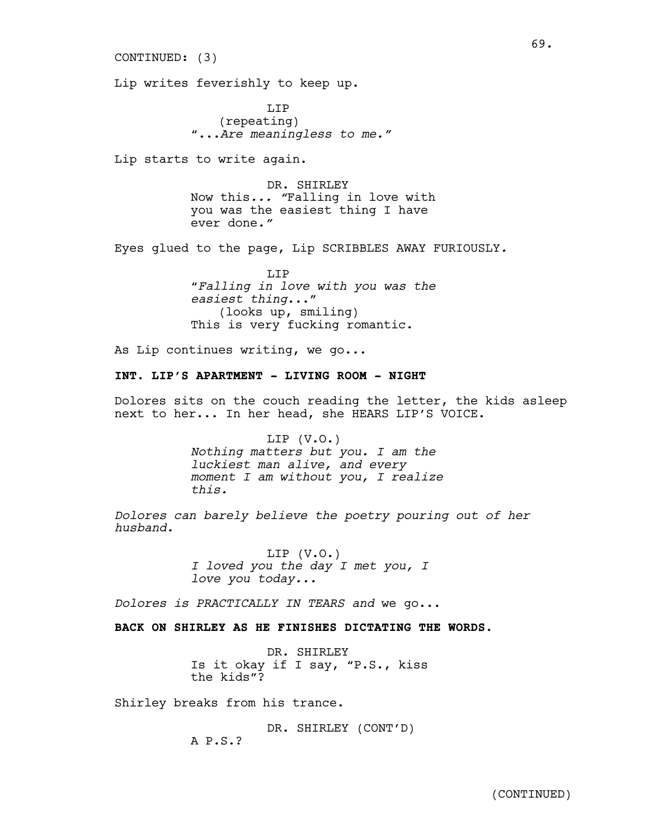CONTINUED: (3)

Lip writes feverishly to keep up.

LIP (repeating) "...*Are meaningless to me."*

Lip starts to write again.

DR. SHIRLEY Now this*... "*Falling in love with you was the easiest thing I have ever done*."*

69.

Eyes glued to the page, Lip SCRIBBLES AWAY FURIOUSLY*.*

LIP "*Falling in love with you was the easiest thing*..." (looks up, smiling) This is very fucking romantic.

As Lip continues writing, we go...

### **INT. LIP'S APARTMENT - LIVING ROOM - NIGHT**

Dolores sits on the couch reading the letter, the kids asleep next to her... In her head, she HEARS LIP'S VOICE.

> LIP (V.O.) *Nothing matters but you. I am the luckiest man alive, and every moment I am without you, I realize this.*

*Dolores can barely believe the poetry pouring out of her husband.* 

> LIP (V.O.) *I loved you the day I met you, I love you today...*

*Dolores is PRACTICALLY IN TEARS and* we go...

**BACK ON SHIRLEY AS HE FINISHES DICTATING THE WORDS.**

DR. SHIRLEY Is it okay if I say, "P.S., kiss the kids"?

Shirley breaks from his trance.

DR. SHIRLEY (CONT'D)

A P.S.?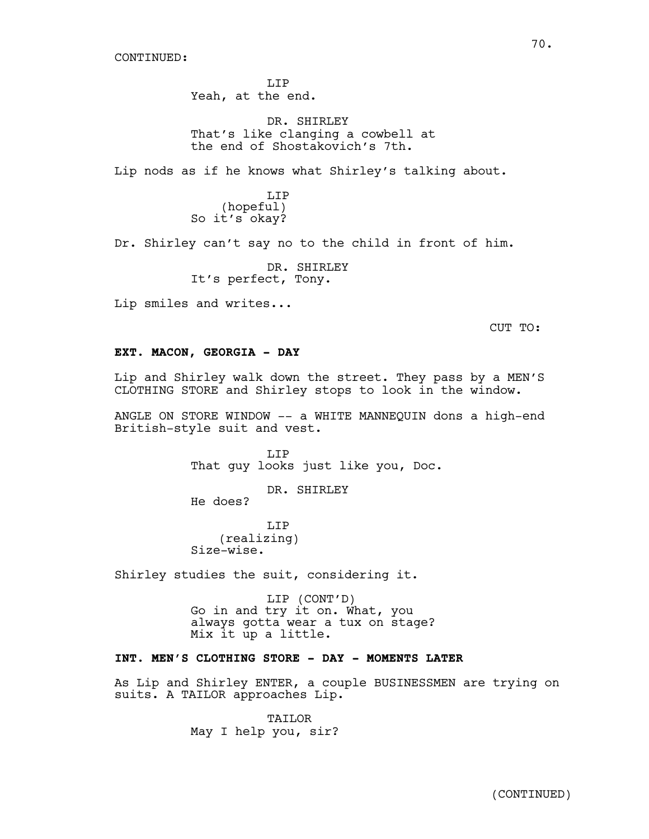LIP Yeah, at the end.

DR. SHIRLEY That's like clanging a cowbell at the end of Shostakovich's 7th.

Lip nods as if he knows what Shirley's talking about.

LIP (hopeful) So it's okay?

Dr. Shirley can't say no to the child in front of him.

DR. SHIRLEY It's perfect, Tony.

Lip smiles and writes...

CUT TO:

# **EXT. MACON, GEORGIA - DAY**

Lip and Shirley walk down the street. They pass by a MEN'S CLOTHING STORE and Shirley stops to look in the window.

ANGLE ON STORE WINDOW -- a WHITE MANNEQUIN dons a high-end British-style suit and vest.

> LIP That guy looks just like you, Doc.

> > DR. SHIRLEY

He does?

LIP (realizing) Size-wise.

Shirley studies the suit, considering it.

LIP (CONT'D) Go in and try it on. What, you always gotta wear a tux on stage? Mix it up a little.

# **INT. MEN'S CLOTHING STORE - DAY - MOMENTS LATER**

As Lip and Shirley ENTER, a couple BUSINESSMEN are trying on suits. A TAILOR approaches Lip.

> TAILOR May I help you, sir?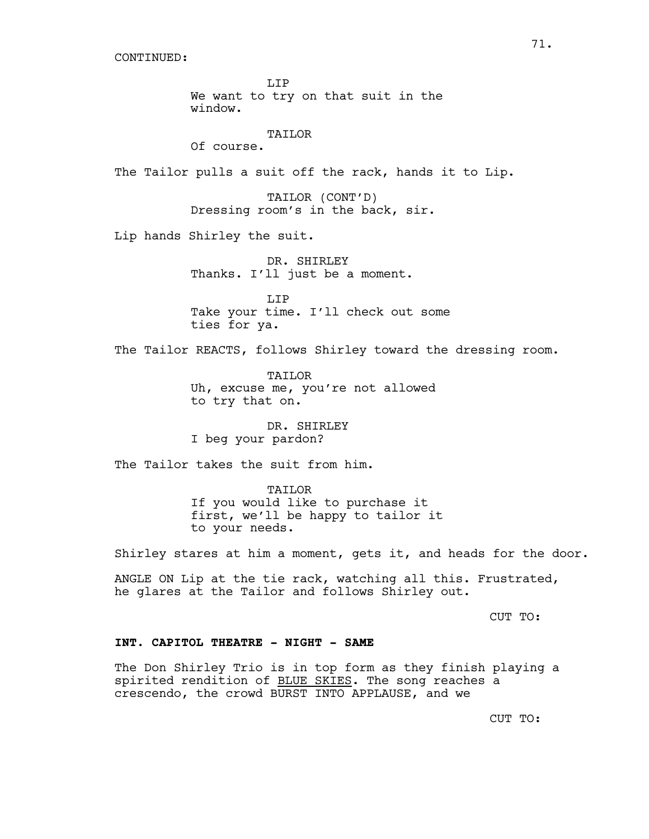LIP We want to try on that suit in the window.

TAILOR

Of course.

The Tailor pulls a suit off the rack, hands it to Lip.

TAILOR (CONT'D) Dressing room's in the back, sir.

Lip hands Shirley the suit.

DR. SHIRLEY Thanks. I'll just be a moment.

LIP Take your time. I'll check out some ties for ya.

The Tailor REACTS, follows Shirley toward the dressing room.

TAILOR Uh, excuse me, you're not allowed to try that on.

DR. SHIRLEY I beg your pardon?

The Tailor takes the suit from him.

TAILOR If you would like to purchase it first, we'll be happy to tailor it to your needs.

Shirley stares at him a moment, gets it, and heads for the door.

ANGLE ON Lip at the tie rack, watching all this. Frustrated, he glares at the Tailor and follows Shirley out.

CUT TO:

# **INT. CAPITOL THEATRE - NIGHT - SAME**

The Don Shirley Trio is in top form as they finish playing a spirited rendition of BLUE SKIES. The song reaches a crescendo, the crowd BURST INTO APPLAUSE, and we

CUT TO: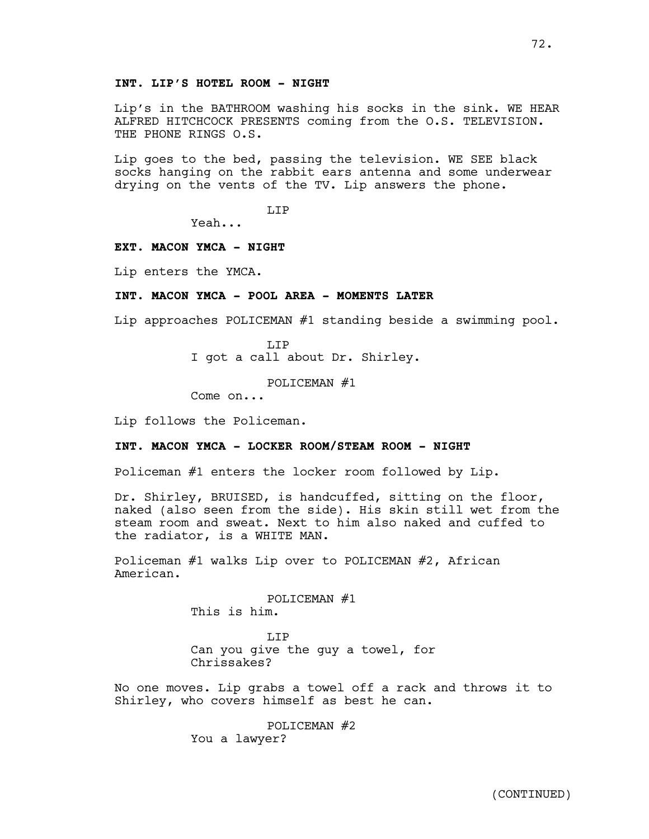Lip's in the BATHROOM washing his socks in the sink. WE HEAR ALFRED HITCHCOCK PRESENTS coming from the O.S. TELEVISION. THE PHONE RINGS O.S.

Lip goes to the bed, passing the television. WE SEE black socks hanging on the rabbit ears antenna and some underwear drying on the vents of the TV. Lip answers the phone.

LIP

Yeah...

### **EXT. MACON YMCA - NIGHT**

Lip enters the YMCA.

### **INT. MACON YMCA - POOL AREA - MOMENTS LATER**

Lip approaches POLICEMAN #1 standing beside a swimming pool.

LIP I got a call about Dr. Shirley.

POLICEMAN #1

Come on...

Lip follows the Policeman.

### **INT. MACON YMCA - LOCKER ROOM/STEAM ROOM - NIGHT**

Policeman #1 enters the locker room followed by Lip.

Dr. Shirley, BRUISED, is handcuffed, sitting on the floor, naked (also seen from the side). His skin still wet from the steam room and sweat. Next to him also naked and cuffed to the radiator, is a WHITE MAN.

Policeman #1 walks Lip over to POLICEMAN #2, African American.

> POLICEMAN #1 This is him.

LIP Can you give the guy a towel, for Chrissakes?

No one moves. Lip grabs a towel off a rack and throws it to Shirley, who covers himself as best he can.

> POLICEMAN #2 You a lawyer?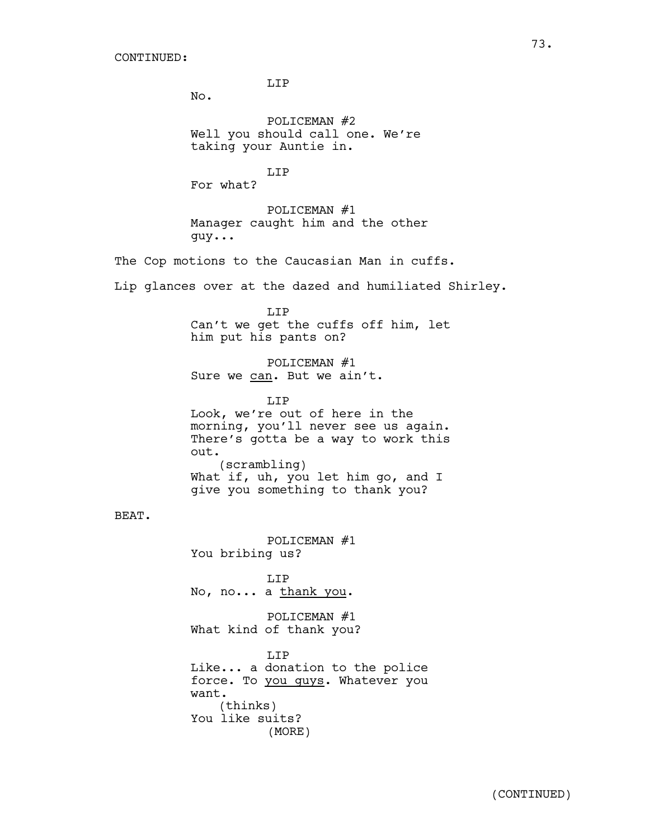LIP

No.

POLICEMAN #2 Well you should call one. We're taking your Auntie in.

LIP For what?

POLICEMAN #1 Manager caught him and the other guy...

The Cop motions to the Caucasian Man in cuffs.

Lip glances over at the dazed and humiliated Shirley.

LIP

Can't we get the cuffs off him, let him put his pants on?

POLICEMAN #1 Sure we can. But we ain't.

LIP Look, we're out of here in the morning, you'll never see us again. There's gotta be a way to work this out. (scrambling) What if, uh, you let him go, and I give you something to thank you?

BEAT.

POLICEMAN #1 You bribing us? LIP No, no... a thank you. POLICEMAN #1 What kind of thank you?

T.TP Like... a donation to the police force. To you guys. Whatever you want. (thinks) You like suits? (MORE)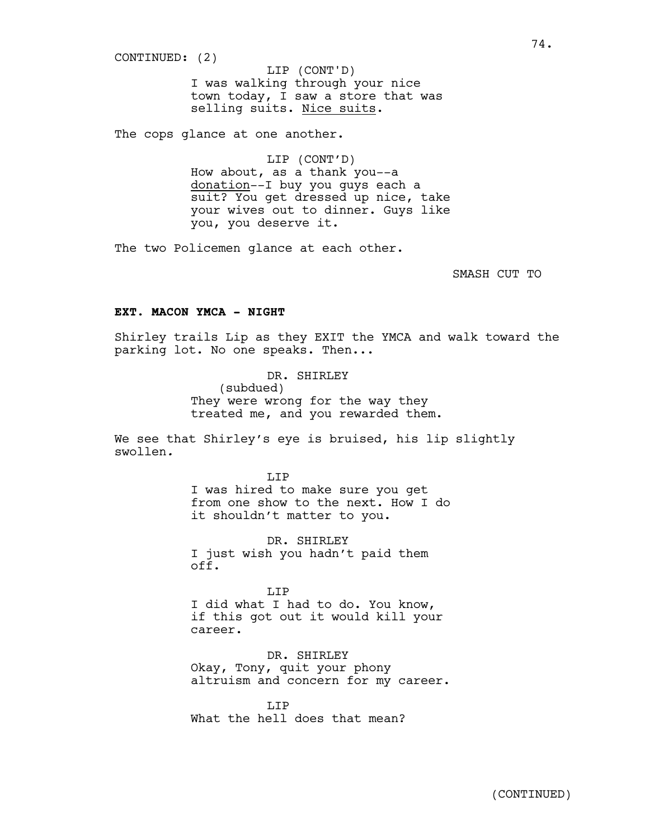CONTINUED: (2)

I was walking through your nice town today, I saw a store that was selling suits. Nice suits. LIP (CONT'D)

The cops glance at one another.

LIP (CONT'D) How about, as a thank you--a donation--I buy you guys each a suit? You get dressed up nice, take your wives out to dinner. Guys like you, you deserve it.

The two Policemen glance at each other.

SMASH CUT TO

### **EXT. MACON YMCA - NIGHT**

Shirley trails Lip as they EXIT the YMCA and walk toward the parking lot. No one speaks. Then...

> DR. SHIRLEY (subdued) They were wrong for the way they treated me, and you rewarded them.

We see that Shirley's eye is bruised, his lip slightly swollen*.* 

> LIP I was hired to make sure you get from one show to the next. How I do it shouldn't matter to you.

DR. SHIRLEY I just wish you hadn't paid them off.

LIP I did what I had to do. You know, if this got out it would kill your career.

DR. SHIRLEY Okay, Tony, quit your phony altruism and concern for my career.

T.TP What the hell does that mean?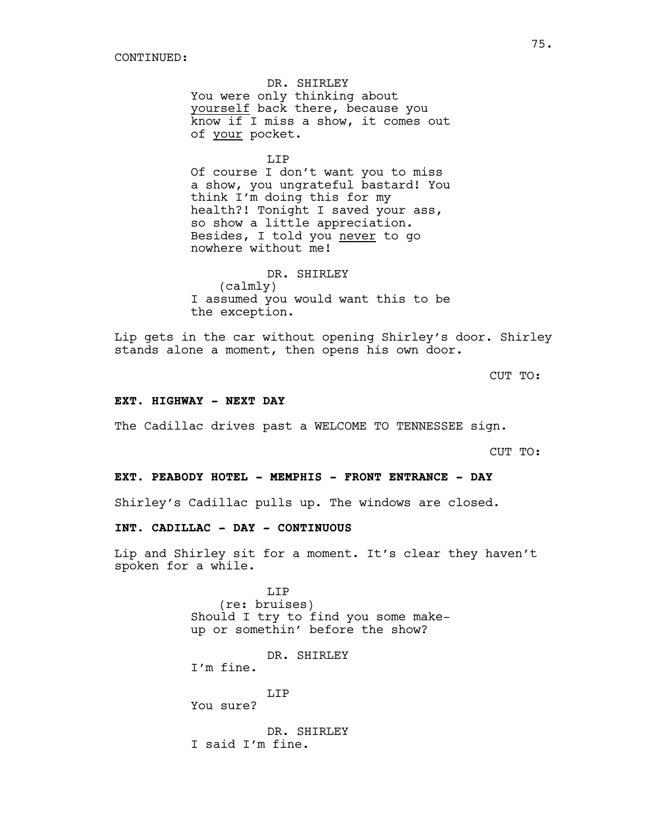DR. SHIRLEY You were only thinking about yourself back there, because you know if I miss a show, it comes out of your pocket.

LIP Of course I don't want you to miss a show, you ungrateful bastard! You think I'm doing this for my health?! Tonight I saved your ass, so show a little appreciation. Besides, I told you never to go nowhere without me!

DR. SHIRLEY (calmly) I assumed you would want this to be the exception.

Lip gets in the car without opening Shirley's door. Shirley stands alone a moment, then opens his own door.

CUT TO:

#### **EXT. HIGHWAY - NEXT DAY**

The Cadillac drives past a WELCOME TO TENNESSEE sign.

CUT TO:

#### **EXT. PEABODY HOTEL - MEMPHIS - FRONT ENTRANCE - DAY**

Shirley's Cadillac pulls up. The windows are closed.

# **INT. CADILLAC - DAY - CONTINUOUS**

Lip and Shirley sit for a moment. It's clear they haven't spoken for a while.

> T.TP (re: bruises) Should I try to find you some makeup or somethin' before the show?

DR. SHIRLEY I'm fine.

LIP You sure?

DR. SHIRLEY

I said I'm fine.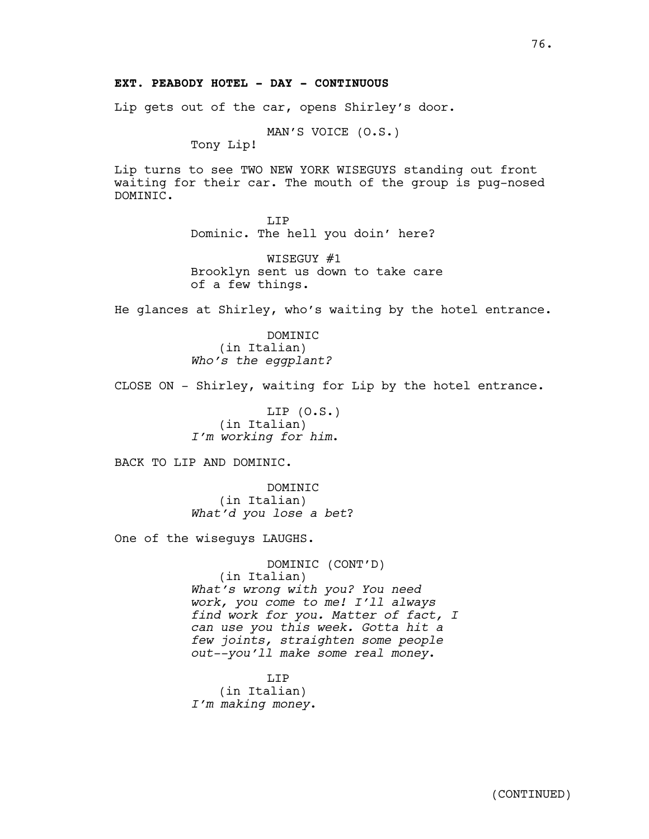# **EXT. PEABODY HOTEL - DAY - CONTINUOUS**

Lip gets out of the car, opens Shirley's door.

MAN'S VOICE (O.S.)

Tony Lip!

Lip turns to see TWO NEW YORK WISEGUYS standing out front waiting for their car. The mouth of the group is pug-nosed DOMINIC.

> LIP Dominic. The hell you doin' here?

WISEGUY #1 Brooklyn sent us down to take care of a few things.

He glances at Shirley, who's waiting by the hotel entrance.

DOMINIC (in Italian) *Who's the eggplant?*

CLOSE ON - Shirley, waiting for Lip by the hotel entrance.

LIP  $(0.S.)$ (in Italian) *I'm working for him*.

BACK TO LIP AND DOMINIC.

DOMINIC (in Italian) *What'd you lose a bet*?

One of the wiseguys LAUGHS.

DOMINIC (CONT'D) (in Italian) *What's wrong with you? You need work, you come to me! I'll always find work for you. Matter of fact, I can use you this week. Gotta hit a few joints, straighten some people out--you'll make some real money*.

LIP (in Italian) *I'm making money*.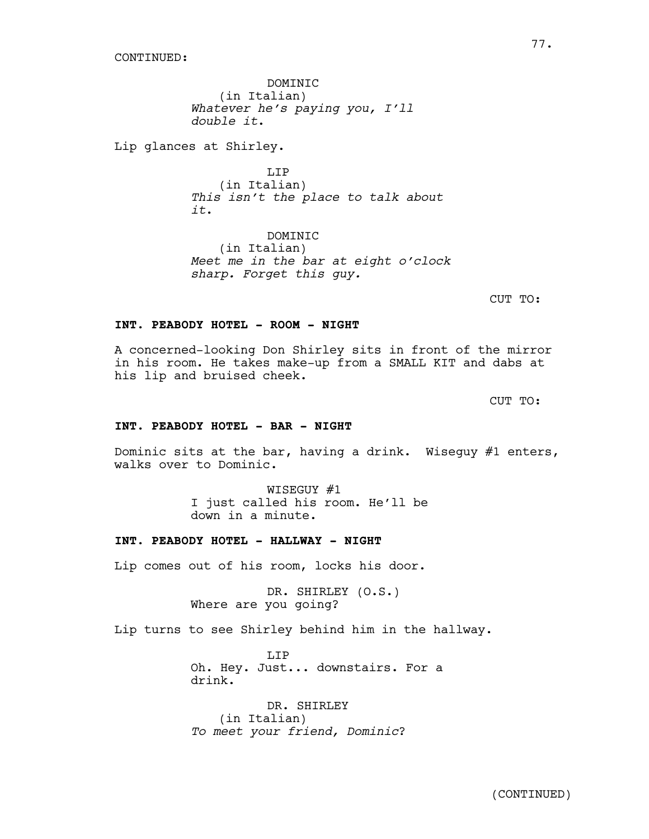DOMINIC (in Italian) *Whatever he's paying you, I'll double it*.

Lip glances at Shirley.

LIP (in Italian) *This isn't the place to talk about it*.

DOMINIC (in Italian) *Meet me in the bar at eight o'clock sharp. Forget this guy.* 

CUT TO:

#### **INT. PEABODY HOTEL - ROOM - NIGHT**

A concerned-looking Don Shirley sits in front of the mirror in his room. He takes make-up from a SMALL KIT and dabs at his lip and bruised cheek.

CUT TO:

### **INT. PEABODY HOTEL - BAR - NIGHT**

Dominic sits at the bar, having a drink. Wiseguy #1 enters, walks over to Dominic.

> WISEGUY #1 I just called his room. He'll be down in a minute.

### **INT. PEABODY HOTEL - HALLWAY - NIGHT**

Lip comes out of his room, locks his door.

DR. SHIRLEY (O.S.) Where are you going?

Lip turns to see Shirley behind him in the hallway.

T.TP Oh. Hey. Just... downstairs. For a drink.

DR. SHIRLEY (in Italian) *To meet your friend, Dominic*?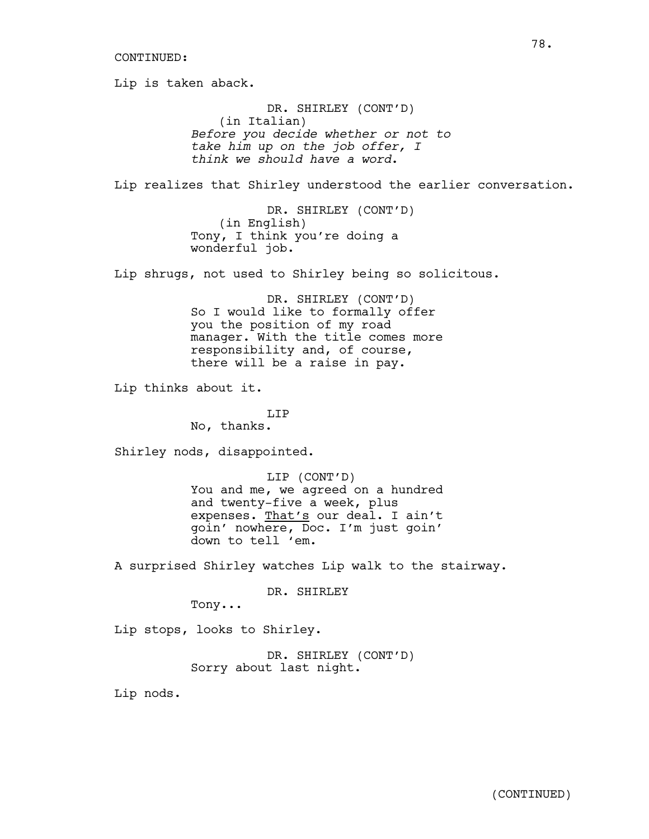Lip is taken aback. DR. SHIRLEY (CONT'D) (in Italian) *Before you decide whether or not to take him up on the job offer, I think we should have a word*.

Lip realizes that Shirley understood the earlier conversation.

DR. SHIRLEY (CONT'D) (in English) Tony, I think you're doing a wonderful job.

Lip shrugs, not used to Shirley being so solicitous.

DR. SHIRLEY (CONT'D) So I would like to formally offer you the position of my road manager. With the title comes more responsibility and, of course, there will be a raise in pay.

Lip thinks about it.

LIP No, thanks.

Shirley nods, disappointed.

LIP (CONT'D) You and me, we agreed on a hundred and twenty-five a week, plus expenses. That's our deal. I ain't goin' nowhere, Doc. I'm just goin' down to tell 'em.

A surprised Shirley watches Lip walk to the stairway.

DR. SHIRLEY

Tony...

Lip stops, looks to Shirley.

DR. SHIRLEY (CONT'D) Sorry about last night.

Lip nods.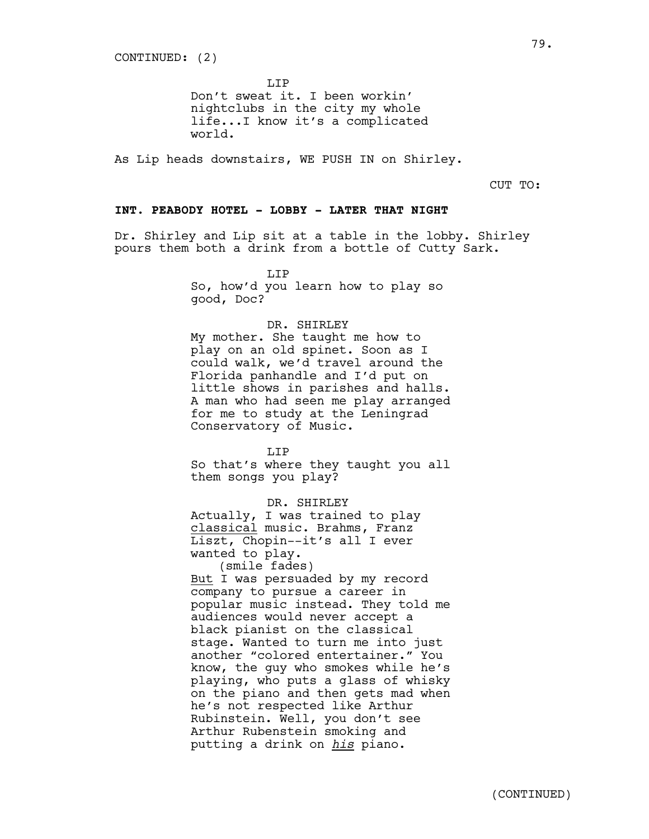LIP

Don't sweat it. I been workin' nightclubs in the city my whole life...I know it's a complicated world.

As Lip heads downstairs, WE PUSH IN on Shirley.

CUT TO:

### **INT. PEABODY HOTEL - LOBBY - LATER THAT NIGHT**

Dr. Shirley and Lip sit at a table in the lobby. Shirley pours them both a drink from a bottle of Cutty Sark.

> LIP So, how'd you learn how to play so good, Doc?

### DR. SHIRLEY

My mother. She taught me how to play on an old spinet. Soon as I could walk, we'd travel around the Florida panhandle and I'd put on little shows in parishes and halls. A man who had seen me play arranged for me to study at the Leningrad Conservatory of Music.

T.TP So that's where they taught you all them songs you play?

DR. SHIRLEY Actually, I was trained to play classical music. Brahms, Franz Liszt, Chopin--it's all I ever wanted to play. (smile fades) But I was persuaded by my record company to pursue a career in popular music instead. They told me audiences would never accept a black pianist on the classical stage. Wanted to turn me into just another "colored entertainer." You know, the guy who smokes while he's playing, who puts a glass of whisky on the piano and then gets mad when he's not respected like Arthur Rubinstein. Well, you don't see Arthur Rubenstein smoking and putting a drink on *his* piano.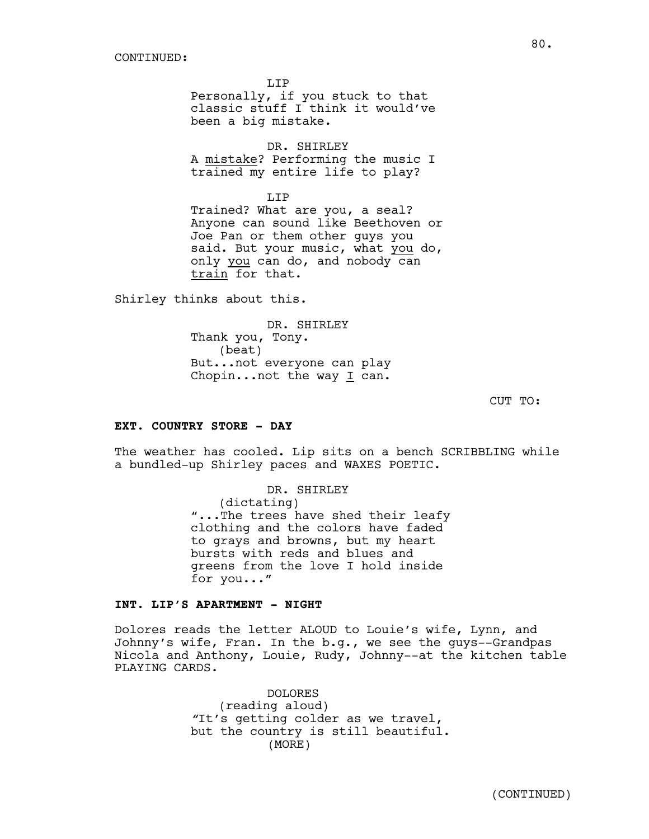LIP Personally, if you stuck to that classic stuff I think it would've been a big mistake.

DR. SHIRLEY A mistake? Performing the music I trained my entire life to play?

LIP Trained? What are you, a seal? Anyone can sound like Beethoven or Joe Pan or them other guys you said. But your music, what you do, only you can do, and nobody can train for that.

Shirley thinks about this.

DR. SHIRLEY Thank you, Tony. (beat) But...not everyone can play Chopin...not the way I can.

CUT TO:

# **EXT. COUNTRY STORE - DAY**

The weather has cooled. Lip sits on a bench SCRIBBLING while a bundled-up Shirley paces and WAXES POETIC.

> DR. SHIRLEY (dictating) "...The trees have shed their leafy clothing and the colors have faded to grays and browns, but my heart bursts with reds and blues and greens from the love I hold inside for you..."

### **INT. LIP'S APARTMENT - NIGHT**

Dolores reads the letter ALOUD to Louie's wife, Lynn, and Johnny's wife, Fran. In the b.g., we see the guys--Grandpas Nicola and Anthony, Louie, Rudy, Johnny--at the kitchen table PLAYING CARDS.

> DOLORES (reading aloud) *"*It's getting colder as we travel, but the country is still beautiful. (MORE)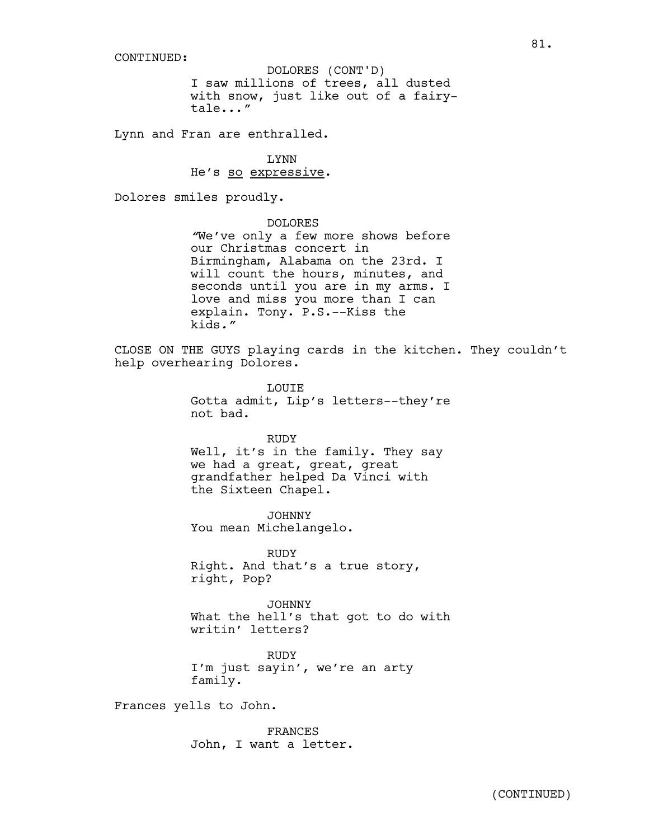I saw millions of trees, all dusted with snow, just like out of a fairytale...*"* DOLORES (CONT'D)

Lynn and Fran are enthralled.

LYNN He's so expressive.

Dolores smiles proudly.

### DOLORES

*"*We've only a few more shows before our Christmas concert in Birmingham, Alabama on the 23rd. I will count the hours, minutes, and seconds until you are in my arms. I love and miss you more than I can explain. Tony. P.S.--Kiss the kids*."*

CLOSE ON THE GUYS playing cards in the kitchen. They couldn't help overhearing Dolores.

> LOUIE Gotta admit, Lip's letters--they're not bad.

RUDY Well, it's in the family. They say we had a great, great, great grandfather helped Da Vinci with the Sixteen Chapel.

JOHNNY You mean Michelangelo.

RUDY Right. And that's a true story, right, Pop?

JOHNNY What the hell's that got to do with writin' letters?

**RUDY** I'm just sayin', we're an arty family.

Frances yells to John.

FRANCES John, I want a letter.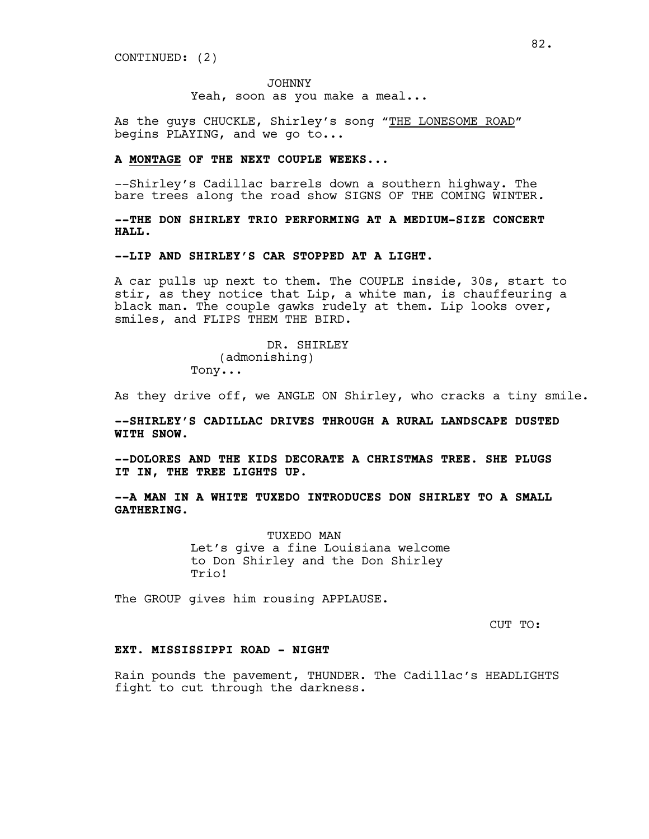JOHNNY Yeah, soon as you make a meal...

As the guys CHUCKLE, Shirley's song "THE LONESOME ROAD" begins PLAYING, and we go to...

#### **A MONTAGE OF THE NEXT COUPLE WEEKS...**

--Shirley's Cadillac barrels down a southern highway. The bare trees along the road show SIGNS OF THE COMING WINTER*.*

**--THE DON SHIRLEY TRIO PERFORMING AT A MEDIUM-SIZE CONCERT HALL.**

# **--LIP AND SHIRLEY'S CAR STOPPED AT A LIGHT.**

A car pulls up next to them. The COUPLE inside, 30s, start to stir, as they notice that Lip, a white man, is chauffeuring a black man. The couple gawks rudely at them. Lip looks over, smiles, and FLIPS THEM THE BIRD.

> DR. SHIRLEY (admonishing) Tony...

As they drive off, we ANGLE ON Shirley, who cracks a tiny smile.

**--SHIRLEY'S CADILLAC DRIVES THROUGH A RURAL LANDSCAPE DUSTED WITH SNOW.**

**--DOLORES AND THE KIDS DECORATE A CHRISTMAS TREE. SHE PLUGS IT IN, THE TREE LIGHTS UP.**

**--A MAN IN A WHITE TUXEDO INTRODUCES DON SHIRLEY TO A SMALL GATHERING.**

> TUXEDO MAN Let's give a fine Louisiana welcome to Don Shirley and the Don Shirley Trio!

The GROUP gives him rousing APPLAUSE.

CUT TO:

#### **EXT. MISSISSIPPI ROAD - NIGHT**

Rain pounds the pavement, THUNDER. The Cadillac's HEADLIGHTS fight to cut through the darkness.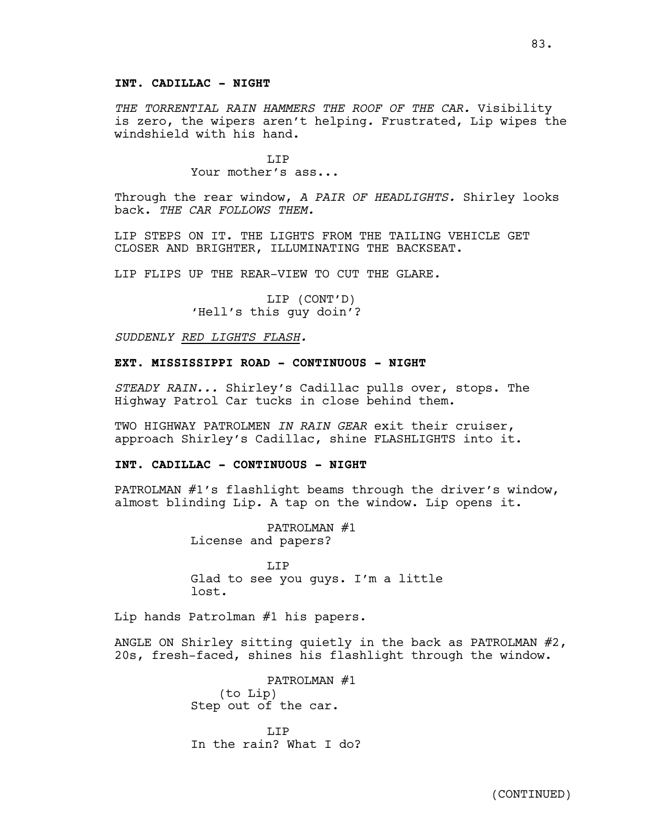# **INT. CADILLAC - NIGHT**

*THE TORRENTIAL RAIN HAMMERS THE ROOF OF THE CAR.* Visibility is zero, the wipers aren't helping*.* Frustrated, Lip wipes the windshield with his hand.

> LIP Your mother's ass...

Through the rear window, *A PAIR OF HEADLIGHTS.* Shirley looks back. *THE CAR FOLLOWS THEM.*

LIP STEPS ON IT. THE LIGHTS FROM THE TAILING VEHICLE GET CLOSER AND BRIGHTER, ILLUMINATING THE BACKSEAT.

LIP FLIPS UP THE REAR-VIEW TO CUT THE GLARE*.*

LIP (CONT'D) 'Hell's this guy doin'?

*SUDDENLY RED LIGHTS FLASH.*

# **EXT. MISSISSIPPI ROAD - CONTINUOUS - NIGHT**

*STEADY RAIN...* Shirley's Cadillac pulls over, stops. The Highway Patrol Car tucks in close behind them.

TWO HIGHWAY PATROLMEN *IN RAIN GEAR* exit their cruiser, approach Shirley's Cadillac, shine FLASHLIGHTS into it.

#### **INT. CADILLAC - CONTINUOUS - NIGHT**

PATROLMAN #1's flashlight beams through the driver's window, almost blinding Lip*.* A tap on the window. Lip opens it.

> PATROLMAN #1 License and papers?

T.TP Glad to see you guys. I'm a little lost.

Lip hands Patrolman #1 his papers.

ANGLE ON Shirley sitting quietly in the back as PATROLMAN  $#2$ , 20s, fresh-faced, shines his flashlight through the window.

> PATROLMAN #1 (to Lip) Step out of the car.

T.T<sub>P</sub> In the rain? What I do?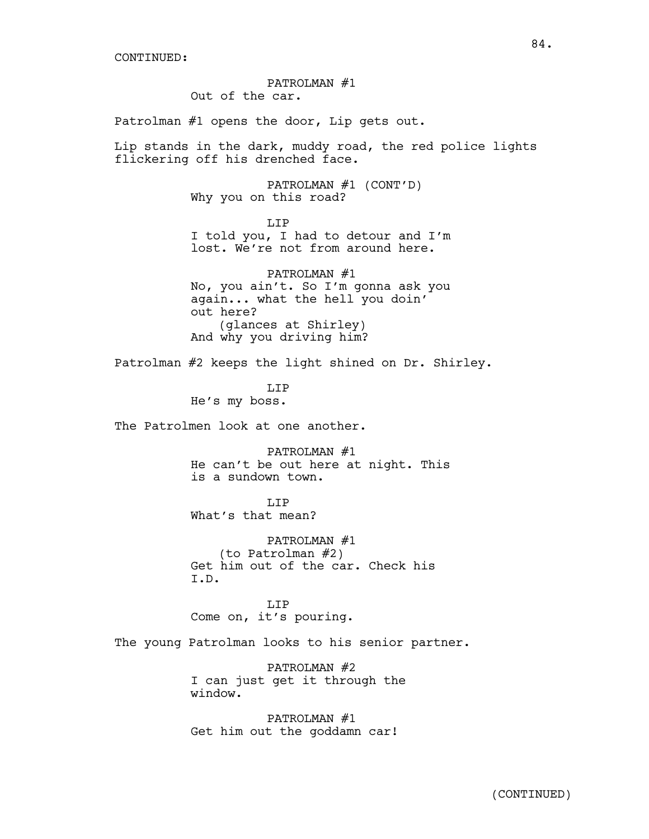PATROLMAN #1 Out of the car.

Patrolman #1 opens the door, Lip gets out.

Lip stands in the dark, muddy road, the red police lights flickering off his drenched face.

> PATROLMAN #1 (CONT'D) Why you on this road?

> > LIP

I told you, I had to detour and I'm lost. We're not from around here.

PATROLMAN #1 No, you ain't. So I'm gonna ask you again... what the hell you doin' out here? (glances at Shirley) And why you driving him?

Patrolman #2 keeps the light shined on Dr. Shirley.

LIP He's my boss.

The Patrolmen look at one another.

PATROLMAN #1 He can't be out here at night. This is a sundown town.

LIP What's that mean?

PATROLMAN #1 (to Patrolman #2) Get him out of the car. Check his I.D.

T.TP Come on, it's pouring.

The young Patrolman looks to his senior partner.

PATROLMAN #2 I can just get it through the window.

PATROLMAN #1 Get him out the goddamn car!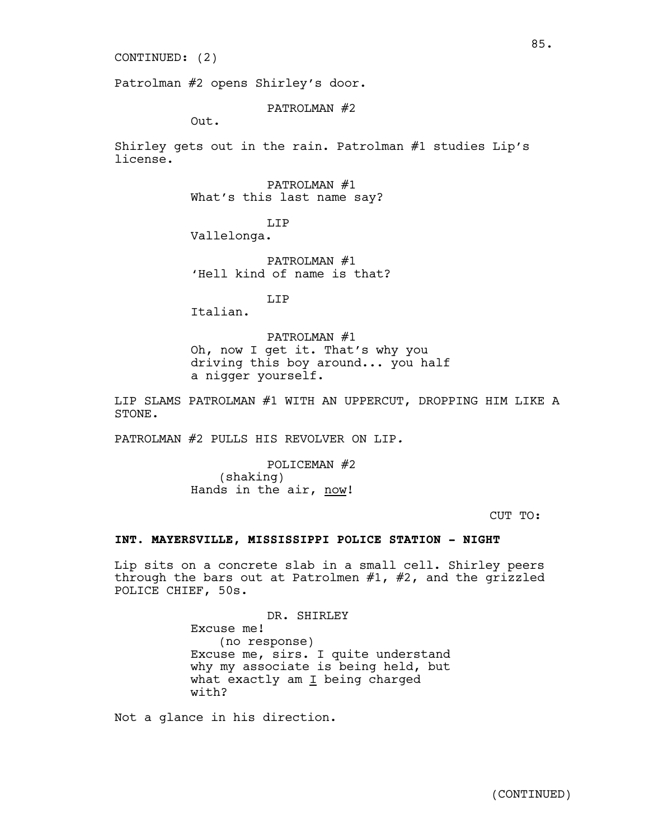#### CONTINUED: (2)

Patrolman #2 opens Shirley's door.

### PATROLMAN #2

Out.

Shirley gets out in the rain. Patrolman #1 studies Lip's license.

PATROLMAN #1

What's this last name say?

LIP Vallelonga.

PATROLMAN #1 'Hell kind of name is that?

LIP

Italian.

PATROLMAN #1 Oh, now I get it. That's why you driving this boy around... you half a nigger yourself.

LIP SLAMS PATROLMAN #1 WITH AN UPPERCUT, DROPPING HIM LIKE A STONE.

PATROLMAN #2 PULLS HIS REVOLVER ON LIP*.*

POLICEMAN #2 (shaking) Hands in the air, now!

CUT TO:

# **INT. MAYERSVILLE, MISSISSIPPI POLICE STATION - NIGHT**

Lip sits on a concrete slab in a small cell. Shirley peers through the bars out at Patrolmen #1, #2, and the grizzled POLICE CHIEF, 50s.

> DR. SHIRLEY Excuse me! (no response) Excuse me, sirs. I quite understand why my associate is being held, but what exactly am  $I$  being charged with?

Not a glance in his direction.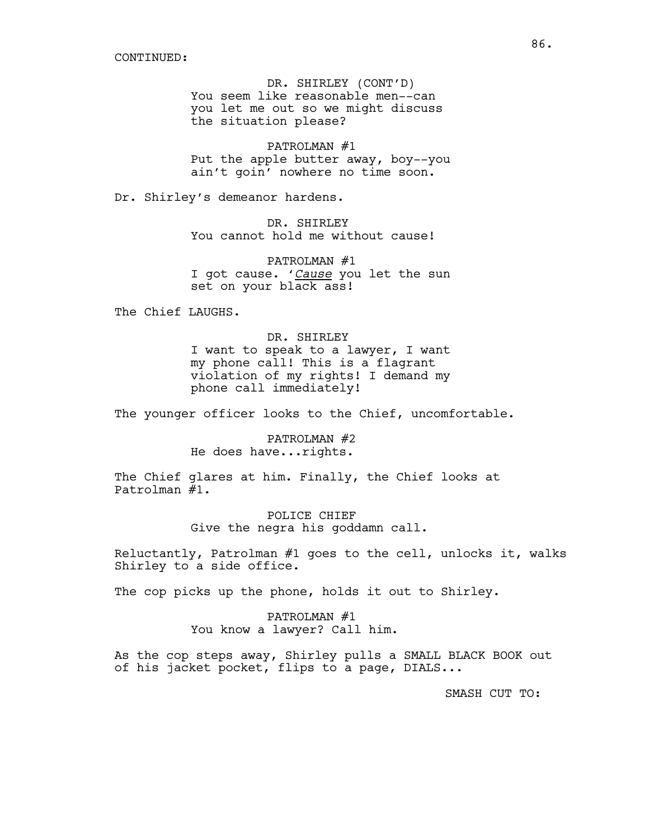DR. SHIRLEY (CONT'D) You seem like reasonable men--can you let me out so we might discuss the situation please?

PATROLMAN #1 Put the apple butter away, boy--you ain't goin' nowhere no time soon.

Dr. Shirley's demeanor hardens.

DR. SHIRLEY You cannot hold me without cause!

PATROLMAN #1 I got cause. '*Cause* you let the sun set on your black ass!

The Chief LAUGHS.

DR. SHIRLEY I want to speak to a lawyer, I want my phone call! This is a flagrant violation of my rights! I demand my phone call immediately!

The younger officer looks to the Chief, uncomfortable.

PATROLMAN #2 He does have...rights.

The Chief glares at him. Finally, the Chief looks at Patrolman #1.

> POLICE CHIEF Give the negra his goddamn call.

Reluctantly, Patrolman #1 goes to the cell, unlocks it, walks Shirley to a side office.

The cop picks up the phone, holds it out to Shirley.

PATROLMAN #1 You know a lawyer? Call him.

As the cop steps away, Shirley pulls a SMALL BLACK BOOK out of his jacket pocket, flips to a page, DIALS...

SMASH CUT TO: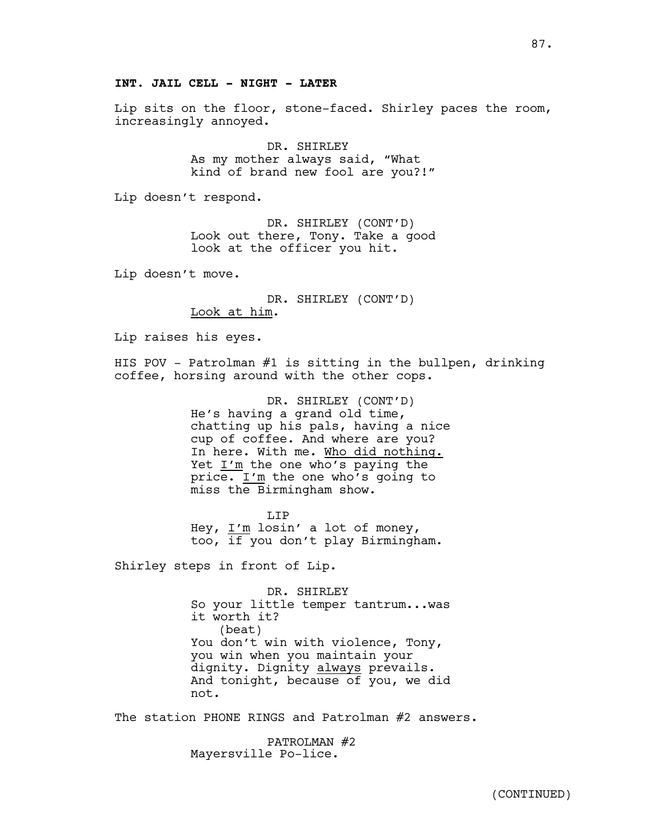# **INT. JAIL CELL - NIGHT - LATER**

Lip sits on the floor, stone-faced. Shirley paces the room, increasingly annoyed.

> DR. SHIRLEY As my mother always said, "What kind of brand new fool are you?!"

Lip doesn't respond.

DR. SHIRLEY (CONT'D) Look out there, Tony. Take a good look at the officer you hit.

Lip doesn't move.

DR. SHIRLEY (CONT'D) Look at him.

Lip raises his eyes.

HIS POV - Patrolman #1 is sitting in the bullpen, drinking coffee, horsing around with the other cops.

> DR. SHIRLEY (CONT'D) He's having a grand old time, chatting up his pals, having a nice cup of coffee. And where are you? In here. With me. Who did nothing. Yet I'm the one who's paying the price. I'm the one who's going to miss the Birmingham show.

T.TP Hey, I'm losin' a lot of money, too, if you don't play Birmingham.

Shirley steps in front of Lip.

DR. SHIRLEY So your little temper tantrum...was it worth it? (beat) You don't win with violence, Tony, you win when you maintain your dignity. Dignity always prevails. And tonight, because of you, we did not.

The station PHONE RINGS and Patrolman #2 answers.

PATROLMAN #2 Mayersville Po-lice.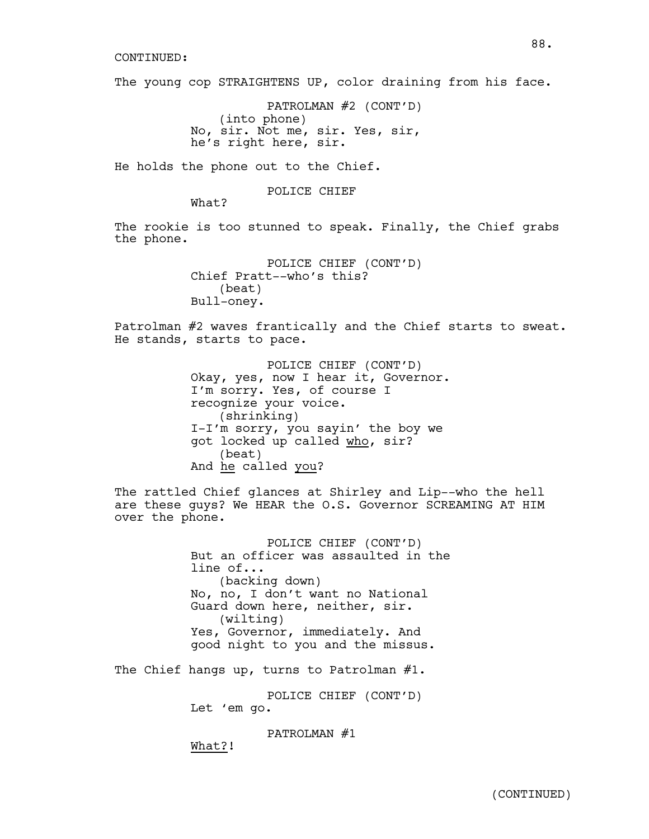#### CONTINUED:

The young cop STRAIGHTENS UP, color draining from his face.

PATROLMAN #2 (CONT'D) (into phone) No, sir. Not me, sir. Yes, sir, he's right here, sir.

He holds the phone out to the Chief.

POLICE CHIEF

What?

The rookie is too stunned to speak. Finally, the Chief grabs the phone.

> POLICE CHIEF (CONT'D) Chief Pratt--who's this? (beat) Bull-oney.

Patrolman #2 waves frantically and the Chief starts to sweat. He stands, starts to pace.

> POLICE CHIEF (CONT'D) Okay, yes, now I hear it, Governor. I'm sorry. Yes, of course I recognize your voice. (shrinking) I-I'm sorry, you sayin' the boy we got locked up called who, sir? (beat) And he called you?

The rattled Chief glances at Shirley and Lip--who the hell are these guys? We HEAR the O.S. Governor SCREAMING AT HIM over the phone.

> POLICE CHIEF (CONT'D) But an officer was assaulted in the line of... (backing down) No, no, I don't want no National Guard down here, neither, sir. (wilting) Yes, Governor, immediately. And good night to you and the missus.

The Chief hangs up, turns to Patrolman #1.

POLICE CHIEF (CONT'D)

Let 'em go.

PATROLMAN #1

What?!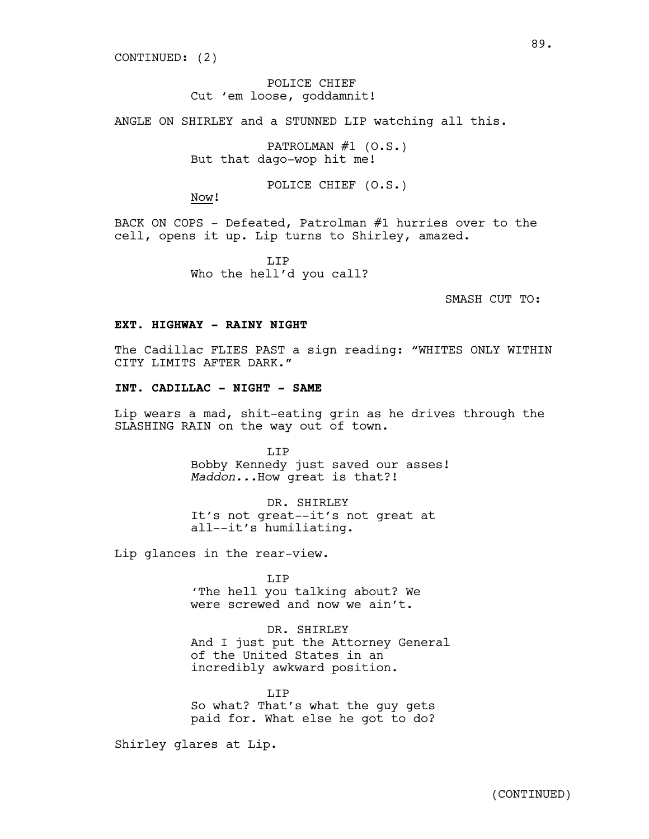# POLICE CHIEF Cut 'em loose, goddamnit!

ANGLE ON SHIRLEY and a STUNNED LIP watching all this.

PATROLMAN #1 (O.S.) But that dago-wop hit me!

POLICE CHIEF (O.S.)

Now!

BACK ON COPS - Defeated, Patrolman #1 hurries over to the cell, opens it up. Lip turns to Shirley, amazed.

> T.TP Who the hell'd you call?

> > SMASH CUT TO:

#### **EXT. HIGHWAY - RAINY NIGHT**

The Cadillac FLIES PAST a sign reading: "WHITES ONLY WITHIN CITY LIMITS AFTER DARK."

# **INT. CADILLAC - NIGHT - SAME**

Lip wears a mad, shit-eating grin as he drives through the SLASHING RAIN on the way out of town.

> T.TP Bobby Kennedy just saved our asses! *Maddon...*How great is that?!

DR. SHIRLEY It's not great--it's not great at all--it's humiliating.

Lip glances in the rear-view.

LIP 'The hell you talking about? We were screwed and now we ain't.

### DR. SHIRLEY

And I just put the Attorney General of the United States in an incredibly awkward position.

LIP So what? That's what the guy gets paid for. What else he got to do?

Shirley glares at Lip.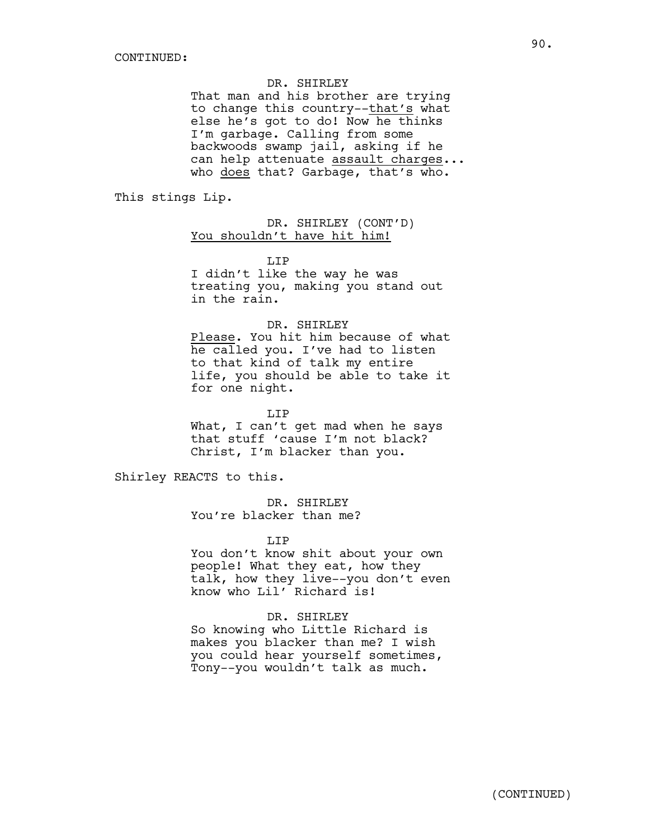DR. SHIRLEY

That man and his brother are trying to change this country--that's what else he's got to do! Now he thinks I'm garbage. Calling from some backwoods swamp jail, asking if he can help attenuate assault charges... who does that? Garbage, that's who.

This stings Lip.

DR. SHIRLEY (CONT'D) You shouldn't have hit him!

T.TP

I didn't like the way he was treating you, making you stand out in the rain.

### DR. SHIRLEY

Please. You hit him because of what he called you. I've had to listen to that kind of talk my entire life, you should be able to take it for one night.

LIP

What, I can't get mad when he says that stuff 'cause I'm not black? Christ, I'm blacker than you.

Shirley REACTS to this.

DR. SHIRLEY You're blacker than me?

LIP

You don't know shit about your own people! What they eat, how they talk, how they live--you don't even know who Lil' Richard is!

DR. SHIRLEY So knowing who Little Richard is makes you blacker than me? I wish you could hear yourself sometimes, Tony--you wouldn't talk as much.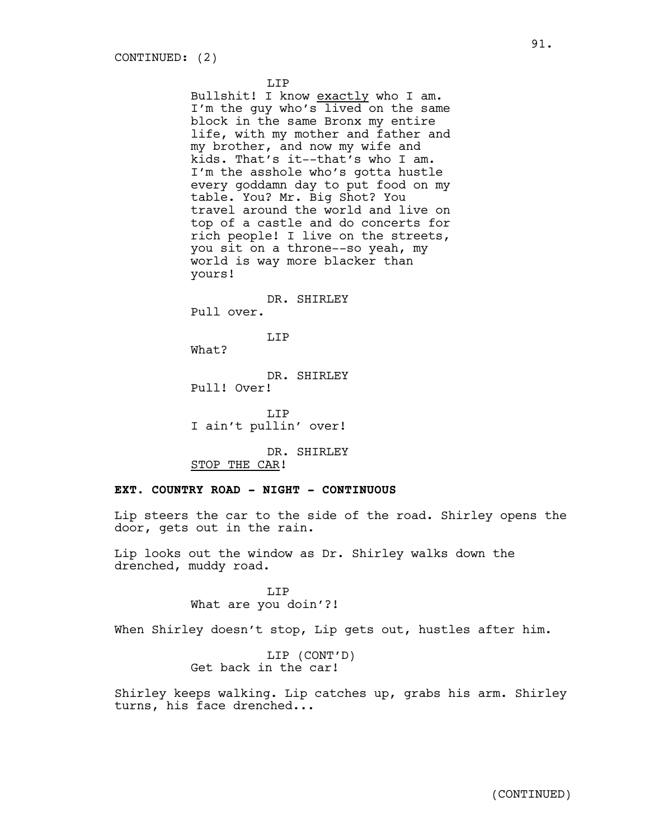LIP

Bullshit! I know exactly who I am. I'm the guy who's lived on the same block in the same Bronx my entire life, with my mother and father and my brother, and now my wife and kids. That's it--that's who I am. I'm the asshole who's gotta hustle every goddamn day to put food on my table. You? Mr. Big Shot? You travel around the world and live on top of a castle and do concerts for rich people! I live on the streets, you sit on a throne--so yeah, my world is way more blacker than yours!

### DR. SHIRLEY

Pull over.

### LIP

What?

DR. SHIRLEY Pull! Over!

LIP I ain't pullin' over!

DR. SHIRLEY STOP THE CAR!

### **EXT. COUNTRY ROAD - NIGHT - CONTINUOUS**

Lip steers the car to the side of the road. Shirley opens the door, gets out in the rain.

Lip looks out the window as Dr. Shirley walks down the drenched, muddy road.

> T.TP What are you doin'?!

When Shirley doesn't stop, Lip gets out, hustles after him.

LIP (CONT'D) Get back in the car!

Shirley keeps walking. Lip catches up, grabs his arm. Shirley turns, his face drenched...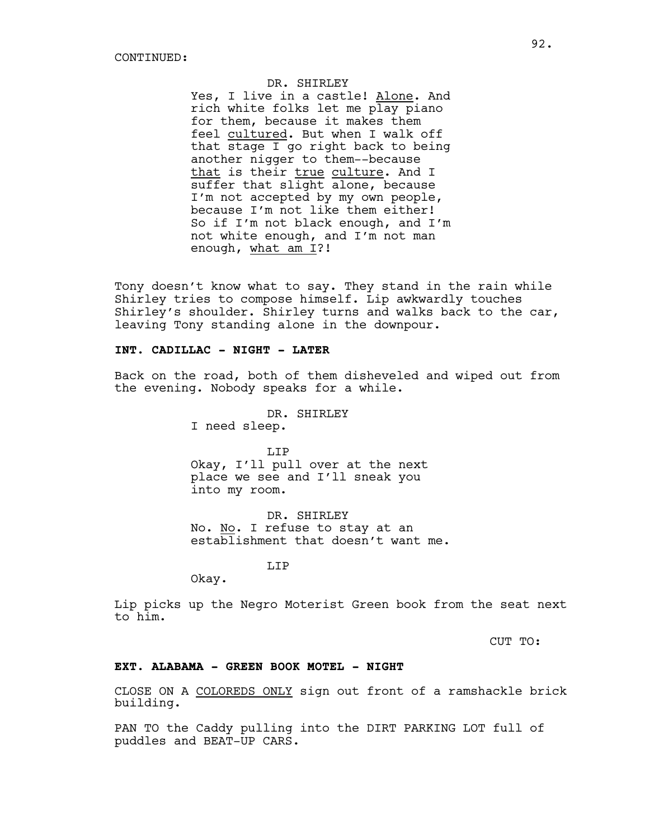DR. SHIRLEY

Yes, I live in a castle! Alone. And rich white folks let me play piano for them, because it makes them feel cultured. But when I walk off that stage I go right back to being another nigger to them--because that is their true culture. And I suffer that slight alone, because I'm not accepted by my own people, because I'm not like them either! So if I'm not black enough, and I'm not white enough, and I'm not man enough, what am I?!

Tony doesn't know what to say. They stand in the rain while Shirley tries to compose himself. Lip awkwardly touches Shirley's shoulder. Shirley turns and walks back to the car, leaving Tony standing alone in the downpour.

### **INT. CADILLAC - NIGHT - LATER**

Back on the road, both of them disheveled and wiped out from the evening. Nobody speaks for a while.

DR. SHIRLEY

I need sleep.

LIP Okay, I'll pull over at the next place we see and I'll sneak you into my room.

DR. SHIRLEY No. No. I refuse to stay at an establishment that doesn't want me.

LIP

Okay.

Lip picks up the Negro Moterist Green book from the seat next to him.

CUT TO:

# **EXT. ALABAMA - GREEN BOOK MOTEL - NIGHT**

CLOSE ON A COLOREDS ONLY sign out front of a ramshackle brick building.

PAN TO the Caddy pulling into the DIRT PARKING LOT full of puddles and BEAT-UP CARS.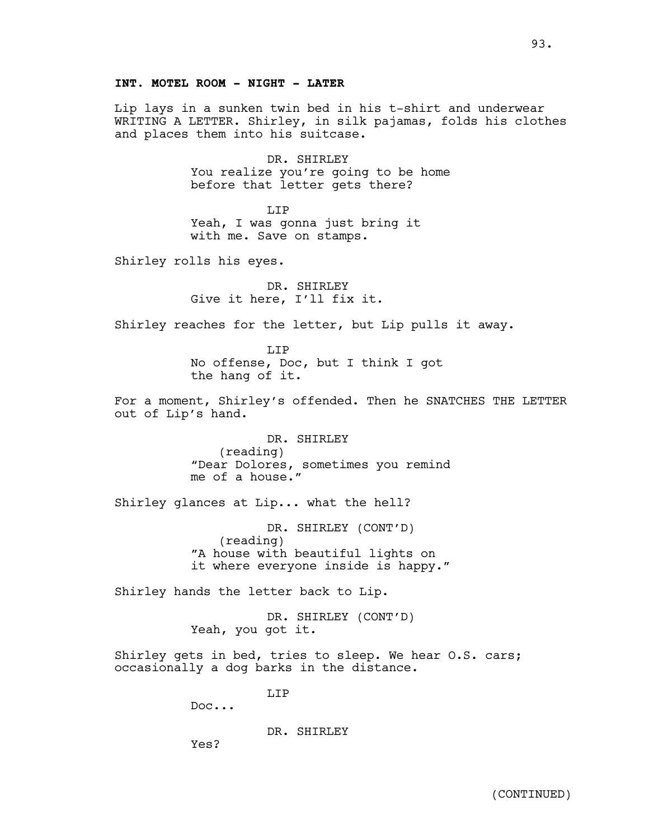# **INT. MOTEL ROOM - NIGHT - LATER**

Lip lays in a sunken twin bed in his t-shirt and underwear WRITING A LETTER. Shirley, in silk pajamas, folds his clothes and places them into his suitcase.

> DR. SHIRLEY You realize you're going to be home before that letter gets there?

LIP Yeah, I was gonna just bring it with me. Save on stamps.

Shirley rolls his eyes.

DR. SHIRLEY Give it here, I'll fix it.

Shirley reaches for the letter, but Lip pulls it away.

LIP No offense, Doc, but I think I got the hang of it.

For a moment, Shirley's offended. Then he SNATCHES THE LETTER out of Lip's hand.

> DR. SHIRLEY (reading) "Dear Dolores, sometimes you remind me of a house."

Shirley glances at Lip... what the hell?

DR. SHIRLEY (CONT'D) (reading) "A house with beautiful lights on it where everyone inside is happy."

Shirley hands the letter back to Lip.

DR. SHIRLEY (CONT'D) Yeah, you got it.

Shirley gets in bed, tries to sleep. We hear O.S. cars; occasionally a dog barks in the distance.

LIP

Doc...

DR. SHIRLEY

Yes?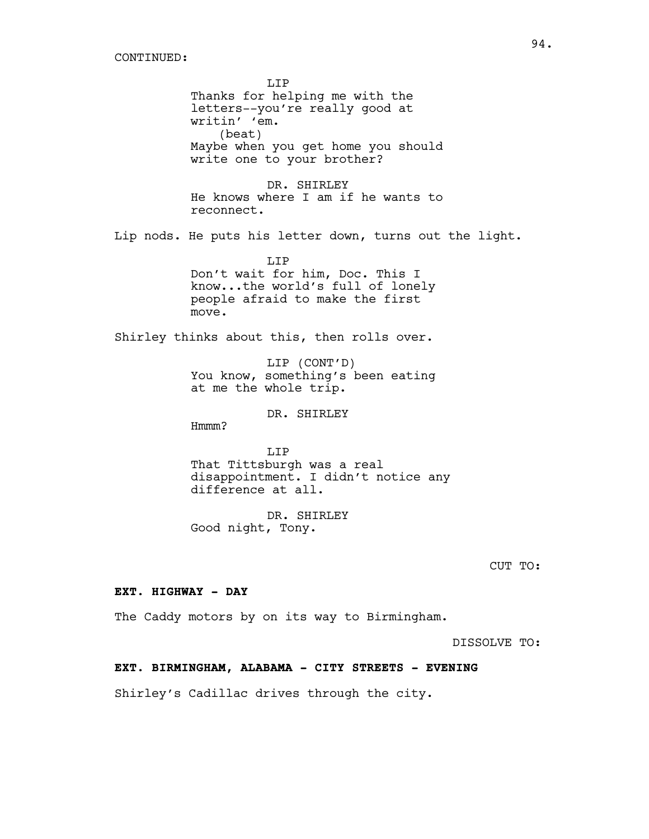LIP Thanks for helping me with the letters--you're really good at writin' 'em. (beat) Maybe when you get home you should write one to your brother? DR. SHIRLEY He knows where I am if he wants to reconnect. Lip nods. He puts his letter down, turns out the light. LIP Don't wait for him, Doc. This I know...the world's full of lonely people afraid to make the first move. Shirley thinks about this, then rolls over. LIP (CONT'D) You know, something's been eating at me the whole trip. DR. SHIRLEY Hmmm? T.TP That Tittsburgh was a real disappointment. I didn't notice any difference at all. DR. SHIRLEY Good night, Tony. CUT TO: **EXT. HIGHWAY - DAY** The Caddy motors by on its way to Birmingham. DISSOLVE TO: **EXT. BIRMINGHAM, ALABAMA - CITY STREETS - EVENING**

Shirley's Cadillac drives through the city.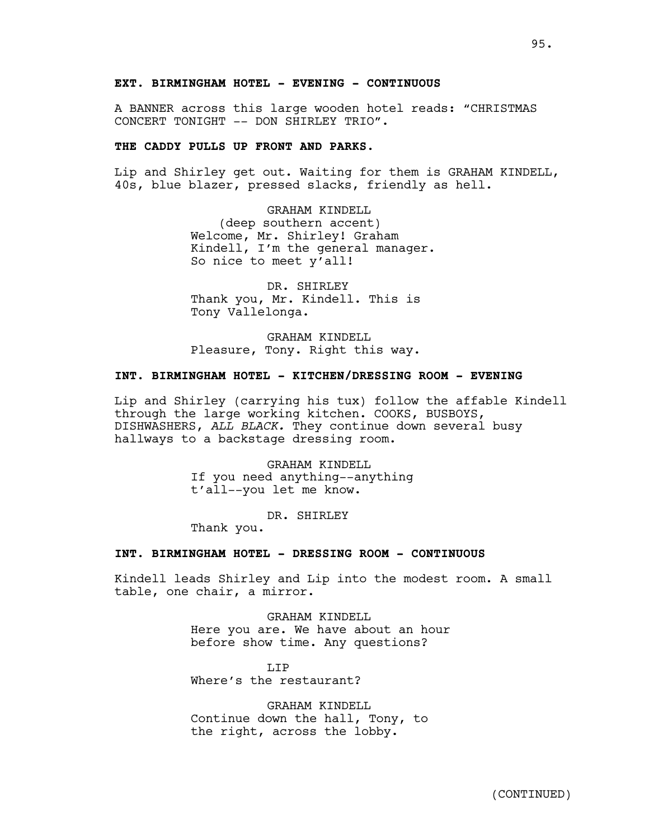A BANNER across this large wooden hotel reads: "CHRISTMAS CONCERT TONIGHT -- DON SHIRLEY TRIO".

# **THE CADDY PULLS UP FRONT AND PARKS.**

Lip and Shirley get out. Waiting for them is GRAHAM KINDELL, 40s, blue blazer, pressed slacks, friendly as hell.

> GRAHAM KINDELL (deep southern accent) Welcome, Mr. Shirley! Graham Kindell, I'm the general manager. So nice to meet y'all!

DR. SHIRLEY Thank you, Mr. Kindell. This is Tony Vallelonga.

GRAHAM KINDELL Pleasure, Tony. Right this way.

# **INT. BIRMINGHAM HOTEL - KITCHEN/DRESSING ROOM - EVENING**

Lip and Shirley (carrying his tux) follow the affable Kindell through the large working kitchen. COOKS, BUSBOYS, DISHWASHERS, *ALL BLACK.* They continue down several busy hallways to a backstage dressing room.

> GRAHAM KINDELL If you need anything--anything t'all--you let me know.

> > DR. SHIRLEY

Thank you.

### **INT. BIRMINGHAM HOTEL - DRESSING ROOM - CONTINUOUS**

Kindell leads Shirley and Lip into the modest room. A small table, one chair, a mirror.

> GRAHAM KINDELL Here you are. We have about an hour before show time. Any questions?

LIP Where's the restaurant?

GRAHAM KINDELL Continue down the hall, Tony, to the right, across the lobby.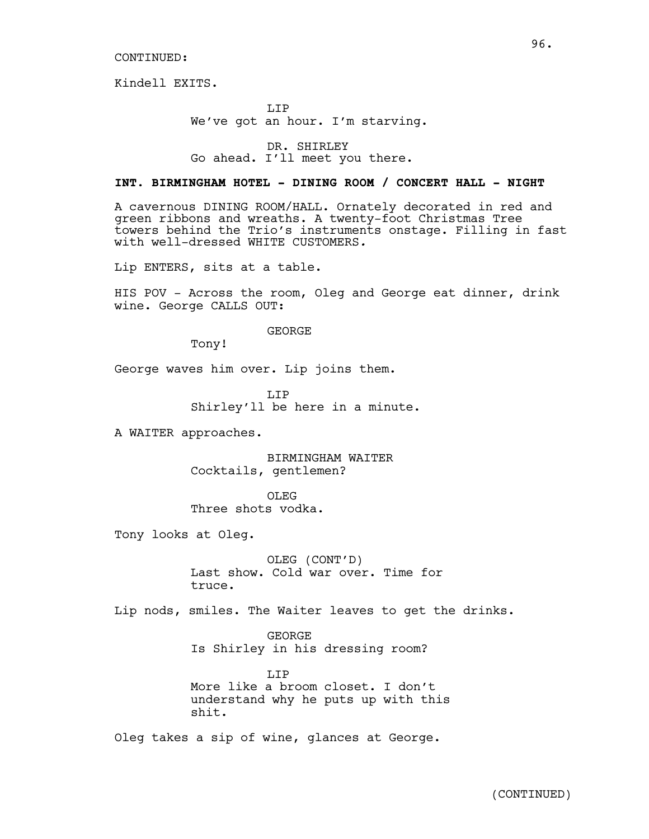Kindell EXITS.

LIP We've got an hour. I'm starving.

DR. SHIRLEY Go ahead. I'll meet you there.

# **INT. BIRMINGHAM HOTEL - DINING ROOM / CONCERT HALL - NIGHT**

A cavernous DINING ROOM/HALL. Ornately decorated in red and green ribbons and wreaths. A twenty-foot Christmas Tree towers behind the Trio's instruments onstage. Filling in fast with well-dressed WHITE CUSTOMERS*.*

Lip ENTERS, sits at a table.

HIS POV - Across the room, Oleg and George eat dinner, drink wine. George CALLS OUT:

GEORGE

Tony!

George waves him over. Lip joins them.

LIP Shirley'll be here in a minute.

A WAITER approaches.

BIRMINGHAM WAITER Cocktails, gentlemen?

OLEG<sub>s</sub> Three shots vodka.

Tony looks at Oleg.

OLEG (CONT'D) Last show. Cold war over. Time for truce.

Lip nods, smiles. The Waiter leaves to get the drinks.

GEORGE Is Shirley in his dressing room?

LIP More like a broom closet. I don't understand why he puts up with this shit.

Oleg takes a sip of wine, glances at George.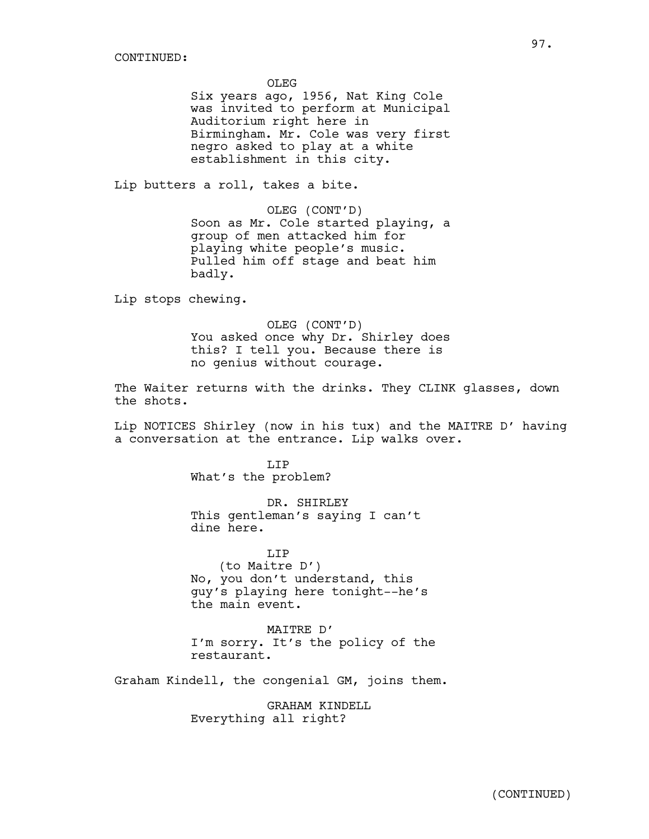OLEG

Six years ago, 1956, Nat King Cole was invited to perform at Municipal Auditorium right here in Birmingham. Mr. Cole was very first negro asked to play at a white establishment in this city.

Lip butters a roll, takes a bite.

OLEG (CONT'D) Soon as Mr. Cole started playing, a group of men attacked him for playing white people's music. Pulled him off stage and beat him badly.

Lip stops chewing.

OLEG (CONT'D) You asked once why Dr. Shirley does this? I tell you. Because there is no genius without courage.

The Waiter returns with the drinks. They CLINK glasses, down the shots.

Lip NOTICES Shirley (now in his tux) and the MAITRE D' having a conversation at the entrance. Lip walks over.

> LIP What's the problem?

DR. SHIRLEY This gentleman's saying I can't dine here.

LIP (to Maitre D') No, you don't understand, this guy's playing here tonight--he's the main event.

MAITRE D' I'm sorry. It's the policy of the restaurant.

Graham Kindell, the congenial GM, joins them.

GRAHAM KINDELL Everything all right?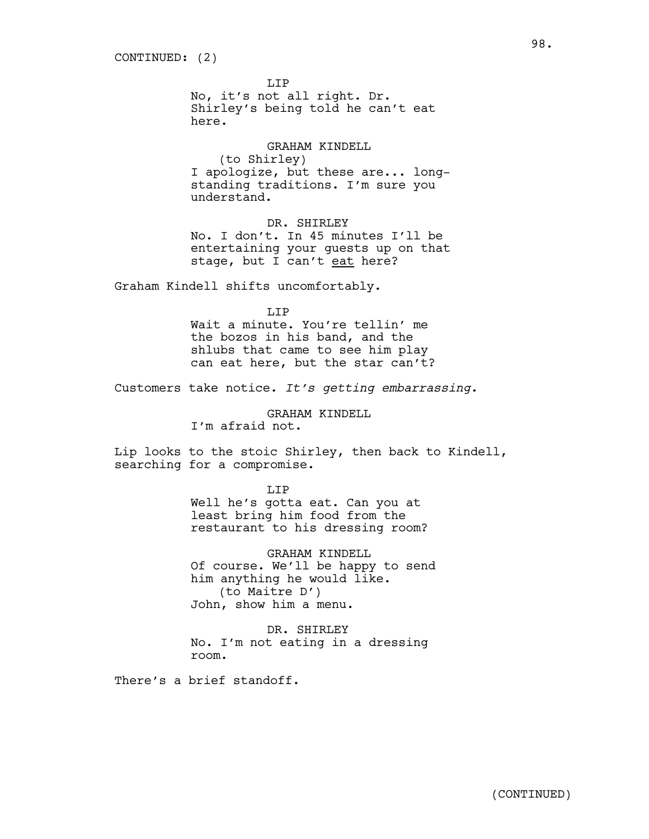LIP

No, it's not all right. Dr. Shirley's being told he can't eat here.

GRAHAM KINDELL (to Shirley) I apologize, but these are... longstanding traditions. I'm sure you understand.

DR. SHIRLEY No. I don't. In 45 minutes I'll be entertaining your guests up on that stage, but I can't eat here?

Graham Kindell shifts uncomfortably.

T.TP

Wait a minute. You're tellin' me the bozos in his band, and the shlubs that came to see him play can eat here, but the star can't?

Customers take notice. *It's getting embarrassing.*

GRAHAM KINDELL

I'm afraid not.

Lip looks to the stoic Shirley, then back to Kindell, searching for a compromise.

#### LIP

Well he's gotta eat. Can you at least bring him food from the restaurant to his dressing room?

GRAHAM KINDELL Of course. We'll be happy to send him anything he would like. (to Maitre D') John, show him a menu.

DR. SHIRLEY No. I'm not eating in a dressing room.

There's a brief standoff.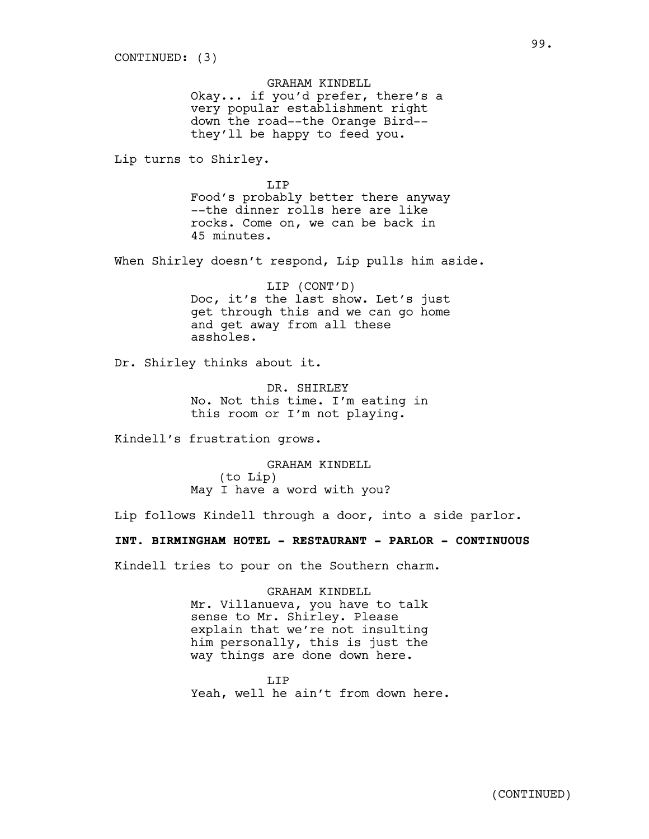GRAHAM KINDELL Okay... if you'd prefer, there's a very popular establishment right down the road--the Orange Bird- they'll be happy to feed you.

Lip turns to Shirley.

LIP Food's probably better there anyway --the dinner rolls here are like rocks. Come on, we can be back in 45 minutes.

When Shirley doesn't respond, Lip pulls him aside.

LIP (CONT'D) Doc, it's the last show. Let's just get through this and we can go home and get away from all these assholes.

Dr. Shirley thinks about it.

DR. SHIRLEY No. Not this time. I'm eating in this room or I'm not playing.

Kindell's frustration grows.

GRAHAM KINDELL (to Lip) May I have a word with you?

Lip follows Kindell through a door, into a side parlor.

**INT. BIRMINGHAM HOTEL - RESTAURANT - PARLOR - CONTINUOUS**

Kindell tries to pour on the Southern charm.

GRAHAM KINDELL Mr. Villanueva, you have to talk sense to Mr. Shirley. Please explain that we're not insulting him personally, this is just the way things are done down here.

T.T<sub>P</sub> Yeah, well he ain't from down here.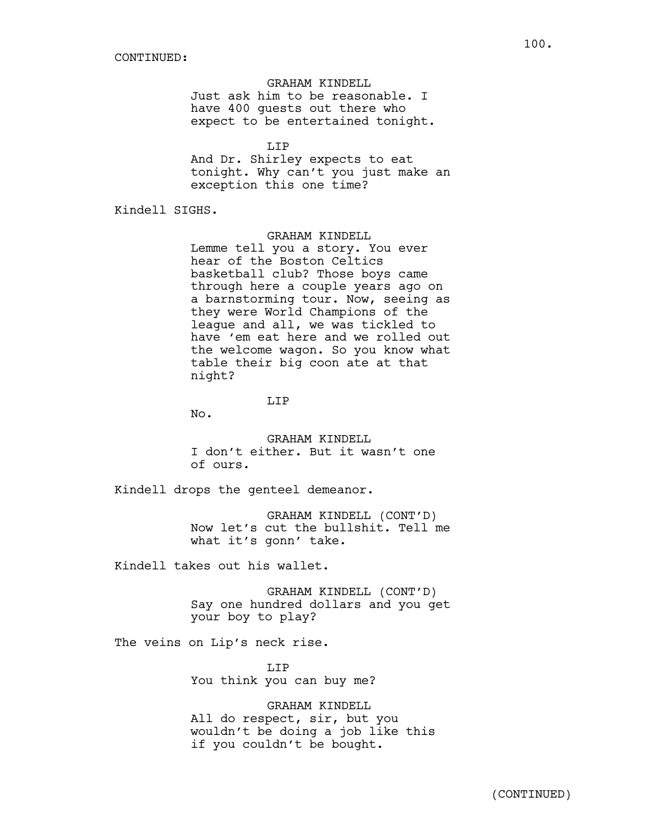GRAHAM KINDELL Just ask him to be reasonable. I have 400 guests out there who expect to be entertained tonight.

LIP

And Dr. Shirley expects to eat tonight. Why can't you just make an exception this one time?

Kindell SIGHS.

GRAHAM KINDELL

Lemme tell you a story. You ever hear of the Boston Celtics basketball club? Those boys came through here a couple years ago on a barnstorming tour. Now, seeing as they were World Champions of the league and all, we was tickled to have 'em eat here and we rolled out the welcome wagon. So you know what table their big coon ate at that night?

LIP

No.

GRAHAM KINDELL I don't either. But it wasn't one of ours.

Kindell drops the genteel demeanor.

GRAHAM KINDELL (CONT'D) Now let's cut the bullshit. Tell me what it's gonn' take.

Kindell takes out his wallet.

GRAHAM KINDELL (CONT'D) Say one hundred dollars and you get your boy to play?

The veins on Lip's neck rise.

LIP You think you can buy me?

GRAHAM KINDELL All do respect, sir, but you wouldn't be doing a job like this if you couldn't be bought.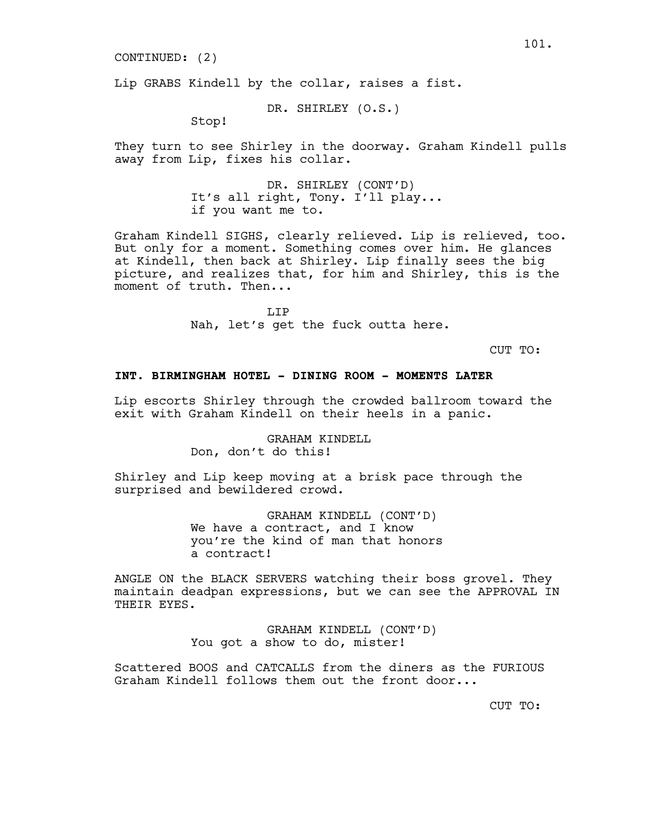CONTINUED: (2)

Lip GRABS Kindell by the collar, raises a fist.

DR. SHIRLEY (O.S.)

Stop!

They turn to see Shirley in the doorway. Graham Kindell pulls away from Lip, fixes his collar.

> DR. SHIRLEY (CONT'D) It's all right, Tony. I'll play... if you want me to.

Graham Kindell SIGHS, clearly relieved. Lip is relieved, too. But only for a moment. Something comes over him. He glances at Kindell, then back at Shirley. Lip finally sees the big picture, and realizes that, for him and Shirley, this is the moment of truth. Then...

> T.T<sub>P</sub> Nah, let's get the fuck outta here.

> > CUT TO:

### **INT. BIRMINGHAM HOTEL - DINING ROOM - MOMENTS LATER**

Lip escorts Shirley through the crowded ballroom toward the exit with Graham Kindell on their heels in a panic.

> GRAHAM KINDELL Don, don't do this!

Shirley and Lip keep moving at a brisk pace through the surprised and bewildered crowd.

> GRAHAM KINDELL (CONT'D) We have a contract, and I know you're the kind of man that honors a contract!

ANGLE ON the BLACK SERVERS watching their boss grovel. They maintain deadpan expressions, but we can see the APPROVAL IN THEIR EYES.

> GRAHAM KINDELL (CONT'D) You got a show to do, mister!

Scattered BOOS and CATCALLS from the diners as the FURIOUS Graham Kindell follows them out the front door...

CUT TO: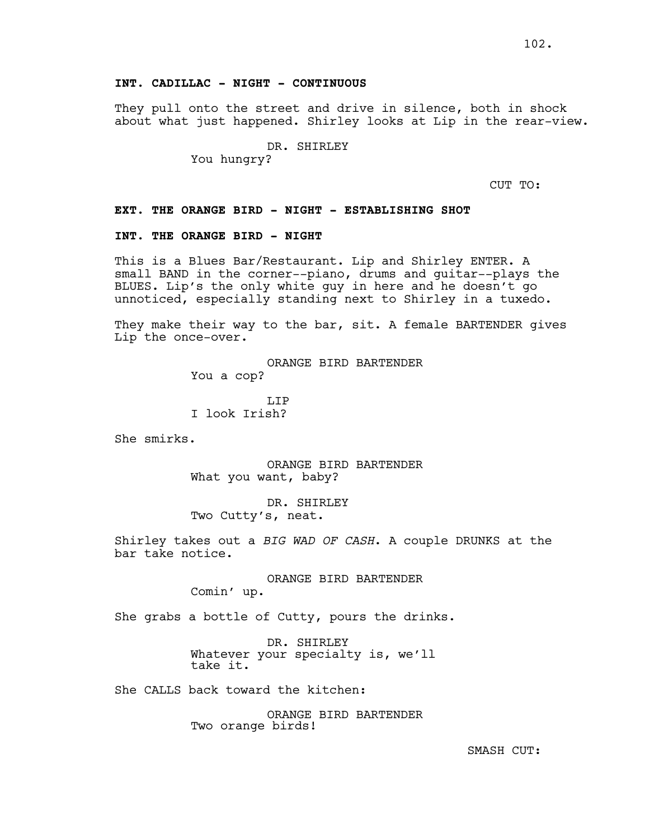# **INT. CADILLAC - NIGHT - CONTINUOUS**

They pull onto the street and drive in silence, both in shock about what just happened. Shirley looks at Lip in the rear-view.

> DR. SHIRLEY You hungry?

CUT TO:

#### **EXT. THE ORANGE BIRD - NIGHT - ESTABLISHING SHOT**

### **INT. THE ORANGE BIRD - NIGHT**

This is a Blues Bar/Restaurant. Lip and Shirley ENTER. A small BAND in the corner--piano, drums and guitar--plays the BLUES. Lip's the only white guy in here and he doesn't go unnoticed, especially standing next to Shirley in a tuxedo.

They make their way to the bar, sit. A female BARTENDER gives Lip the once-over.

```
ORANGE BIRD BARTENDER
You a cop?
```
T.TP I look Irish?

She smirks.

ORANGE BIRD BARTENDER What you want, baby?

DR. SHIRLEY Two Cutty's, neat.

Shirley takes out a *BIG WAD OF CASH*. A couple DRUNKS at the bar take notice.

> ORANGE BIRD BARTENDER Comin' up.

She grabs a bottle of Cutty, pours the drinks.

DR. SHIRLEY Whatever your specialty is, we'll take it.

She CALLS back toward the kitchen:

ORANGE BIRD BARTENDER Two orange birds!

SMASH CUT: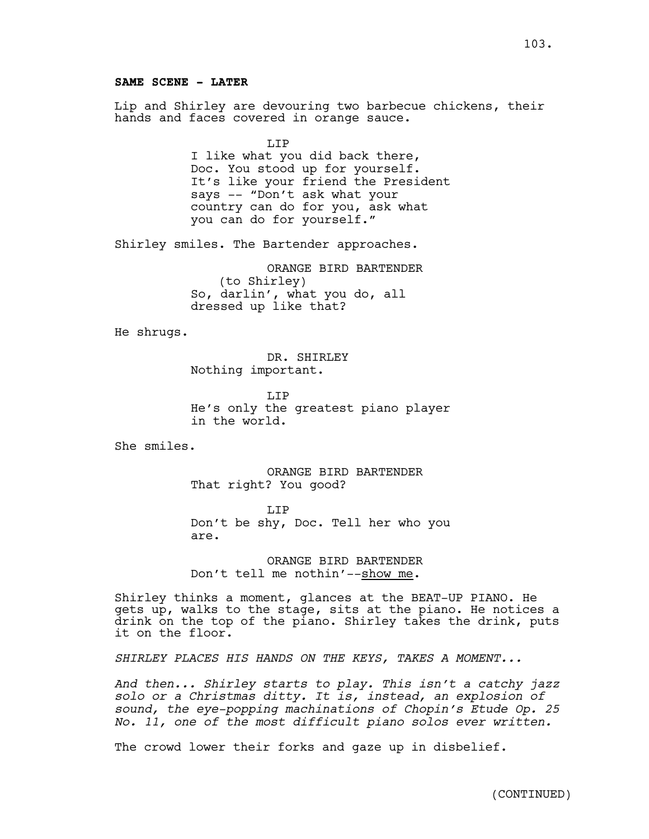Lip and Shirley are devouring two barbecue chickens, their hands and faces covered in orange sauce.

T.TP

I like what you did back there, Doc. You stood up for yourself. It's like your friend the President says -- "Don't ask what your country can do for you, ask what you can do for yourself."

Shirley smiles. The Bartender approaches.

ORANGE BIRD BARTENDER (to Shirley) So, darlin', what you do, all dressed up like that?

He shrugs.

DR. SHIRLEY Nothing important.

LIP He's only the greatest piano player in the world.

She smiles.

ORANGE BIRD BARTENDER That right? You good?

T.TP Don't be shy, Doc. Tell her who you are.

ORANGE BIRD BARTENDER Don't tell me nothin'--show me.

Shirley thinks a moment, glances at the BEAT-UP PIANO. He gets up, walks to the stage, sits at the piano. He notices a drink on the top of the piano. Shirley takes the drink, puts it on the floor.

*SHIRLEY PLACES HIS HANDS ON THE KEYS, TAKES A MOMENT...*

*And then... Shirley starts to play. This isn't a catchy jazz solo or a Christmas ditty. It is, instead, an explosion of sound, the eye-popping machinations of Chopin's Etude Op. 25 No. 11, one of the most difficult piano solos ever written.*

The crowd lower their forks and gaze up in disbelief.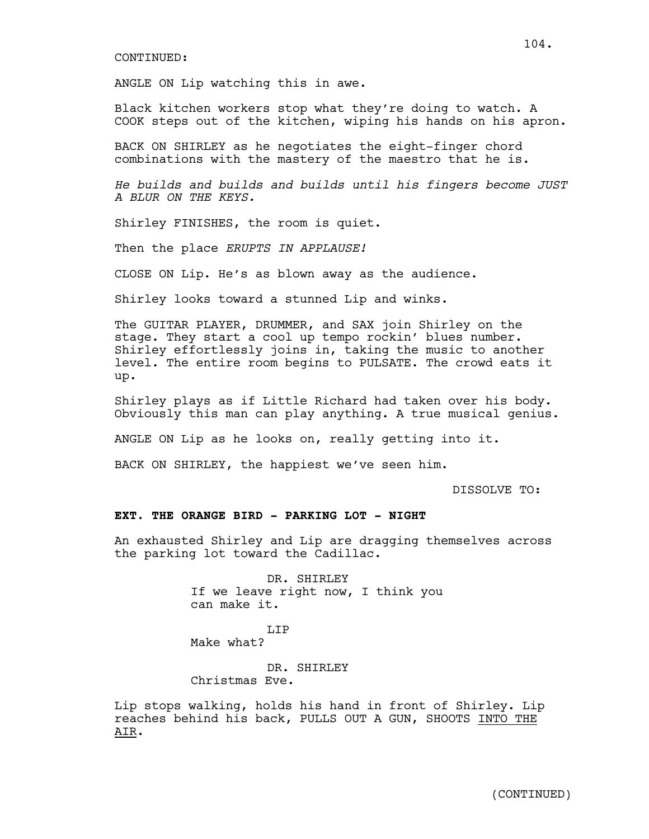#### CONTINUED:

ANGLE ON Lip watching this in awe.

Black kitchen workers stop what they're doing to watch. A COOK steps out of the kitchen, wiping his hands on his apron.

BACK ON SHIRLEY as he negotiates the eight-finger chord combinations with the mastery of the maestro that he is.

*He builds and builds and builds until his fingers become JUST A BLUR ON THE KEYS.*

Shirley FINISHES, the room is quiet.

Then the place *ERUPTS IN APPLAUSE!*

CLOSE ON Lip. He's as blown away as the audience.

Shirley looks toward a stunned Lip and winks.

The GUITAR PLAYER, DRUMMER, and SAX join Shirley on the stage. They start a cool up tempo rockin' blues number. Shirley effortlessly joins in, taking the music to another level. The entire room begins to PULSATE. The crowd eats it up.

Shirley plays as if Little Richard had taken over his body. Obviously this man can play anything. A true musical genius.

ANGLE ON Lip as he looks on, really getting into it.

BACK ON SHIRLEY, the happiest we've seen him.

DISSOLVE TO:

### **EXT. THE ORANGE BIRD - PARKING LOT - NIGHT**

An exhausted Shirley and Lip are dragging themselves across the parking lot toward the Cadillac.

> DR. SHIRLEY If we leave right now, I think you can make it.

LIP Make what?

DR. SHIRLEY Christmas Eve.

Lip stops walking, holds his hand in front of Shirley. Lip reaches behind his back, PULLS OUT A GUN, SHOOTS INTO THE AIR.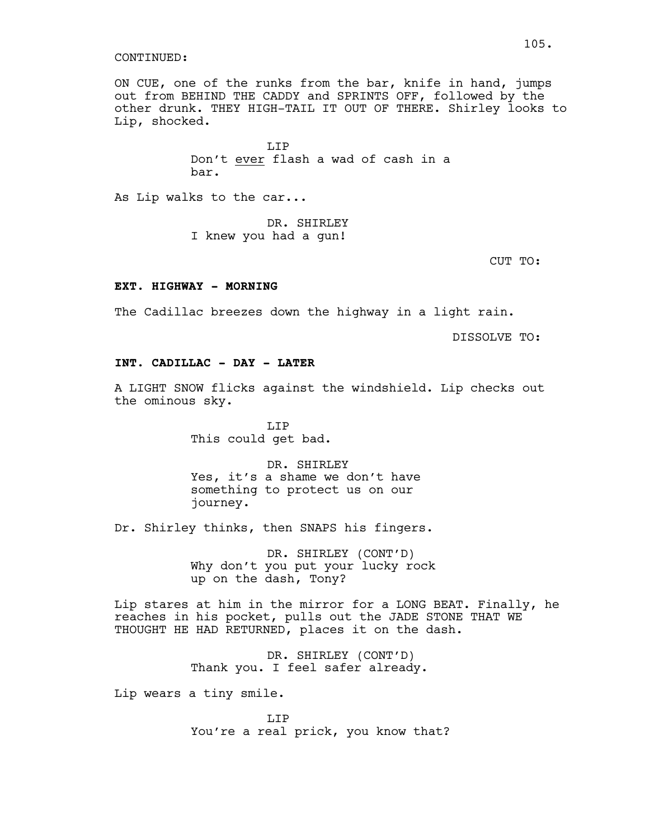#### CONTINUED:

ON CUE, one of the runks from the bar, knife in hand, jumps out from BEHIND THE CADDY and SPRINTS OFF, followed by the other drunk. THEY HIGH-TAIL IT OUT OF THERE. Shirley looks to Lip, shocked.

> LIP Don't ever flash a wad of cash in a bar.

As Lip walks to the car...

DR. SHIRLEY I knew you had a gun!

CUT TO:

# EXT. HIGHWAY - MORNING

The Cadillac breezes down the highway in a light rain.

DISSOLVE TO:

# **INT. CADILLAC - DAY - LATER**

A LIGHT SNOW flicks against the windshield. Lip checks out the ominous sky.

> LIP This could get bad.

DR. SHIRLEY Yes, it's a shame we don't have something to protect us on our journey.

Dr. Shirley thinks, then SNAPS his fingers.

DR. SHIRLEY (CONT'D) Why don't you put your lucky rock up on the dash, Tony?

Lip stares at him in the mirror for a LONG BEAT. Finally, he reaches in his pocket, pulls out the JADE STONE THAT WE THOUGHT HE HAD RETURNED, places it on the dash.

> DR. SHIRLEY (CONT'D) Thank you. I feel safer already.

Lip wears a tiny smile.

LIP You're a real prick, you know that?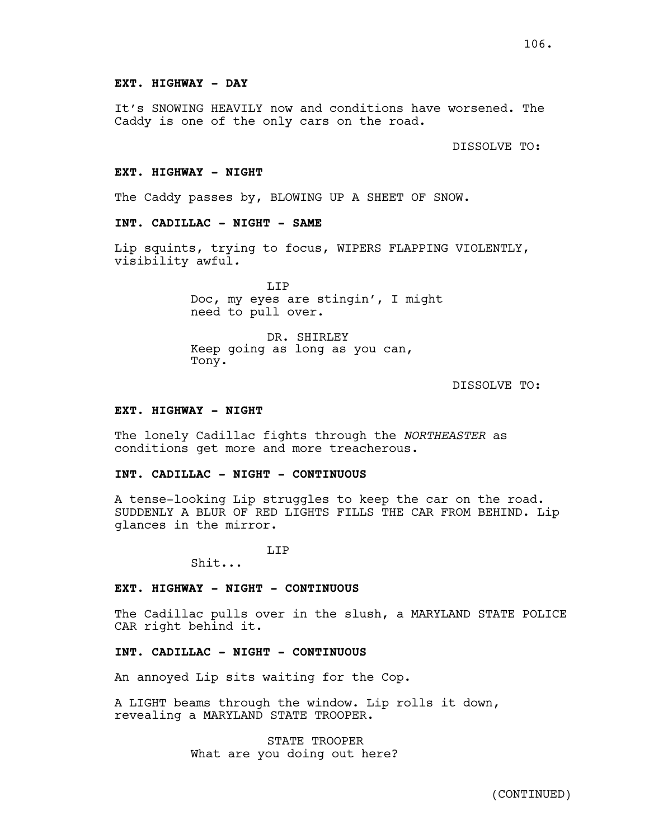# **EXT. HIGHWAY - DAY**

It's SNOWING HEAVILY now and conditions have worsened. The Caddy is one of the only cars on the road.

DISSOLVE TO:

#### **EXT. HIGHWAY - NIGHT**

The Caddy passes by, BLOWING UP A SHEET OF SNOW.

### **INT. CADILLAC - NIGHT - SAME**

Lip squints, trying to focus, WIPERS FLAPPING VIOLENTLY, visibility awful*.*

> LIP Doc, my eyes are stingin', I might need to pull over.

DR. SHIRLEY Keep going as long as you can, Tony.

# DISSOLVE TO:

#### **EXT. HIGHWAY - NIGHT**

The lonely Cadillac fights through the *NORTHEASTER* as conditions get more and more treacherous.

### **INT. CADILLAC - NIGHT - CONTINUOUS**

A tense-looking Lip struggles to keep the car on the road. SUDDENLY A BLUR OF RED LIGHTS FILLS THE CAR FROM BEHIND. Lip glances in the mirror.

LIP

Shit...

# **EXT. HIGHWAY - NIGHT - CONTINUOUS**

The Cadillac pulls over in the slush, a MARYLAND STATE POLICE CAR right behind it.

#### **INT. CADILLAC - NIGHT - CONTINUOUS**

An annoyed Lip sits waiting for the Cop.

A LIGHT beams through the window. Lip rolls it down, revealing a MARYLAND STATE TROOPER.

> STATE TROOPER What are you doing out here?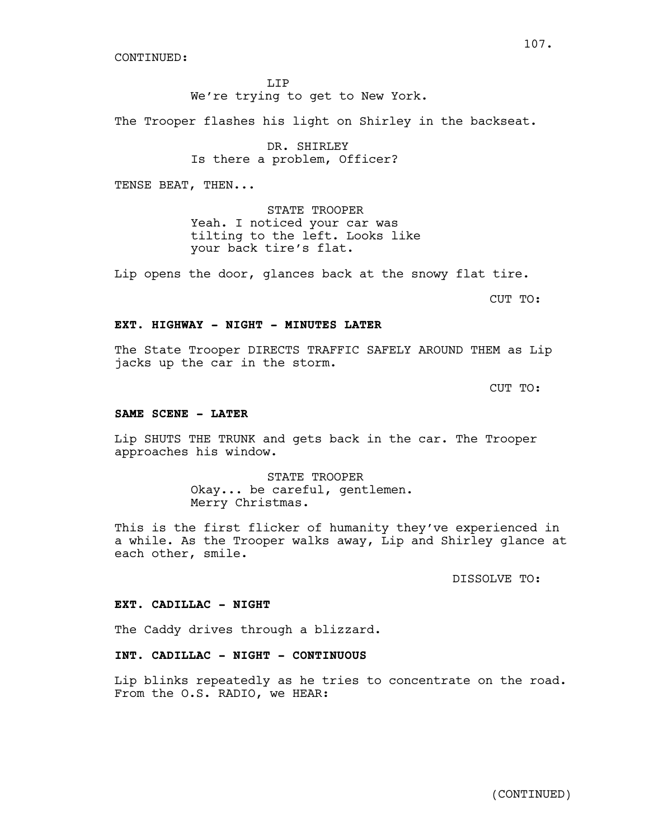CONTINUED:

LIP

We're trying to get to New York.

The Trooper flashes his light on Shirley in the backseat.

DR. SHIRLEY Is there a problem, Officer?

TENSE BEAT, THEN...

STATE TROOPER Yeah. I noticed your car was tilting to the left. Looks like your back tire's flat.

Lip opens the door, glances back at the snowy flat tire.

CUT TO:

#### **EXT. HIGHWAY - NIGHT - MINUTES LATER**

The State Trooper DIRECTS TRAFFIC SAFELY AROUND THEM as Lip jacks up the car in the storm.

CUT TO:

### **SAME SCENE - LATER**

Lip SHUTS THE TRUNK and gets back in the car. The Trooper approaches his window.

> STATE TROOPER Okay... be careful, gentlemen. Merry Christmas.

This is the first flicker of humanity they've experienced in a while. As the Trooper walks away, Lip and Shirley glance at each other, smile.

DISSOLVE TO:

### **EXT. CADILLAC - NIGHT**

The Caddy drives through a blizzard.

# **INT. CADILLAC - NIGHT - CONTINUOUS**

Lip blinks repeatedly as he tries to concentrate on the road. From the O.S. RADIO, we HEAR:

107.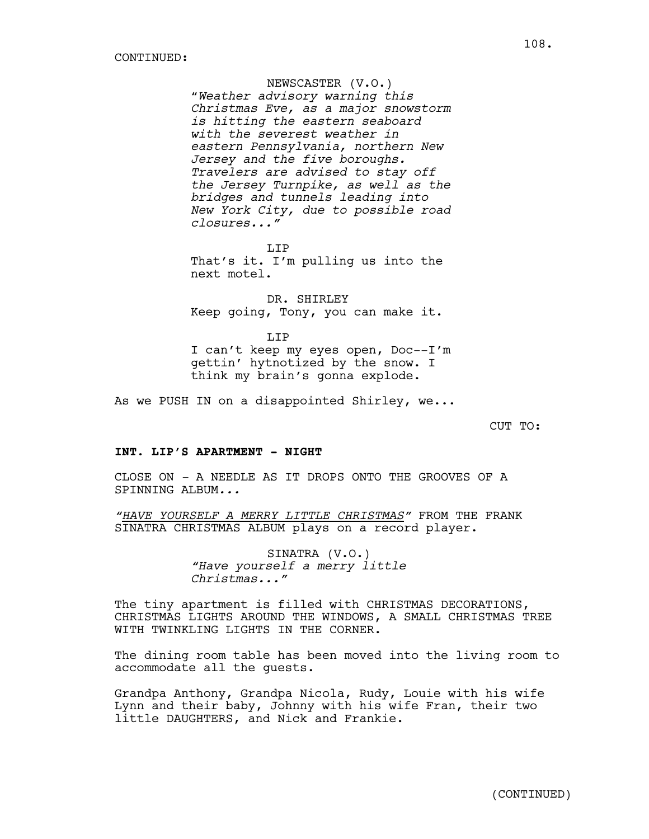NEWSCASTER (V.O.) "*Weather advisory warning this Christmas Eve, as a major snowstorm is hitting the eastern seaboard with the severest weather in eastern Pennsylvania, northern New Jersey and the five boroughs. Travelers are advised to stay off the Jersey Turnpike, as well as the bridges and tunnels leading into New York City, due to possible road closures..."*

LIP That's it. I'm pulling us into the next motel.

DR. SHIRLEY Keep going, Tony, you can make it.

LIP I can't keep my eyes open, Doc--I'm gettin' hytnotized by the snow. I think my brain's gonna explode.

As we PUSH IN on a disappointed Shirley, we...

CUT TO:

#### **INT. LIP'S APARTMENT - NIGHT**

CLOSE ON *-* A NEEDLE AS IT DROPS ONTO THE GROOVES OF A SPINNING ALBUM*...*

*"HAVE YOURSELF A MERRY LITTLE CHRISTMAS"* FROM THE FRANK SINATRA CHRISTMAS ALBUM plays on a record player.

> SINATRA (V.O.) *"Have yourself a merry little Christmas..."*

The tiny apartment is filled with CHRISTMAS DECORATIONS, CHRISTMAS LIGHTS AROUND THE WINDOWS, A SMALL CHRISTMAS TREE WITH TWINKLING LIGHTS IN THE CORNER.

The dining room table has been moved into the living room to accommodate all the guests.

Grandpa Anthony, Grandpa Nicola, Rudy, Louie with his wife Lynn and their baby, Johnny with his wife Fran, their two little DAUGHTERS, and Nick and Frankie.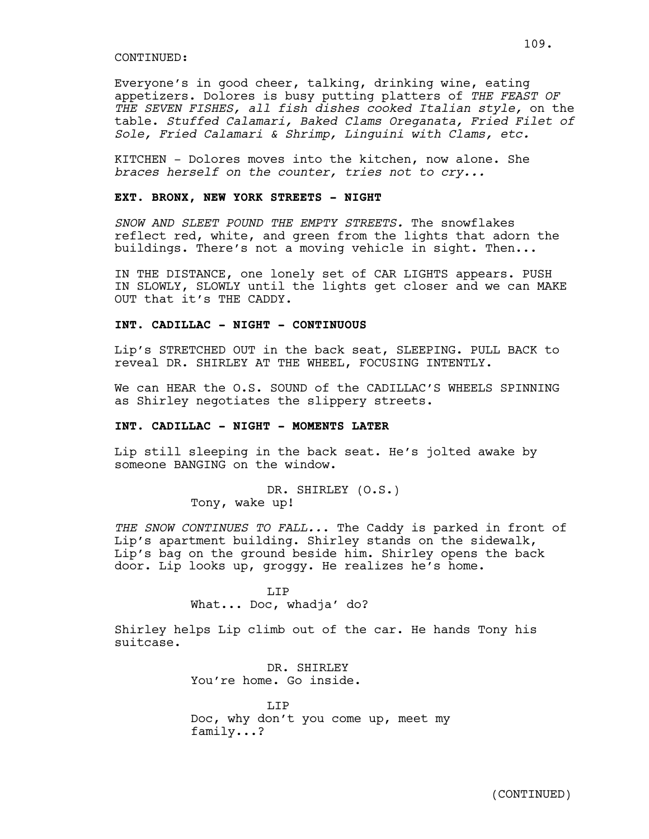#### CONTINUED:

Everyone's in good cheer, talking, drinking wine, eating appetizers. Dolores is busy putting platters of *THE FEAST OF THE SEVEN FISHES, all fish dishes cooked Italian style,* on the table. *Stuffed Calamari, Baked Clams Oreganata, Fried Filet of Sole, Fried Calamari & Shrimp, Linguini with Clams, etc.*

KITCHEN - Dolores moves into the kitchen, now alone. She *braces herself on the counter, tries not to cry...*

# **EXT. BRONX, NEW YORK STREETS - NIGHT**

*SNOW AND SLEET POUND THE EMPTY STREETS.* The snowflakes reflect red, white, and green from the lights that adorn the buildings. There's not a moving vehicle in sight. Then...

IN THE DISTANCE, one lonely set of CAR LIGHTS appears. PUSH IN SLOWLY, SLOWLY until the lights get closer and we can MAKE OUT that it's THE CADDY.

#### **INT. CADILLAC - NIGHT - CONTINUOUS**

Lip's STRETCHED OUT in the back seat, SLEEPING. PULL BACK to reveal DR. SHIRLEY AT THE WHEEL, FOCUSING INTENTLY.

We can HEAR the O.S. SOUND of the CADILLAC'S WHEELS SPINNING as Shirley negotiates the slippery streets.

## **INT. CADILLAC - NIGHT - MOMENTS LATER**

Lip still sleeping in the back seat. He's jolted awake by someone BANGING on the window.

> DR. SHIRLEY (O.S.) Tony, wake up!

*THE SNOW CONTINUES TO FALL..*. The Caddy is parked in front of Lip's apartment building. Shirley stands on the sidewalk, Lip's bag on the ground beside him. Shirley opens the back door. Lip looks up, groggy. He realizes he's home.

> T.TP What... Doc, whadja' do?

Shirley helps Lip climb out of the car. He hands Tony his suitcase.

> DR. SHIRLEY You're home. Go inside.

LIP Doc, why don't you come up, meet my family...?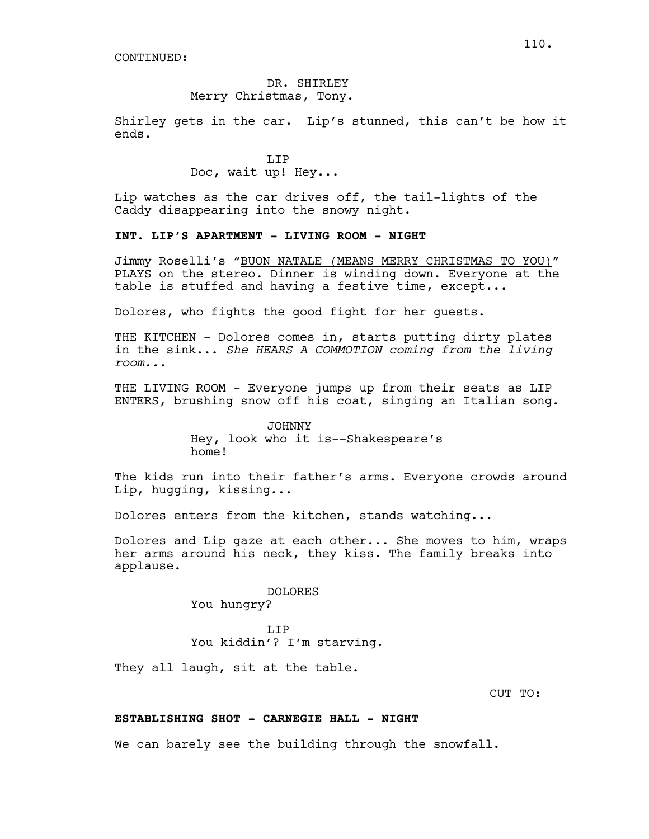## DR. SHIRLEY Merry Christmas, Tony.

Shirley gets in the car. Lip's stunned, this can't be how it ends.

> LIP Doc, wait up! Hey...

Lip watches as the car drives off, the tail-lights of the Caddy disappearing into the snowy night.

### **INT. LIP'S APARTMENT - LIVING ROOM - NIGHT**

Jimmy Roselli's "BUON NATALE (MEANS MERRY CHRISTMAS TO YOU)" PLAYS on the stereo*.* Dinner is winding down. Everyone at the table is stuffed and having a festive time, except...

Dolores, who fights the good fight for her guests.

THE KITCHEN - Dolores comes in, starts putting dirty plates in the sink... *She HEARS A COMMOTION coming from the living room...*

THE LIVING ROOM - Everyone jumps up from their seats as LIP ENTERS, brushing snow off his coat, singing an Italian song.

> JOHNNY Hey, look who it is--Shakespeare's home!

The kids run into their father's arms. Everyone crowds around Lip, hugging, kissing...

Dolores enters from the kitchen, stands watching...

Dolores and Lip gaze at each other... She moves to him, wraps her arms around his neck, they kiss. The family breaks into applause.

> DOLORES You hungry?

LIP You kiddin'? I'm starving.

They all laugh, sit at the table.

CUT TO:

### **ESTABLISHING SHOT - CARNEGIE HALL - NIGHT**

We can barely see the building through the snowfall.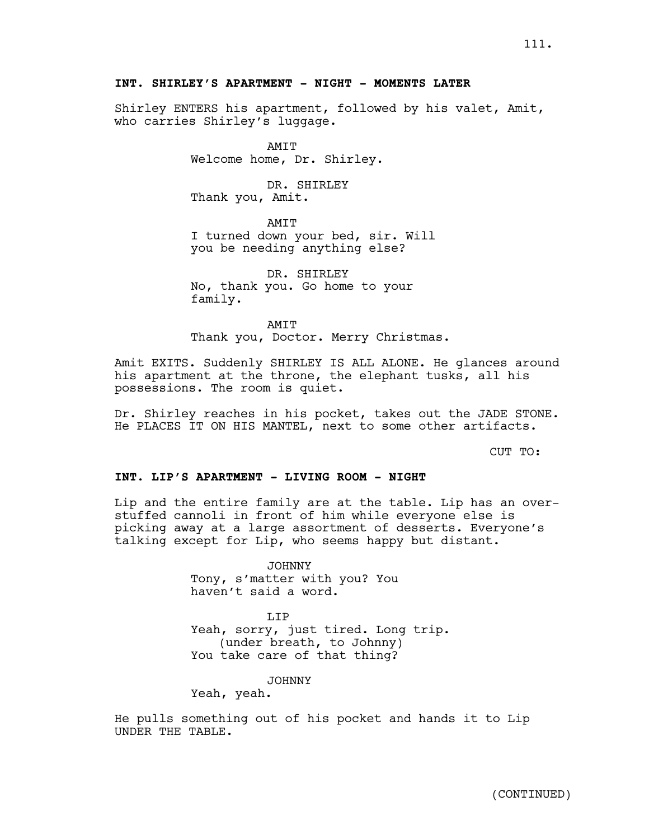## **INT. SHIRLEY'S APARTMENT - NIGHT - MOMENTS LATER**

Shirley ENTERS his apartment, followed by his valet, Amit, who carries Shirley's luggage.

> AMIT Welcome home, Dr. Shirley.

DR. SHIRLEY Thank you, Amit.

AMIT I turned down your bed, sir. Will you be needing anything else?

DR. SHIRLEY No, thank you. Go home to your family.

AMIT Thank you, Doctor. Merry Christmas.

Amit EXITS. Suddenly SHIRLEY IS ALL ALONE. He glances around his apartment at the throne, the elephant tusks, all his possessions. The room is quiet.

Dr. Shirley reaches in his pocket, takes out the JADE STONE. He PLACES IT ON HIS MANTEL, next to some other artifacts.

CUT TO:

#### **INT. LIP'S APARTMENT - LIVING ROOM - NIGHT**

Lip and the entire family are at the table. Lip has an overstuffed cannoli in front of him while everyone else is picking away at a large assortment of desserts. Everyone's talking except for Lip, who seems happy but distant.

> JOHNNY Tony, s'matter with you? You haven't said a word.

T.TP Yeah, sorry, just tired. Long trip. (under breath, to Johnny) You take care of that thing?

JOHNNY

Yeah, yeah.

He pulls something out of his pocket and hands it to Lip UNDER THE TABLE.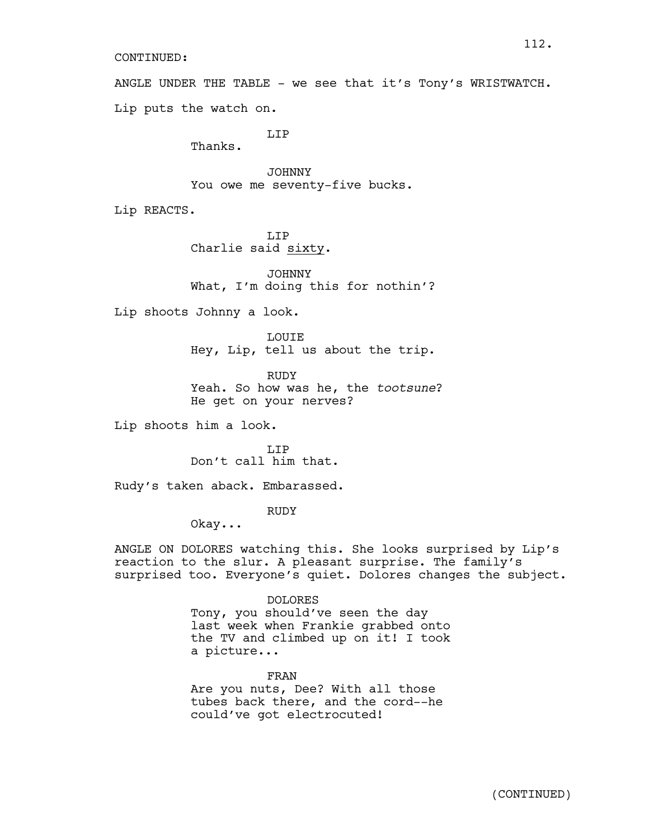### CONTINUED:

ANGLE UNDER THE TABLE - we see that it's Tony's WRISTWATCH. Lip puts the watch on.

LIP

Thanks.

JOHNNY You owe me seventy-five bucks.

Lip REACTS.

T.TP Charlie said sixty.

JOHNNY What, I'm doing this for nothin'?

Lip shoots Johnny a look.

LOUIE Hey, Lip, tell us about the trip.

**RUDY** Yeah. So how was he, the *tootsune*? He get on your nerves?

Lip shoots him a look.

LIP Don't call him that.

Rudy's taken aback. Embarassed.

RUDY

Okay...

ANGLE ON DOLORES watching this. She looks surprised by Lip's reaction to the slur. A pleasant surprise. The family's surprised too. Everyone's quiet. Dolores changes the subject.

### DOLORES

Tony, you should've seen the day last week when Frankie grabbed onto the TV and climbed up on it! I took a picture...

FRAN

Are you nuts, Dee? With all those tubes back there, and the cord--he could've got electrocuted!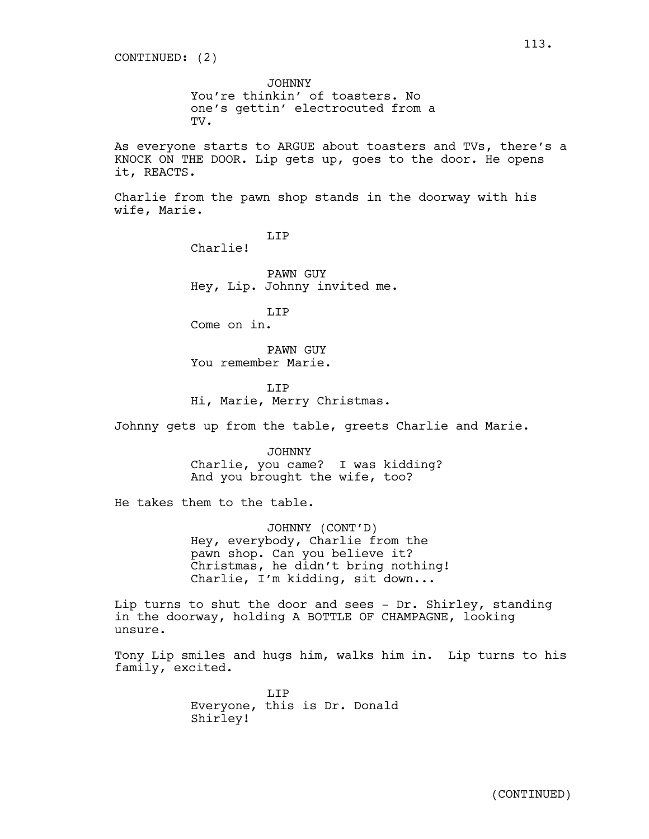JOHNNY You're thinkin' of toasters. No one's gettin' electrocuted from a TV.

As everyone starts to ARGUE about toasters and TVs, there's a KNOCK ON THE DOOR. Lip gets up, goes to the door. He opens it, REACTS.

Charlie from the pawn shop stands in the doorway with his wife, Marie.

LIP

Charlie!

PAWN GUY Hey, Lip. Johnny invited me.

T.TP Come on in.

PAWN GUY You remember Marie.

LIP Hi, Marie, Merry Christmas.

Johnny gets up from the table, greets Charlie and Marie.

JOHNNY Charlie, you came? I was kidding? And you brought the wife, too?

He takes them to the table.

JOHNNY (CONT'D) Hey, everybody, Charlie from the pawn shop. Can you believe it? Christmas, he didn't bring nothing! Charlie, I'm kidding, sit down...

Lip turns to shut the door and sees - Dr. Shirley, standing in the doorway, holding A BOTTLE OF CHAMPAGNE, looking unsure.

Tony Lip smiles and hugs him, walks him in. Lip turns to his family, excited.

> LIP Everyone, this is Dr. Donald Shirley!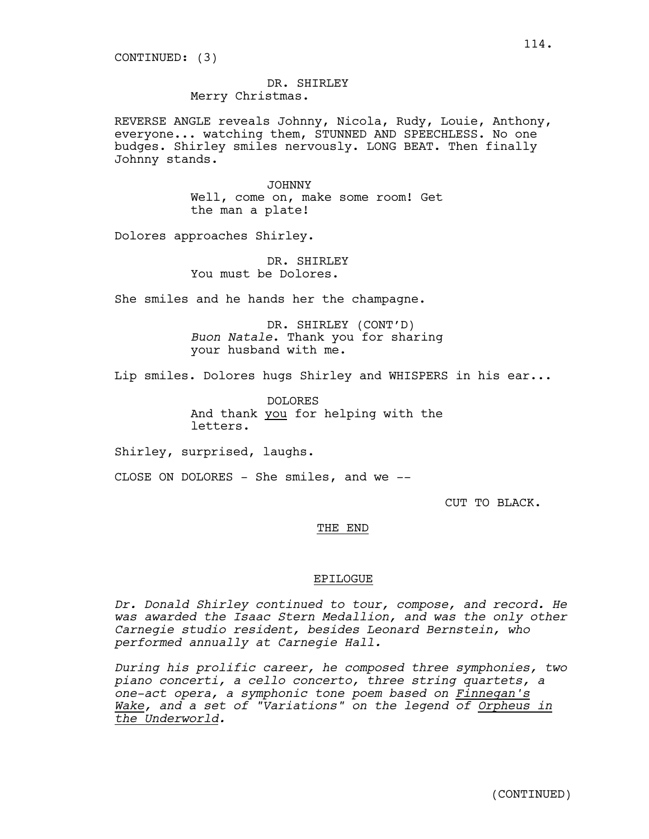DR. SHIRLEY Merry Christmas.

REVERSE ANGLE reveals Johnny, Nicola, Rudy, Louie, Anthony, everyone... watching them, STUNNED AND SPEECHLESS. No one budges. Shirley smiles nervously. LONG BEAT. Then finally Johnny stands.

> JOHNNY Well, come on, make some room! Get the man a plate!

Dolores approaches Shirley.

DR. SHIRLEY You must be Dolores.

She smiles and he hands her the champagne.

DR. SHIRLEY (CONT'D) *Buon Natale*. Thank you for sharing your husband with me.

Lip smiles. Dolores hugs Shirley and WHISPERS in his ear...

DOLORES And thank you for helping with the letters.

Shirley, surprised, laughs.

CLOSE ON DOLORES - She smiles, and we --

CUT TO BLACK.

#### THE END

#### EPILOGUE

*Dr. Donald Shirley continued to tour, compose, and record. He was awarded the Isaac Stern Medallion, and was the only other Carnegie studio resident, besides Leonard Bernstein, who performed annually at Carnegie Hall.*

*During his prolific career, he composed three symphonies, two piano concerti, a cello concerto, three string quartets, a one-act opera, a symphonic tone poem based on Finnegan's Wake, and a set of "Variations" on the legend of Orpheus in the Underworld.*